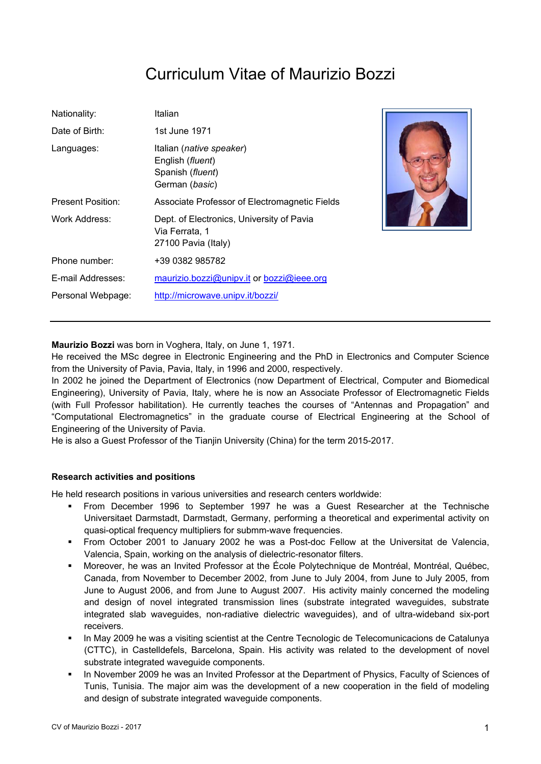# Curriculum Vitae of Maurizio Bozzi

| Nationality:             | Italian                                                                            |
|--------------------------|------------------------------------------------------------------------------------|
| Date of Birth:           | 1st June 1971                                                                      |
| Languages:               | Italian (native speaker)<br>English (fluent)<br>Spanish (fluent)<br>German (basic) |
| <b>Present Position:</b> | Associate Professor of Electromagnetic Fields                                      |
| Work Address:            | Dept. of Electronics, University of Pavia<br>Via Ferrata, 1<br>27100 Pavia (Italy) |
| Phone number:            | +39 0382 985782                                                                    |
| E-mail Addresses:        | maurizio.bozzi@unipv.it or bozzi@ieee.org                                          |
| Personal Webpage:        | http://microwave.unipv.it/bozzi/                                                   |



**Maurizio Bozzi** was born in Voghera, Italy, on June 1, 1971.

He received the MSc degree in Electronic Engineering and the PhD in Electronics and Computer Science from the University of Pavia, Pavia, Italy, in 1996 and 2000, respectively.

In 2002 he joined the Department of Electronics (now Department of Electrical, Computer and Biomedical Engineering), University of Pavia, Italy, where he is now an Associate Professor of Electromagnetic Fields (with Full Professor habilitation). He currently teaches the courses of "Antennas and Propagation" and "Computational Electromagnetics" in the graduate course of Electrical Engineering at the School of Engineering of the University of Pavia.

He is also a Guest Professor of the Tianjin University (China) for the term 2015-2017.

#### **Research activities and positions**

He held research positions in various universities and research centers worldwide:

- From December 1996 to September 1997 he was a Guest Researcher at the Technische Universitaet Darmstadt, Darmstadt, Germany, performing a theoretical and experimental activity on quasi-optical frequency multipliers for submm-wave frequencies.
- From October 2001 to January 2002 he was a Post-doc Fellow at the Universitat de Valencia, Valencia, Spain, working on the analysis of dielectric-resonator filters.
- Moreover, he was an Invited Professor at the École Polytechnique de Montréal, Montréal, Québec, Canada, from November to December 2002, from June to July 2004, from June to July 2005, from June to August 2006, and from June to August 2007. His activity mainly concerned the modeling and design of novel integrated transmission lines (substrate integrated waveguides, substrate integrated slab waveguides, non-radiative dielectric waveguides), and of ultra-wideband six-port receivers.
- In May 2009 he was a visiting scientist at the Centre Tecnologic de Telecomunicacions de Catalunya (CTTC), in Castelldefels, Barcelona, Spain. His activity was related to the development of novel substrate integrated waveguide components.
- In November 2009 he was an Invited Professor at the Department of Physics, Faculty of Sciences of Tunis, Tunisia. The major aim was the development of a new cooperation in the field of modeling and design of substrate integrated waveguide components.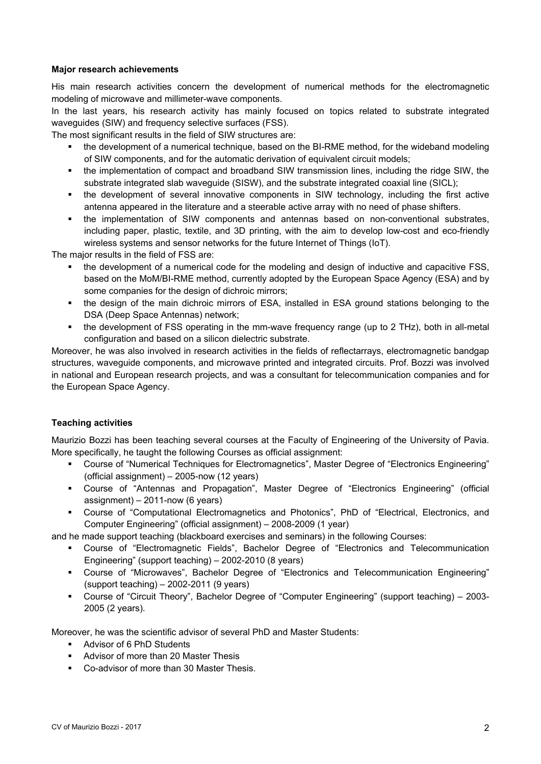#### **Major research achievements**

His main research activities concern the development of numerical methods for the electromagnetic modeling of microwave and millimeter-wave components.

In the last years, his research activity has mainly focused on topics related to substrate integrated waveguides (SIW) and frequency selective surfaces (FSS).

The most significant results in the field of SIW structures are:

- the development of a numerical technique, based on the BI-RME method, for the wideband modeling of SIW components, and for the automatic derivation of equivalent circuit models;
- the implementation of compact and broadband SIW transmission lines, including the ridge SIW, the substrate integrated slab waveguide (SISW), and the substrate integrated coaxial line (SICL);
- the development of several innovative components in SIW technology, including the first active antenna appeared in the literature and a steerable active array with no need of phase shifters.
- the implementation of SIW components and antennas based on non-conventional substrates, including paper, plastic, textile, and 3D printing, with the aim to develop low-cost and eco-friendly wireless systems and sensor networks for the future Internet of Things (IoT).

The major results in the field of FSS are:

- the development of a numerical code for the modeling and design of inductive and capacitive FSS, based on the MoM/BI-RME method, currently adopted by the European Space Agency (ESA) and by some companies for the design of dichroic mirrors;
- the design of the main dichroic mirrors of ESA, installed in ESA ground stations belonging to the DSA (Deep Space Antennas) network;
- the development of FSS operating in the mm-wave frequency range (up to 2 THz), both in all-metal configuration and based on a silicon dielectric substrate.

Moreover, he was also involved in research activities in the fields of reflectarrays, electromagnetic bandgap structures, waveguide components, and microwave printed and integrated circuits. Prof. Bozzi was involved in national and European research projects, and was a consultant for telecommunication companies and for the European Space Agency.

#### **Teaching activities**

Maurizio Bozzi has been teaching several courses at the Faculty of Engineering of the University of Pavia. More specifically, he taught the following Courses as official assignment:

- Course of "Numerical Techniques for Electromagnetics", Master Degree of "Electronics Engineering" (official assignment) – 2005-now (12 years)
- Course of "Antennas and Propagation", Master Degree of "Electronics Engineering" (official assignment) – 2011-now (6 years)
- Course of "Computational Electromagnetics and Photonics", PhD of "Electrical, Electronics, and Computer Engineering" (official assignment) – 2008-2009 (1 year)

and he made support teaching (blackboard exercises and seminars) in the following Courses:

- Course of "Electromagnetic Fields", Bachelor Degree of "Electronics and Telecommunication Engineering" (support teaching) – 2002-2010 (8 years)
- Course of "Microwaves", Bachelor Degree of "Electronics and Telecommunication Engineering" (support teaching) – 2002-2011 (9 years)
- Course of "Circuit Theory", Bachelor Degree of "Computer Engineering" (support teaching) 2003- 2005 (2 years).

Moreover, he was the scientific advisor of several PhD and Master Students:

- **Advisor of 6 PhD Students**
- Advisor of more than 20 Master Thesis
- Co-advisor of more than 30 Master Thesis.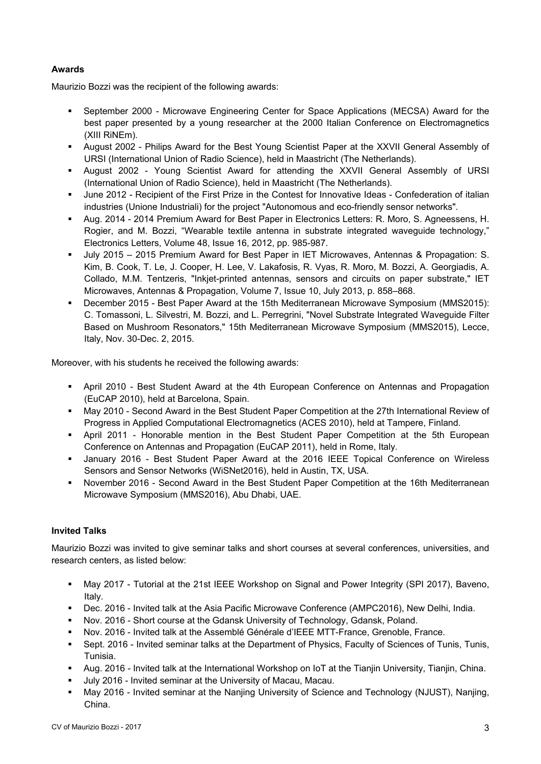## **Awards**

Maurizio Bozzi was the recipient of the following awards:

- September 2000 Microwave Engineering Center for Space Applications (MECSA) Award for the best paper presented by a young researcher at the 2000 Italian Conference on Electromagnetics (XIII RiNEm).
- August 2002 Philips Award for the Best Young Scientist Paper at the XXVII General Assembly of URSI (International Union of Radio Science), held in Maastricht (The Netherlands).
- August 2002 Young Scientist Award for attending the XXVII General Assembly of URSI (International Union of Radio Science), held in Maastricht (The Netherlands).
- June 2012 Recipient of the First Prize in the Contest for Innovative Ideas Confederation of italian industries (Unione Industriali) for the project "Autonomous and eco-friendly sensor networks".
- Aug. 2014 2014 Premium Award for Best Paper in Electronics Letters: R. Moro, S. Agneessens, H. Rogier, and M. Bozzi, "Wearable textile antenna in substrate integrated waveguide technology," Electronics Letters, Volume 48, Issue 16, 2012, pp. 985-987.
- July 2015 2015 Premium Award for Best Paper in IET Microwaves, Antennas & Propagation: S. Kim, B. Cook, T. Le, J. Cooper, H. Lee, V. Lakafosis, R. Vyas, R. Moro, M. Bozzi, A. Georgiadis, A. Collado, M.M. Tentzeris, "Inkjet-printed antennas, sensors and circuits on paper substrate," IET Microwaves, Antennas & Propagation, Volume 7, Issue 10, July 2013, p. 858–868.
- December 2015 Best Paper Award at the 15th Mediterranean Microwave Symposium (MMS2015): C. Tomassoni, L. Silvestri, M. Bozzi, and L. Perregrini, "Novel Substrate Integrated Waveguide Filter Based on Mushroom Resonators," 15th Mediterranean Microwave Symposium (MMS2015), Lecce, Italy, Nov. 30-Dec. 2, 2015.

Moreover, with his students he received the following awards:

- April 2010 Best Student Award at the 4th European Conference on Antennas and Propagation (EuCAP 2010), held at Barcelona, Spain.
- May 2010 Second Award in the Best Student Paper Competition at the 27th International Review of Progress in Applied Computational Electromagnetics (ACES 2010), held at Tampere, Finland.
- April 2011 Honorable mention in the Best Student Paper Competition at the 5th European Conference on Antennas and Propagation (EuCAP 2011), held in Rome, Italy.
- January 2016 Best Student Paper Award at the 2016 IEEE Topical Conference on Wireless Sensors and Sensor Networks (WiSNet2016), held in Austin, TX, USA.
- November 2016 Second Award in the Best Student Paper Competition at the 16th Mediterranean Microwave Symposium (MMS2016), Abu Dhabi, UAE.

# **Invited Talks**

Maurizio Bozzi was invited to give seminar talks and short courses at several conferences, universities, and research centers, as listed below:

- May 2017 Tutorial at the 21st IEEE Workshop on Signal and Power Integrity (SPI 2017), Baveno, Italy.
- Dec. 2016 Invited talk at the Asia Pacific Microwave Conference (AMPC2016), New Delhi, India.
- Nov. 2016 Short course at the Gdansk University of Technology, Gdansk, Poland.
- Nov. 2016 Invited talk at the Assemblé Générale d'IEEE MTT-France, Grenoble, France.
- Sept. 2016 Invited seminar talks at the Department of Physics, Faculty of Sciences of Tunis, Tunis, Tunisia.
- Aug. 2016 Invited talk at the International Workshop on IoT at the Tianjin University, Tianjin, China.
- July 2016 Invited seminar at the University of Macau, Macau.
- May 2016 Invited seminar at the Nanjing University of Science and Technology (NJUST), Nanjing, China.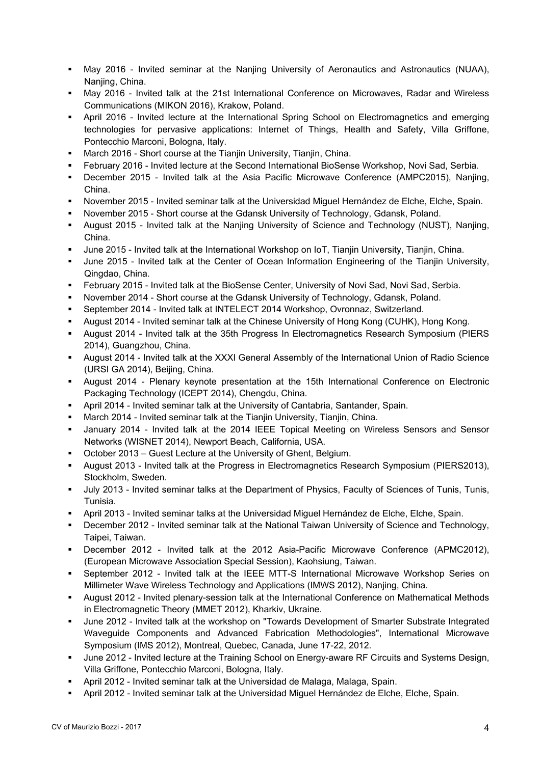- May 2016 Invited seminar at the Nanjing University of Aeronautics and Astronautics (NUAA), Naniing, China.
- May 2016 Invited talk at the 21st International Conference on Microwaves, Radar and Wireless Communications (MIKON 2016), Krakow, Poland.
- April 2016 Invited lecture at the International Spring School on Electromagnetics and emerging technologies for pervasive applications: Internet of Things, Health and Safety, Villa Griffone, Pontecchio Marconi, Bologna, Italy.
- March 2016 Short course at the Tianjin University, Tianjin, China.
- February 2016 Invited lecture at the Second International BioSense Workshop, Novi Sad, Serbia.
- December 2015 Invited talk at the Asia Pacific Microwave Conference (AMPC2015), Nanjing, China.
- November 2015 Invited seminar talk at the Universidad Miguel Hernández de Elche, Elche, Spain.
- November 2015 Short course at the Gdansk University of Technology, Gdansk, Poland.
- August 2015 Invited talk at the Nanjing University of Science and Technology (NUST), Nanjing, China.
- June 2015 Invited talk at the International Workshop on IoT, Tianjin University, Tianjin, China.
- June 2015 Invited talk at the Center of Ocean Information Engineering of the Tianjin University, Qingdao, China.
- February 2015 Invited talk at the BioSense Center, University of Novi Sad, Novi Sad, Serbia.
- November 2014 Short course at the Gdansk University of Technology, Gdansk, Poland.
- September 2014 Invited talk at INTELECT 2014 Workshop, Ovronnaz, Switzerland.
- August 2014 Invited seminar talk at the Chinese University of Hong Kong (CUHK), Hong Kong.
- August 2014 Invited talk at the 35th Progress In Electromagnetics Research Symposium (PIERS 2014), Guangzhou, China.
- August 2014 Invited talk at the XXXI General Assembly of the International Union of Radio Science (URSI GA 2014), Beijing, China.
- August 2014 Plenary keynote presentation at the 15th International Conference on Electronic Packaging Technology (ICEPT 2014), Chengdu, China.
- April 2014 Invited seminar talk at the University of Cantabria, Santander, Spain.
- March 2014 Invited seminar talk at the Tianjin University, Tianjin, China.
- January 2014 Invited talk at the 2014 IEEE Topical Meeting on Wireless Sensors and Sensor Networks (WISNET 2014), Newport Beach, California, USA.
- October 2013 Guest Lecture at the University of Ghent, Belgium.
- August 2013 Invited talk at the Progress in Electromagnetics Research Symposium (PIERS2013), Stockholm, Sweden.
- July 2013 Invited seminar talks at the Department of Physics, Faculty of Sciences of Tunis, Tunis, Tunisia.
- April 2013 Invited seminar talks at the Universidad Miguel Hernández de Elche, Elche, Spain.
- December 2012 Invited seminar talk at the National Taiwan University of Science and Technology, Taipei, Taiwan.
- December 2012 Invited talk at the 2012 Asia-Pacific Microwave Conference (APMC2012), (European Microwave Association Special Session), Kaohsiung, Taiwan.
- September 2012 Invited talk at the IEEE MTT-S International Microwave Workshop Series on Millimeter Wave Wireless Technology and Applications (IMWS 2012), Nanjing, China.
- August 2012 Invited plenary-session talk at the International Conference on Mathematical Methods in Electromagnetic Theory (MMET 2012), Kharkiv, Ukraine.
- June 2012 Invited talk at the workshop on "Towards Development of Smarter Substrate Integrated Waveguide Components and Advanced Fabrication Methodologies", International Microwave Symposium (IMS 2012), Montreal, Quebec, Canada, June 17-22, 2012.
- June 2012 Invited lecture at the Training School on Energy-aware RF Circuits and Systems Design, Villa Griffone, Pontecchio Marconi, Bologna, Italy.
- April 2012 Invited seminar talk at the Universidad de Malaga, Malaga, Spain.
- April 2012 Invited seminar talk at the Universidad Miguel Hernández de Elche, Elche, Spain.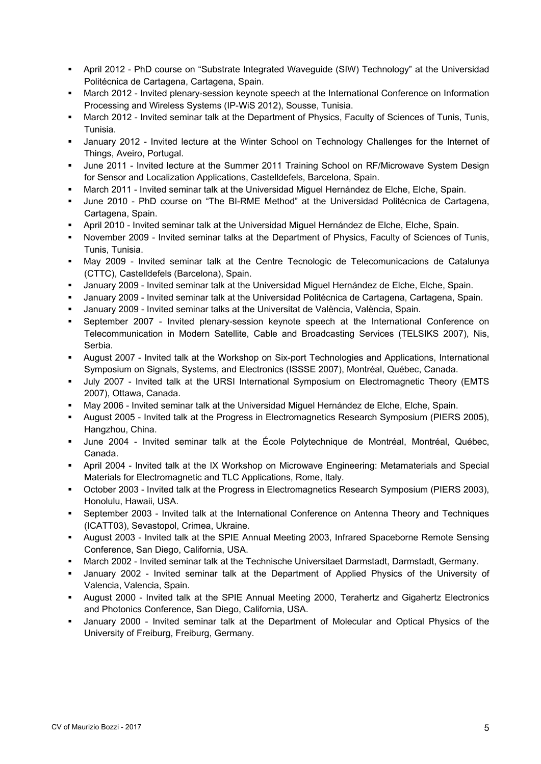- April 2012 PhD course on "Substrate Integrated Waveguide (SIW) Technology" at the Universidad Politécnica de Cartagena, Cartagena, Spain.
- March 2012 Invited plenary-session keynote speech at the International Conference on Information Processing and Wireless Systems (IP-WiS 2012), Sousse, Tunisia.
- March 2012 Invited seminar talk at the Department of Physics, Faculty of Sciences of Tunis, Tunis, Tunisia.
- January 2012 Invited lecture at the Winter School on Technology Challenges for the Internet of Things, Aveiro, Portugal.
- June 2011 Invited lecture at the Summer 2011 Training School on RF/Microwave System Design for Sensor and Localization Applications, Castelldefels, Barcelona, Spain.
- March 2011 Invited seminar talk at the Universidad Miguel Hernández de Elche, Elche, Spain.
- June 2010 PhD course on "The BI-RME Method" at the Universidad Politécnica de Cartagena, Cartagena, Spain.
- April 2010 Invited seminar talk at the Universidad Miguel Hernández de Elche, Elche, Spain.
- November 2009 Invited seminar talks at the Department of Physics, Faculty of Sciences of Tunis, Tunis, Tunisia.
- May 2009 Invited seminar talk at the Centre Tecnologic de Telecomunicacions de Catalunya (CTTC), Castelldefels (Barcelona), Spain.
- January 2009 Invited seminar talk at the Universidad Miguel Hernández de Elche, Elche, Spain.
- January 2009 Invited seminar talk at the Universidad Politécnica de Cartagena, Cartagena, Spain.
- January 2009 Invited seminar talks at the Universitat de València, València, Spain.
- September 2007 Invited plenary-session keynote speech at the International Conference on Telecommunication in Modern Satellite, Cable and Broadcasting Services (TELSIKS 2007), Nis, Serbia.
- August 2007 Invited talk at the Workshop on Six-port Technologies and Applications, International Symposium on Signals, Systems, and Electronics (ISSSE 2007), Montréal, Québec, Canada.
- July 2007 Invited talk at the URSI International Symposium on Electromagnetic Theory (EMTS 2007), Ottawa, Canada.
- May 2006 Invited seminar talk at the Universidad Miguel Hernández de Elche, Elche, Spain.
- August 2005 Invited talk at the Progress in Electromagnetics Research Symposium (PIERS 2005), Hangzhou, China.
- June 2004 Invited seminar talk at the École Polytechnique de Montréal, Montréal, Québec, Canada.
- April 2004 Invited talk at the IX Workshop on Microwave Engineering: Metamaterials and Special Materials for Electromagnetic and TLC Applications, Rome, Italy.
- October 2003 Invited talk at the Progress in Electromagnetics Research Symposium (PIERS 2003), Honolulu, Hawaii, USA.
- September 2003 Invited talk at the International Conference on Antenna Theory and Techniques (ICATT03), Sevastopol, Crimea, Ukraine.
- August 2003 Invited talk at the SPIE Annual Meeting 2003, Infrared Spaceborne Remote Sensing Conference, San Diego, California, USA.
- March 2002 Invited seminar talk at the Technische Universitaet Darmstadt, Darmstadt, Germany.
- January 2002 Invited seminar talk at the Department of Applied Physics of the University of Valencia, Valencia, Spain.
- August 2000 Invited talk at the SPIE Annual Meeting 2000, Terahertz and Gigahertz Electronics and Photonics Conference, San Diego, California, USA.
- January 2000 Invited seminar talk at the Department of Molecular and Optical Physics of the University of Freiburg, Freiburg, Germany.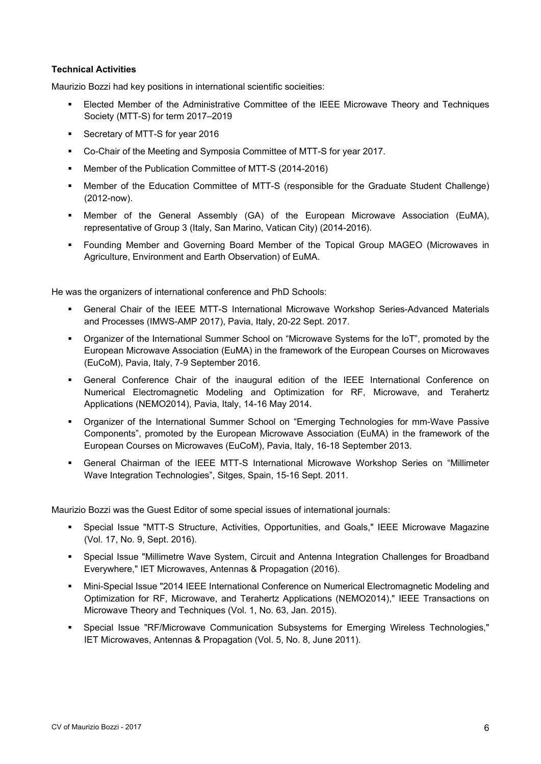### **Technical Activities**

Maurizio Bozzi had key positions in international scientific socieities:

- Elected Member of the Administrative Committee of the IEEE Microwave Theory and Techniques Society (MTT-S) for term 2017–2019
- **Secretary of MTT-S for year 2016**
- Co-Chair of the Meeting and Symposia Committee of MTT-S for year 2017.
- Member of the Publication Committee of MTT-S (2014-2016)
- Member of the Education Committee of MTT-S (responsible for the Graduate Student Challenge) (2012-now).
- Member of the General Assembly (GA) of the European Microwave Association (EuMA), representative of Group 3 (Italy, San Marino, Vatican City) (2014-2016).
- Founding Member and Governing Board Member of the Topical Group MAGEO (Microwaves in Agriculture, Environment and Earth Observation) of EuMA.

He was the organizers of international conference and PhD Schools:

- General Chair of the IEEE MTT-S International Microwave Workshop Series-Advanced Materials and Processes (IMWS-AMP 2017), Pavia, Italy, 20-22 Sept. 2017.
- Organizer of the International Summer School on "Microwave Systems for the IoT", promoted by the European Microwave Association (EuMA) in the framework of the European Courses on Microwaves (EuCoM), Pavia, Italy, 7-9 September 2016.
- General Conference Chair of the inaugural edition of the IEEE International Conference on Numerical Electromagnetic Modeling and Optimization for RF, Microwave, and Terahertz Applications (NEMO2014), Pavia, Italy, 14-16 May 2014.
- Organizer of the International Summer School on "Emerging Technologies for mm-Wave Passive Components", promoted by the European Microwave Association (EuMA) in the framework of the European Courses on Microwaves (EuCoM), Pavia, Italy, 16-18 September 2013.
- General Chairman of the IEEE MTT-S International Microwave Workshop Series on "Millimeter Wave Integration Technologies", Sitges, Spain, 15-16 Sept. 2011.

Maurizio Bozzi was the Guest Editor of some special issues of international journals:

- Special Issue "MTT-S Structure, Activities, Opportunities, and Goals," IEEE Microwave Magazine (Vol. 17, No. 9, Sept. 2016).
- Special Issue "Millimetre Wave System, Circuit and Antenna Integration Challenges for Broadband Everywhere," IET Microwaves, Antennas & Propagation (2016).
- Mini-Special Issue "2014 IEEE International Conference on Numerical Electromagnetic Modeling and Optimization for RF, Microwave, and Terahertz Applications (NEMO2014)," IEEE Transactions on Microwave Theory and Techniques (Vol. 1, No. 63, Jan. 2015).
- Special Issue "RF/Microwave Communication Subsystems for Emerging Wireless Technologies," IET Microwaves, Antennas & Propagation (Vol. 5, No. 8, June 2011).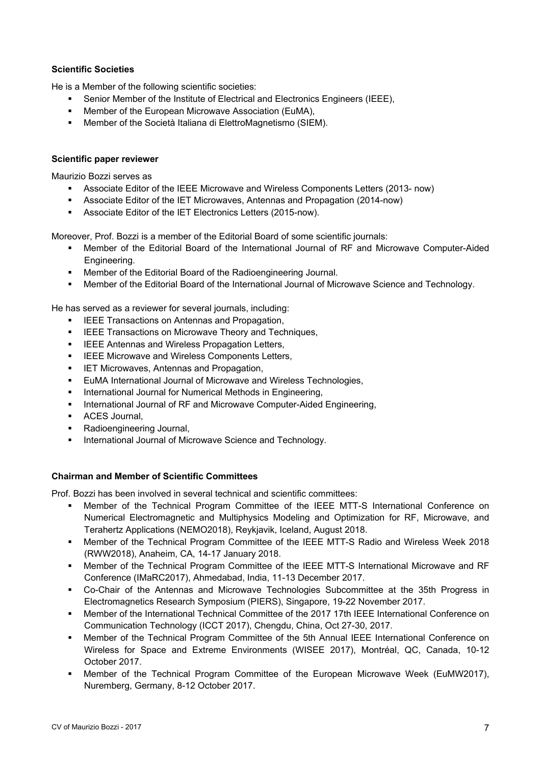## **Scientific Societies**

He is a Member of the following scientific societies:

- Senior Member of the Institute of Electrical and Electronics Engineers (IEEE),
- **EXECT** Member of the European Microwave Association (EuMA),
- Member of the Società Italiana di ElettroMagnetismo (SIEM).

#### **Scientific paper reviewer**

Maurizio Bozzi serves as

- Associate Editor of the IEEE Microwave and Wireless Components Letters (2013- now)
- Associate Editor of the IET Microwaves, Antennas and Propagation (2014-now)
- Associate Editor of the IET Electronics Letters (2015-now).

Moreover, Prof. Bozzi is a member of the Editorial Board of some scientific journals:

- Member of the Editorial Board of the International Journal of RF and Microwave Computer-Aided Engineering.
- Member of the Editorial Board of the Radioengineering Journal.
- Member of the Editorial Board of the International Journal of Microwave Science and Technology.

He has served as a reviewer for several journals, including:

- **IEEE Transactions on Antennas and Propagation,**
- **IEEE Transactions on Microwave Theory and Techniques,**
- **IEEE Antennas and Wireless Propagation Letters,**
- **EXECUTE:** Microwave and Wireless Components Letters,
- **IET Microwaves, Antennas and Propagation,**
- **EUMA International Journal of Microwave and Wireless Technologies,**
- **International Journal for Numerical Methods in Engineering,**
- **International Journal of RF and Microwave Computer-Aided Engineering,**
- **ACES Journal.**
- Radioengineering Journal,
- **International Journal of Microwave Science and Technology.**

#### **Chairman and Member of Scientific Committees**

Prof. Bozzi has been involved in several technical and scientific committees:

- Member of the Technical Program Committee of the IEEE MTT-S International Conference on Numerical Electromagnetic and Multiphysics Modeling and Optimization for RF, Microwave, and Terahertz Applications (NEMO2018), Reykjavik, Iceland, August 2018.
- Member of the Technical Program Committee of the IEEE MTT-S Radio and Wireless Week 2018 (RWW2018), Anaheim, CA, 14-17 January 2018.
- Member of the Technical Program Committee of the IEEE MTT-S International Microwave and RF Conference (IMaRC2017), Ahmedabad, India, 11-13 December 2017.
- Co-Chair of the Antennas and Microwave Technologies Subcommittee at the 35th Progress in Electromagnetics Research Symposium (PIERS), Singapore, 19-22 November 2017.
- Member of the International Technical Committee of the 2017 17th IEEE International Conference on Communication Technology (ICCT 2017), Chengdu, China, Oct 27-30, 2017.
- Member of the Technical Program Committee of the 5th Annual IEEE International Conference on Wireless for Space and Extreme Environments (WISEE 2017), Montréal, QC, Canada, 10-12 October 2017.
- Member of the Technical Program Committee of the European Microwave Week (EuMW2017), Nuremberg, Germany, 8-12 October 2017.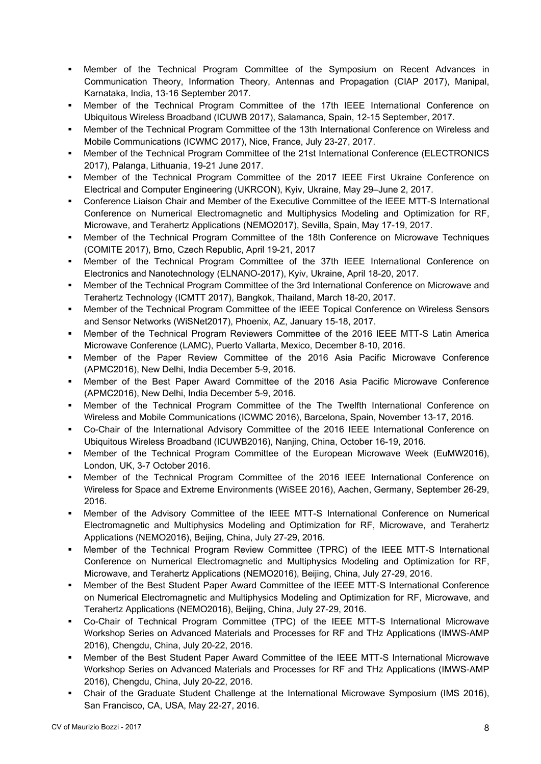- Member of the Technical Program Committee of the Symposium on Recent Advances in Communication Theory, Information Theory, Antennas and Propagation (CIAP 2017), Manipal, Karnataka, India, 13-16 September 2017.
- Member of the Technical Program Committee of the 17th IEEE International Conference on Ubiquitous Wireless Broadband (ICUWB 2017), Salamanca, Spain, 12-15 September, 2017.
- Member of the Technical Program Committee of the 13th International Conference on Wireless and Mobile Communications (ICWMC 2017), Nice, France, July 23-27, 2017.
- Member of the Technical Program Committee of the 21st International Conference (ELECTRONICS 2017), Palanga, Lithuania, 19-21 June 2017.
- Member of the Technical Program Committee of the 2017 IEEE First Ukraine Conference on Electrical and Computer Engineering (UKRCON), Kyiv, Ukraine, May 29–June 2, 2017.
- Conference Liaison Chair and Member of the Executive Committee of the IEEE MTT-S International Conference on Numerical Electromagnetic and Multiphysics Modeling and Optimization for RF, Microwave, and Terahertz Applications (NEMO2017), Sevilla, Spain, May 17-19, 2017.
- Member of the Technical Program Committee of the 18th Conference on Microwave Techniques (COMITE 2017), Brno, Czech Republic, April 19-21, 2017
- Member of the Technical Program Committee of the 37th IEEE International Conference on Electronics and Nanotechnology (ELNANO-2017), Kyiv, Ukraine, April 18-20, 2017.
- Member of the Technical Program Committee of the 3rd International Conference on Microwave and Terahertz Technology (ICMTT 2017), Bangkok, Thailand, March 18-20, 2017.
- Member of the Technical Program Committee of the IEEE Topical Conference on Wireless Sensors and Sensor Networks (WiSNet2017), Phoenix, AZ, January 15-18, 2017.
- Member of the Technical Program Reviewers Committee of the 2016 IEEE MTT-S Latin America Microwave Conference (LAMC), Puerto Vallarta, Mexico, December 8-10, 2016.
- Member of the Paper Review Committee of the 2016 Asia Pacific Microwave Conference (APMC2016), New Delhi, India December 5-9, 2016.
- Member of the Best Paper Award Committee of the 2016 Asia Pacific Microwave Conference (APMC2016), New Delhi, India December 5-9, 2016.
- Member of the Technical Program Committee of the The Twelfth International Conference on Wireless and Mobile Communications (ICWMC 2016), Barcelona, Spain, November 13-17, 2016.
- Co-Chair of the International Advisory Committee of the 2016 IEEE International Conference on Ubiquitous Wireless Broadband (ICUWB2016), Nanjing, China, October 16-19, 2016.
- Member of the Technical Program Committee of the European Microwave Week (EuMW2016), London, UK, 3-7 October 2016.
- Member of the Technical Program Committee of the 2016 IEEE International Conference on Wireless for Space and Extreme Environments (WiSEE 2016), Aachen, Germany, September 26-29, 2016.
- Member of the Advisory Committee of the IEEE MTT-S International Conference on Numerical Electromagnetic and Multiphysics Modeling and Optimization for RF, Microwave, and Terahertz Applications (NEMO2016), Beijing, China, July 27-29, 2016.
- Member of the Technical Program Review Committee (TPRC) of the IEEE MTT-S International Conference on Numerical Electromagnetic and Multiphysics Modeling and Optimization for RF, Microwave, and Terahertz Applications (NEMO2016), Beijing, China, July 27-29, 2016.
- Member of the Best Student Paper Award Committee of the IEEE MTT-S International Conference on Numerical Electromagnetic and Multiphysics Modeling and Optimization for RF, Microwave, and Terahertz Applications (NEMO2016), Beijing, China, July 27-29, 2016.
- Co-Chair of Technical Program Committee (TPC) of the IEEE MTT-S International Microwave Workshop Series on Advanced Materials and Processes for RF and THz Applications (IMWS-AMP 2016), Chengdu, China, July 20-22, 2016.
- Member of the Best Student Paper Award Committee of the IEEE MTT-S International Microwave Workshop Series on Advanced Materials and Processes for RF and THz Applications (IMWS-AMP 2016), Chengdu, China, July 20-22, 2016.
- Chair of the Graduate Student Challenge at the International Microwave Symposium (IMS 2016), San Francisco, CA, USA, May 22-27, 2016.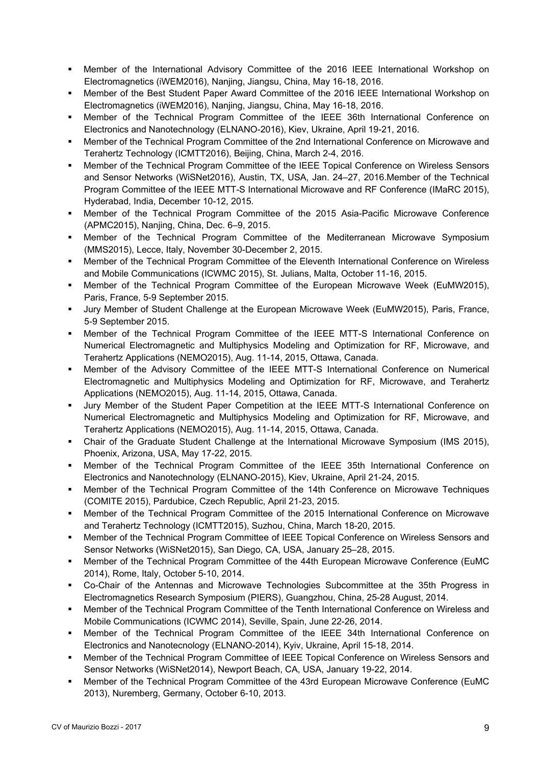- Member of the International Advisory Committee of the 2016 IEEE International Workshop on Electromagnetics (iWEM2016), Nanjing, Jiangsu, China, May 16-18, 2016.
- Member of the Best Student Paper Award Committee of the 2016 IEEE International Workshop on Electromagnetics (iWEM2016), Nanjing, Jiangsu, China, May 16-18, 2016.
- Member of the Technical Program Committee of the IEEE 36th International Conference on Electronics and Nanotechnology (ELNANO-2016), Kiev, Ukraine, April 19-21, 2016.
- Member of the Technical Program Committee of the 2nd International Conference on Microwave and Terahertz Technology (ICMTT2016), Beijing, China, March 2-4, 2016.
- **Member of the Technical Program Committee of the IEEE Topical Conference on Wireless Sensors** and Sensor Networks (WiSNet2016), Austin, TX, USA, Jan. 24–27, 2016.Member of the Technical Program Committee of the IEEE MTT-S International Microwave and RF Conference (IMaRC 2015), Hyderabad, India, December 10-12, 2015.
- Member of the Technical Program Committee of the 2015 Asia-Pacific Microwave Conference (APMC2015), Nanjing, China, Dec. 6–9, 2015.
- Member of the Technical Program Committee of the Mediterranean Microwave Symposium (MMS2015), Lecce, Italy, November 30-December 2, 2015.
- Member of the Technical Program Committee of the Eleventh International Conference on Wireless and Mobile Communications (ICWMC 2015), St. Julians, Malta, October 11-16, 2015.
- Member of the Technical Program Committee of the European Microwave Week (EuMW2015), Paris, France, 5-9 September 2015.
- Jury Member of Student Challenge at the European Microwave Week (EuMW2015), Paris, France, 5-9 September 2015.
- Member of the Technical Program Committee of the IEEE MTT-S International Conference on Numerical Electromagnetic and Multiphysics Modeling and Optimization for RF, Microwave, and Terahertz Applications (NEMO2015), Aug. 11-14, 2015, Ottawa, Canada.
- Member of the Advisory Committee of the IEEE MTT-S International Conference on Numerical Electromagnetic and Multiphysics Modeling and Optimization for RF, Microwave, and Terahertz Applications (NEMO2015), Aug. 11-14, 2015, Ottawa, Canada.
- Jury Member of the Student Paper Competition at the IEEE MTT-S International Conference on Numerical Electromagnetic and Multiphysics Modeling and Optimization for RF, Microwave, and Terahertz Applications (NEMO2015), Aug. 11-14, 2015, Ottawa, Canada.
- Chair of the Graduate Student Challenge at the International Microwave Symposium (IMS 2015), Phoenix, Arizona, USA, May 17-22, 2015.
- Member of the Technical Program Committee of the IEEE 35th International Conference on Electronics and Nanotechnology (ELNANO-2015), Kiev, Ukraine, April 21-24, 2015.
- Member of the Technical Program Committee of the 14th Conference on Microwave Techniques (COMITE 2015), Pardubice, Czech Republic, April 21-23, 2015.
- Member of the Technical Program Committee of the 2015 International Conference on Microwave and Terahertz Technology (ICMTT2015), Suzhou, China, March 18-20, 2015.
- Member of the Technical Program Committee of IEEE Topical Conference on Wireless Sensors and Sensor Networks (WiSNet2015), San Diego, CA, USA, January 25–28, 2015.
- Member of the Technical Program Committee of the 44th European Microwave Conference (EuMC 2014), Rome, Italy, October 5-10, 2014.
- Co-Chair of the Antennas and Microwave Technologies Subcommittee at the 35th Progress in Electromagnetics Research Symposium (PIERS), Guangzhou, China, 25-28 August, 2014.
- Member of the Technical Program Committee of the Tenth International Conference on Wireless and Mobile Communications (ICWMC 2014), Seville, Spain, June 22-26, 2014.
- Member of the Technical Program Committee of the IEEE 34th International Conference on Electronics and Nanotecnology (ELNANO-2014), Kyiv, Ukraine, April 15-18, 2014.
- Member of the Technical Program Committee of IEEE Topical Conference on Wireless Sensors and Sensor Networks (WiSNet2014), Newport Beach, CA, USA, January 19-22, 2014.
- Member of the Technical Program Committee of the 43rd European Microwave Conference (EuMC 2013), Nuremberg, Germany, October 6-10, 2013.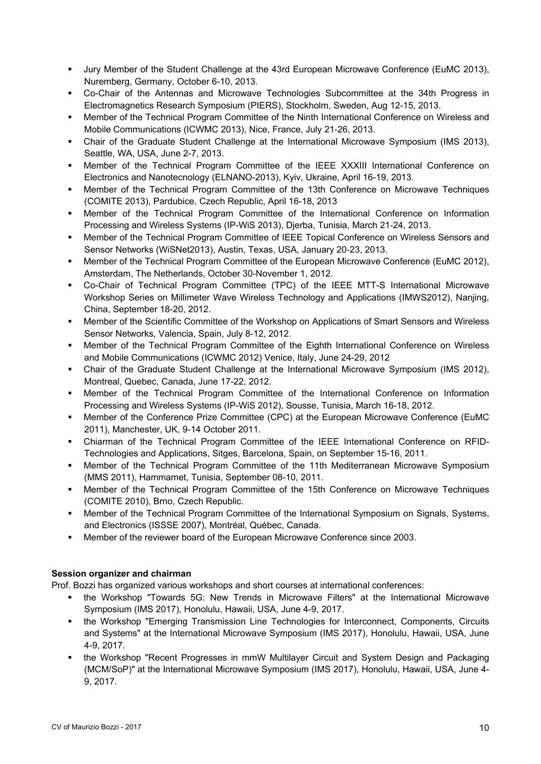- Jury Member of the Student Challenge at the 43rd European Microwave Conference (EuMC 2013), Nuremberg, Germany, October 6-10, 2013.
- Co-Chair of the Antennas and Microwave Technologies Subcommittee at the 34th Progress in Electromagnetics Research Symposium (PIERS), Stockholm, Sweden, Aug 12-15, 2013.
- Member of the Technical Program Committee of the Ninth International Conference on Wireless and Mobile Communications (ICWMC 2013), Nice, France, July 21-26, 2013.
- Chair of the Graduate Student Challenge at the International Microwave Symposium (IMS 2013), Seattle, WA, USA, June 2-7, 2013.
- Member of the Technical Program Committee of the IEEE XXXIII International Conference on Electronics and Nanotecnology (ELNANO-2013), Kyiv, Ukraine, April 16-19, 2013.
- Member of the Technical Program Committee of the 13th Conference on Microwave Techniques (COMITE 2013), Pardubice, Czech Republic, April 16-18, 2013
- Member of the Technical Program Committee of the International Conference on Information Processing and Wireless Systems (IP-WiS 2013), Djerba, Tunisia, March 21-24, 2013.
- Member of the Technical Program Committee of IEEE Topical Conference on Wireless Sensors and Sensor Networks (WiSNet2013), Austin, Texas, USA, January 20-23, 2013.
- Member of the Technical Program Committee of the European Microwave Conference (EuMC 2012), Amsterdam, The Netherlands, October 30-November 1, 2012.
- Co-Chair of Technical Program Committee (TPC) of the IEEE MTT-S International Microwave Workshop Series on Millimeter Wave Wireless Technology and Applications (IMWS2012), Nanjing, China, September 18-20, 2012.
- Member of the Scientific Committee of the Workshop on Applications of Smart Sensors and Wireless Sensor Networks, Valencia, Spain, July 8-12, 2012.
- Member of the Technical Program Committee of the Eighth International Conference on Wireless and Mobile Communications (ICWMC 2012) Venice, Italy, June 24-29, 2012
- Chair of the Graduate Student Challenge at the International Microwave Symposium (IMS 2012), Montreal, Quebec, Canada, June 17-22, 2012.
- Member of the Technical Program Committee of the International Conference on Information Processing and Wireless Systems (IP-WiS 2012), Sousse, Tunisia, March 16-18, 2012.
- Member of the Conference Prize Committee (CPC) at the European Microwave Conference (EuMC 2011), Manchester, UK, 9-14 October 2011.
- Chiarman of the Technical Program Committee of the IEEE International Conference on RFID-Technologies and Applications, Sitges, Barcelona, Spain, on September 15-16, 2011.
- Member of the Technical Program Committee of the 11th Mediterranean Microwave Symposium (MMS 2011), Hammamet, Tunisia, September 08-10, 2011.
- Member of the Technical Program Committee of the 15th Conference on Microwave Techniques (COMITE 2010), Brno, Czech Republic.
- Member of the Technical Program Committee of the International Symposium on Signals, Systems, and Electronics (ISSSE 2007), Montréal, Québec, Canada.
- Member of the reviewer board of the European Microwave Conference since 2003.

# **Session organizer and chairman**

Prof. Bozzi has organized various workshops and short courses at international conferences:

- the Workshop "Towards 5G: New Trends in Microwave Filters" at the International Microwave Symposium (IMS 2017), Honolulu, Hawaii, USA, June 4-9, 2017.
- the Workshop "Emerging Transmission Line Technologies for Interconnect, Components, Circuits and Systems" at the International Microwave Symposium (IMS 2017), Honolulu, Hawaii, USA, June 4-9, 2017.
- the Workshop "Recent Progresses in mmW Multilayer Circuit and System Design and Packaging (MCM/SoP)" at the International Microwave Symposium (IMS 2017), Honolulu, Hawaii, USA, June 4- 9, 2017.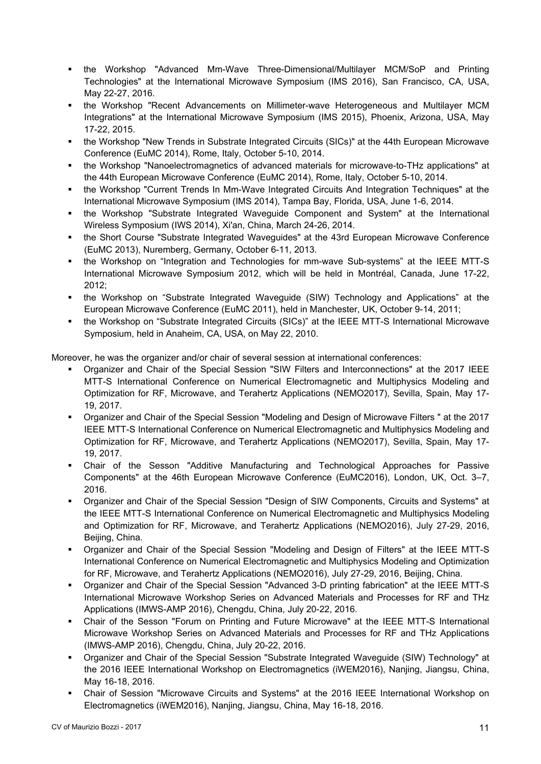- the Workshop "Advanced Mm-Wave Three-Dimensional/Multilayer MCM/SoP and Printing Technologies" at the International Microwave Symposium (IMS 2016), San Francisco, CA, USA, May 22-27, 2016.
- the Workshop "Recent Advancements on Millimeter-wave Heterogeneous and Multilayer MCM Integrations" at the International Microwave Symposium (IMS 2015), Phoenix, Arizona, USA, May 17-22, 2015.
- the Workshop "New Trends in Substrate Integrated Circuits (SICs)" at the 44th European Microwave Conference (EuMC 2014), Rome, Italy, October 5-10, 2014.
- the Workshop "Nanoelectromagnetics of advanced materials for microwave-to-THz applications" at the 44th European Microwave Conference (EuMC 2014), Rome, Italy, October 5-10, 2014.
- the Workshop "Current Trends In Mm-Wave Integrated Circuits And Integration Techniques" at the International Microwave Symposium (IMS 2014), Tampa Bay, Florida, USA, June 1-6, 2014.
- the Workshop "Substrate Integrated Waveguide Component and System" at the International Wireless Symposium (IWS 2014), Xi'an, China, March 24-26, 2014.
- the Short Course "Substrate Integrated Waveguides" at the 43rd European Microwave Conference (EuMC 2013), Nuremberg, Germany, October 6-11, 2013.
- the Workshop on "Integration and Technologies for mm-wave Sub-systems" at the IEEE MTT-S International Microwave Symposium 2012, which will be held in Montréal, Canada, June 17-22, 2012;
- the Workshop on "Substrate Integrated Waveguide (SIW) Technology and Applications" at the European Microwave Conference (EuMC 2011), held in Manchester, UK, October 9-14, 2011;
- the Workshop on "Substrate Integrated Circuits (SICs)" at the IEEE MTT-S International Microwave Symposium, held in Anaheim, CA, USA, on May 22, 2010.

Moreover, he was the organizer and/or chair of several session at international conferences:

- Organizer and Chair of the Special Session "SIW Filters and Interconnections" at the 2017 IEEE MTT-S International Conference on Numerical Electromagnetic and Multiphysics Modeling and Optimization for RF, Microwave, and Terahertz Applications (NEMO2017), Sevilla, Spain, May 17- 19, 2017.
- Organizer and Chair of the Special Session "Modeling and Design of Microwave Filters " at the 2017 IEEE MTT-S International Conference on Numerical Electromagnetic and Multiphysics Modeling and Optimization for RF, Microwave, and Terahertz Applications (NEMO2017), Sevilla, Spain, May 17- 19, 2017.
- Chair of the Sesson "Additive Manufacturing and Technological Approaches for Passive Components" at the 46th European Microwave Conference (EuMC2016), London, UK, Oct. 3–7, 2016.
- Organizer and Chair of the Special Session "Design of SIW Components, Circuits and Systems" at the IEEE MTT-S International Conference on Numerical Electromagnetic and Multiphysics Modeling and Optimization for RF, Microwave, and Terahertz Applications (NEMO2016), July 27-29, 2016, Beijing, China.
- Organizer and Chair of the Special Session "Modeling and Design of Filters" at the IEEE MTT-S International Conference on Numerical Electromagnetic and Multiphysics Modeling and Optimization for RF, Microwave, and Terahertz Applications (NEMO2016), July 27-29, 2016, Beijing, China.
- Organizer and Chair of the Special Session "Advanced 3-D printing fabrication" at the IEEE MTT-S International Microwave Workshop Series on Advanced Materials and Processes for RF and THz Applications (IMWS-AMP 2016), Chengdu, China, July 20-22, 2016.
- Chair of the Sesson "Forum on Printing and Future Microwave" at the IEEE MTT-S International Microwave Workshop Series on Advanced Materials and Processes for RF and THz Applications (IMWS-AMP 2016), Chengdu, China, July 20-22, 2016.
- Organizer and Chair of the Special Session "Substrate Integrated Waveguide (SIW) Technology" at the 2016 IEEE International Workshop on Electromagnetics (iWEM2016), Nanjing, Jiangsu, China, May 16-18, 2016.
- Chair of Session "Microwave Circuits and Systems" at the 2016 IEEE International Workshop on Electromagnetics (iWEM2016), Nanjing, Jiangsu, China, May 16-18, 2016.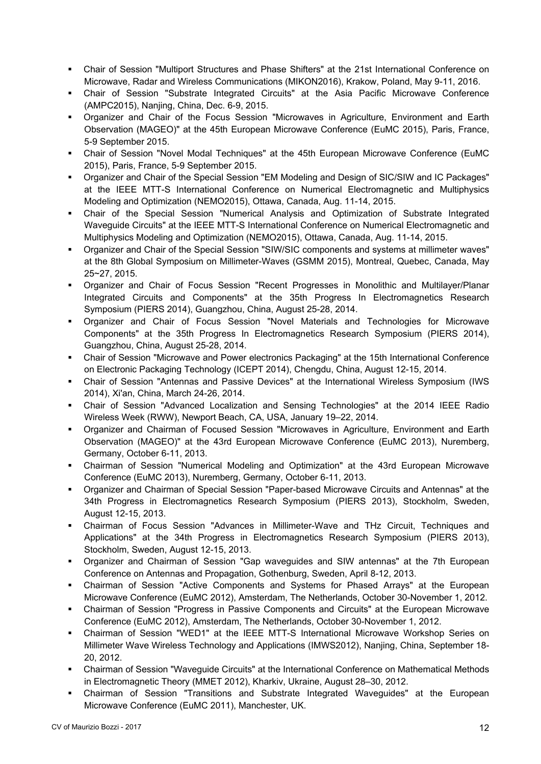- Chair of Session "Multiport Structures and Phase Shifters" at the 21st International Conference on Microwave, Radar and Wireless Communications (MIKON2016), Krakow, Poland, May 9-11, 2016.
- Chair of Session "Substrate Integrated Circuits" at the Asia Pacific Microwave Conference (AMPC2015), Nanjing, China, Dec. 6-9, 2015.
- Organizer and Chair of the Focus Session "Microwaves in Agriculture, Environment and Earth Observation (MAGEO)" at the 45th European Microwave Conference (EuMC 2015), Paris, France, 5-9 September 2015.
- Chair of Session "Novel Modal Techniques" at the 45th European Microwave Conference (EuMC 2015), Paris, France, 5-9 September 2015.
- Organizer and Chair of the Special Session "EM Modeling and Design of SIC/SIW and IC Packages" at the IEEE MTT-S International Conference on Numerical Electromagnetic and Multiphysics Modeling and Optimization (NEMO2015), Ottawa, Canada, Aug. 11-14, 2015.
- Chair of the Special Session "Numerical Analysis and Optimization of Substrate Integrated Waveguide Circuits" at the IEEE MTT-S International Conference on Numerical Electromagnetic and Multiphysics Modeling and Optimization (NEMO2015), Ottawa, Canada, Aug. 11-14, 2015.
- Organizer and Chair of the Special Session "SIW/SIC components and systems at millimeter waves" at the 8th Global Symposium on Millimeter-Waves (GSMM 2015), Montreal, Quebec, Canada, May 25~27, 2015.
- Organizer and Chair of Focus Session "Recent Progresses in Monolithic and Multilayer/Planar Integrated Circuits and Components" at the 35th Progress In Electromagnetics Research Symposium (PIERS 2014), Guangzhou, China, August 25-28, 2014.
- Organizer and Chair of Focus Session "Novel Materials and Technologies for Microwave Components" at the 35th Progress In Electromagnetics Research Symposium (PIERS 2014), Guangzhou, China, August 25-28, 2014.
- Chair of Session "Microwave and Power electronics Packaging" at the 15th International Conference on Electronic Packaging Technology (ICEPT 2014), Chengdu, China, August 12-15, 2014.
- Chair of Session "Antennas and Passive Devices" at the International Wireless Symposium (IWS 2014), Xi'an, China, March 24-26, 2014.
- Chair of Session "Advanced Localization and Sensing Technologies" at the 2014 IEEE Radio Wireless Week (RWW), Newport Beach, CA, USA, January 19–22, 2014.
- Organizer and Chairman of Focused Session "Microwaves in Agriculture, Environment and Earth Observation (MAGEO)" at the 43rd European Microwave Conference (EuMC 2013), Nuremberg, Germany, October 6-11, 2013.
- Chairman of Session "Numerical Modeling and Optimization" at the 43rd European Microwave Conference (EuMC 2013), Nuremberg, Germany, October 6-11, 2013.
- Organizer and Chairman of Special Session "Paper-based Microwave Circuits and Antennas" at the 34th Progress in Electromagnetics Research Symposium (PIERS 2013), Stockholm, Sweden, August 12-15, 2013.
- Chairman of Focus Session "Advances in Millimeter-Wave and THz Circuit, Techniques and Applications" at the 34th Progress in Electromagnetics Research Symposium (PIERS 2013), Stockholm, Sweden, August 12-15, 2013.
- Organizer and Chairman of Session "Gap waveguides and SIW antennas" at the 7th European Conference on Antennas and Propagation, Gothenburg, Sweden, April 8-12, 2013.
- Chairman of Session "Active Components and Systems for Phased Arrays" at the European Microwave Conference (EuMC 2012), Amsterdam, The Netherlands, October 30-November 1, 2012.
- Chairman of Session "Progress in Passive Components and Circuits" at the European Microwave Conference (EuMC 2012), Amsterdam, The Netherlands, October 30-November 1, 2012.
- Chairman of Session "WED1" at the IEEE MTT-S International Microwave Workshop Series on Millimeter Wave Wireless Technology and Applications (IMWS2012), Nanjing, China, September 18- 20, 2012.
- Chairman of Session "Waveguide Circuits" at the International Conference on Mathematical Methods in Electromagnetic Theory (MMET 2012), Kharkiv, Ukraine, August 28–30, 2012.
- Chairman of Session "Transitions and Substrate Integrated Waveguides" at the European Microwave Conference (EuMC 2011), Manchester, UK.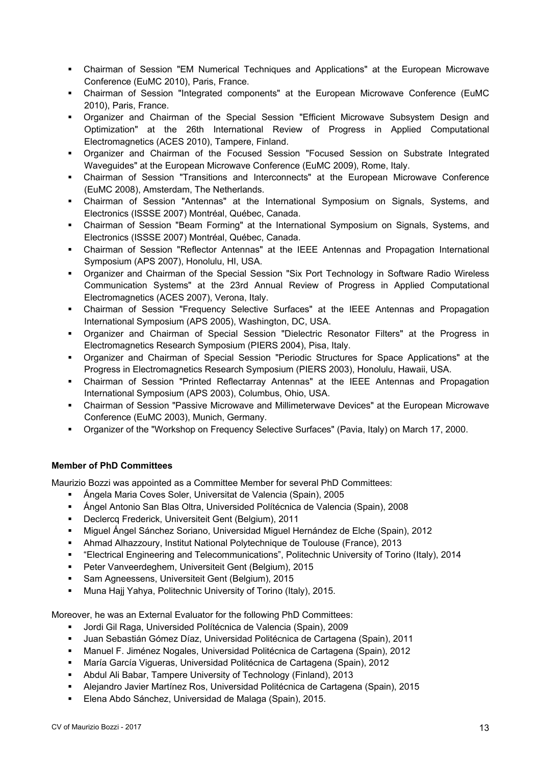- Chairman of Session "EM Numerical Techniques and Applications" at the European Microwave Conference (EuMC 2010), Paris, France.
- Chairman of Session "Integrated components" at the European Microwave Conference (EuMC 2010), Paris, France.
- Organizer and Chairman of the Special Session "Efficient Microwave Subsystem Design and Optimization" at the 26th International Review of Progress in Applied Computational Electromagnetics (ACES 2010), Tampere, Finland.
- Organizer and Chairman of the Focused Session "Focused Session on Substrate Integrated Waveguides" at the European Microwave Conference (EuMC 2009), Rome, Italy.
- Chairman of Session "Transitions and Interconnects" at the European Microwave Conference (EuMC 2008), Amsterdam, The Netherlands.
- Chairman of Session "Antennas" at the International Symposium on Signals, Systems, and Electronics (ISSSE 2007) Montréal, Québec, Canada.
- Chairman of Session "Beam Forming" at the International Symposium on Signals, Systems, and Electronics (ISSSE 2007) Montréal, Québec, Canada.
- Chairman of Session "Reflector Antennas" at the IEEE Antennas and Propagation International Symposium (APS 2007), Honolulu, HI, USA.
- Organizer and Chairman of the Special Session "Six Port Technology in Software Radio Wireless Communication Systems" at the 23rd Annual Review of Progress in Applied Computational Electromagnetics (ACES 2007), Verona, Italy.
- Chairman of Session "Frequency Selective Surfaces" at the IEEE Antennas and Propagation International Symposium (APS 2005), Washington, DC, USA.
- Organizer and Chairman of Special Session "Dielectric Resonator Filters" at the Progress in Electromagnetics Research Symposium (PIERS 2004), Pisa, Italy.
- Organizer and Chairman of Special Session "Periodic Structures for Space Applications" at the Progress in Electromagnetics Research Symposium (PIERS 2003), Honolulu, Hawaii, USA.
- Chairman of Session "Printed Reflectarray Antennas" at the IEEE Antennas and Propagation International Symposium (APS 2003), Columbus, Ohio, USA.
- Chairman of Session "Passive Microwave and Millimeterwave Devices" at the European Microwave Conference (EuMC 2003), Munich, Germany.
- Organizer of the "Workshop on Frequency Selective Surfaces" (Pavia, Italy) on March 17, 2000.

# **Member of PhD Committees**

Maurizio Bozzi was appointed as a Committee Member for several PhD Committees:

- Ángela Maria Coves Soler, Universitat de Valencia (Spain), 2005
- Ángel Antonio San Blas Oltra, Universided Polítécnica de Valencia (Spain), 2008
- Declercq Frederick, Universiteit Gent (Belgium), 2011
- Miguel Ángel Sánchez Soriano, Universidad Miguel Hernández de Elche (Spain), 2012
- Ahmad Alhazzoury, Institut National Polytechnique de Toulouse (France), 2013
- "Electrical Engineering and Telecommunications", Politechnic University of Torino (Italy), 2014
- Peter Vanveerdeghem, Universiteit Gent (Belgium), 2015
- **Sam Agneessens, Universiteit Gent (Belgium), 2015**
- Muna Hajj Yahya, Politechnic University of Torino (Italy), 2015.

Moreover, he was an External Evaluator for the following PhD Committees:

- Jordi Gil Raga, Universided Polítécnica de Valencia (Spain), 2009
- Juan Sebastián Gómez Díaz, Universidad Politécnica de Cartagena (Spain), 2011
- Manuel F. Jiménez Nogales, Universidad Politécnica de Cartagena (Spain), 2012
- María García Vigueras, Universidad Politécnica de Cartagena (Spain), 2012
- Abdul Ali Babar, Tampere University of Technology (Finland), 2013
- Alejandro Javier Martínez Ros, Universidad Politécnica de Cartagena (Spain), 2015
- Elena Abdo Sánchez, Universidad de Malaga (Spain), 2015.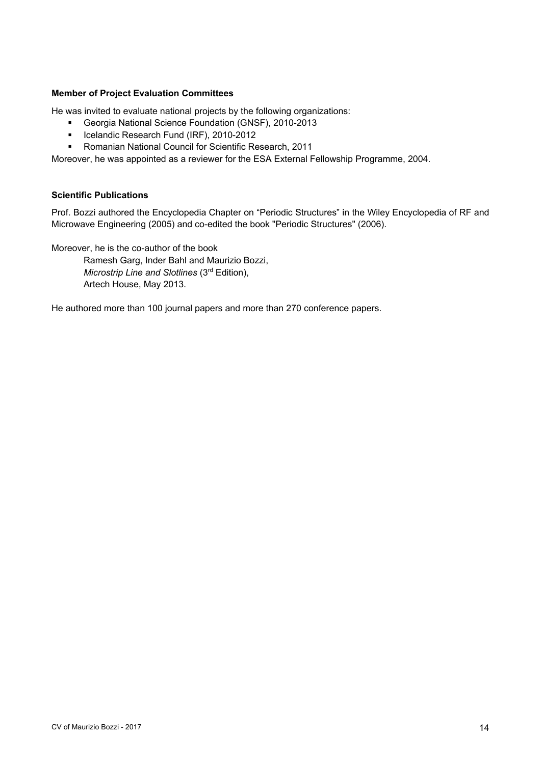#### **Member of Project Evaluation Committees**

He was invited to evaluate national projects by the following organizations:

- Georgia National Science Foundation (GNSF), 2010-2013
- **ICelandic Research Fund (IRF), 2010-2012**
- Romanian National Council for Scientific Research, 2011

Moreover, he was appointed as a reviewer for the ESA External Fellowship Programme, 2004.

## **Scientific Publications**

Prof. Bozzi authored the Encyclopedia Chapter on "Periodic Structures" in the Wiley Encyclopedia of RF and Microwave Engineering (2005) and co-edited the book "Periodic Structures" (2006).

Moreover, he is the co-author of the book

Ramesh Garg, Inder Bahl and Maurizio Bozzi, *Microstrip Line and Slotlines* (3rd Edition), Artech House, May 2013.

He authored more than 100 journal papers and more than 270 conference papers.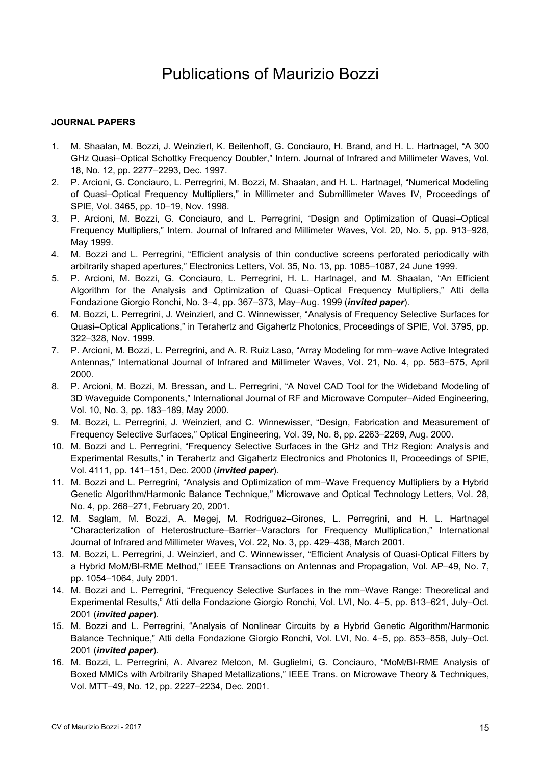# Publications of Maurizio Bozzi

## **JOURNAL PAPERS**

- 1. M. Shaalan, M. Bozzi, J. Weinzierl, K. Beilenhoff, G. Conciauro, H. Brand, and H. L. Hartnagel, "A 300 GHz Quasi–Optical Schottky Frequency Doubler," Intern. Journal of Infrared and Millimeter Waves, Vol. 18, No. 12, pp. 2277–2293, Dec. 1997.
- 2. P. Arcioni, G. Conciauro, L. Perregrini, M. Bozzi, M. Shaalan, and H. L. Hartnagel, "Numerical Modeling of Quasi–Optical Frequency Multipliers," in Millimeter and Submillimeter Waves IV, Proceedings of SPIE, Vol. 3465, pp. 10–19, Nov. 1998.
- 3. P. Arcioni, M. Bozzi, G. Conciauro, and L. Perregrini, "Design and Optimization of Quasi–Optical Frequency Multipliers," Intern. Journal of Infrared and Millimeter Waves, Vol. 20, No. 5, pp. 913–928, May 1999.
- 4. M. Bozzi and L. Perregrini, "Efficient analysis of thin conductive screens perforated periodically with arbitrarily shaped apertures," Electronics Letters, Vol. 35, No. 13, pp. 1085–1087, 24 June 1999.
- 5. P. Arcioni, M. Bozzi, G. Conciauro, L. Perregrini, H. L. Hartnagel, and M. Shaalan, "An Efficient Algorithm for the Analysis and Optimization of Quasi–Optical Frequency Multipliers," Atti della Fondazione Giorgio Ronchi, No. 3–4, pp. 367–373, May–Aug. 1999 (*invited paper*).
- 6. M. Bozzi, L. Perregrini, J. Weinzierl, and C. Winnewisser, "Analysis of Frequency Selective Surfaces for Quasi–Optical Applications," in Terahertz and Gigahertz Photonics, Proceedings of SPIE, Vol. 3795, pp. 322–328, Nov. 1999.
- 7. P. Arcioni, M. Bozzi, L. Perregrini, and A. R. Ruiz Laso, "Array Modeling for mm–wave Active Integrated Antennas," International Journal of Infrared and Millimeter Waves, Vol. 21, No. 4, pp. 563–575, April 2000.
- 8. P. Arcioni, M. Bozzi, M. Bressan, and L. Perregrini, "A Novel CAD Tool for the Wideband Modeling of 3D Waveguide Components," International Journal of RF and Microwave Computer–Aided Engineering, Vol. 10, No. 3, pp. 183–189, May 2000.
- 9. M. Bozzi, L. Perregrini, J. Weinzierl, and C. Winnewisser, "Design, Fabrication and Measurement of Frequency Selective Surfaces," Optical Engineering, Vol. 39, No. 8, pp. 2263–2269, Aug. 2000.
- 10. M. Bozzi and L. Perregrini, "Frequency Selective Surfaces in the GHz and THz Region: Analysis and Experimental Results," in Terahertz and Gigahertz Electronics and Photonics II, Proceedings of SPIE, Vol. 4111, pp. 141–151, Dec. 2000 (*invited paper*).
- 11. M. Bozzi and L. Perregrini, "Analysis and Optimization of mm–Wave Frequency Multipliers by a Hybrid Genetic Algorithm/Harmonic Balance Technique," Microwave and Optical Technology Letters, Vol. 28, No. 4, pp. 268–271, February 20, 2001.
- 12. M. Saglam, M. Bozzi, A. Megej, M. Rodriguez–Girones, L. Perregrini, and H. L. Hartnagel "Characterization of Heterostructure–Barrier–Varactors for Frequency Multiplication," International Journal of Infrared and Millimeter Waves, Vol. 22, No. 3, pp. 429–438, March 2001.
- 13. M. Bozzi, L. Perregrini, J. Weinzierl, and C. Winnewisser, "Efficient Analysis of Quasi-Optical Filters by a Hybrid MoM/BI-RME Method," IEEE Transactions on Antennas and Propagation, Vol. AP–49, No. 7, pp. 1054–1064, July 2001.
- 14. M. Bozzi and L. Perregrini, "Frequency Selective Surfaces in the mm–Wave Range: Theoretical and Experimental Results," Atti della Fondazione Giorgio Ronchi, Vol. LVI, No. 4–5, pp. 613–621, July–Oct. 2001 (*invited paper*).
- 15. M. Bozzi and L. Perregrini, "Analysis of Nonlinear Circuits by a Hybrid Genetic Algorithm/Harmonic Balance Technique," Atti della Fondazione Giorgio Ronchi, Vol. LVI, No. 4–5, pp. 853–858, July–Oct. 2001 (*invited paper*).
- 16. M. Bozzi, L. Perregrini, A. Alvarez Melcon, M. Guglielmi, G. Conciauro, "MoM/BI-RME Analysis of Boxed MMICs with Arbitrarily Shaped Metallizations," IEEE Trans. on Microwave Theory & Techniques, Vol. MTT–49, No. 12, pp. 2227–2234, Dec. 2001.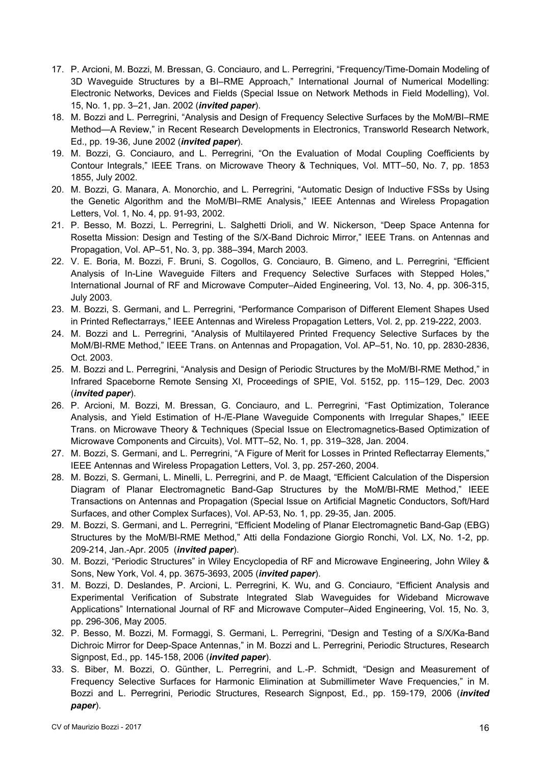- 17. P. Arcioni, M. Bozzi, M. Bressan, G. Conciauro, and L. Perregrini, "Frequency/Time-Domain Modeling of 3D Waveguide Structures by a BI–RME Approach," International Journal of Numerical Modelling: Electronic Networks, Devices and Fields (Special Issue on Network Methods in Field Modelling), Vol. 15, No. 1, pp. 3–21, Jan. 2002 (*invited paper*).
- 18. M. Bozzi and L. Perregrini, "Analysis and Design of Frequency Selective Surfaces by the MoM/BI–RME Method—A Review," in Recent Research Developments in Electronics, Transworld Research Network, Ed., pp. 19-36, June 2002 (*invited paper*).
- 19. M. Bozzi, G. Conciauro, and L. Perregrini, "On the Evaluation of Modal Coupling Coefficients by Contour Integrals," IEEE Trans. on Microwave Theory & Techniques, Vol. MTT–50, No. 7, pp. 1853 1855, July 2002.
- 20. M. Bozzi, G. Manara, A. Monorchio, and L. Perregrini, "Automatic Design of Inductive FSSs by Using the Genetic Algorithm and the MoM/BI–RME Analysis," IEEE Antennas and Wireless Propagation Letters, Vol. 1, No. 4, pp. 91-93, 2002.
- 21. P. Besso, M. Bozzi, L. Perregrini, L. Salghetti Drioli, and W. Nickerson, "Deep Space Antenna for Rosetta Mission: Design and Testing of the S/X-Band Dichroic Mirror," IEEE Trans. on Antennas and Propagation, Vol. AP–51, No. 3, pp. 388–394, March 2003.
- 22. V. E. Boria, M. Bozzi, F. Bruni, S. Cogollos, G. Conciauro, B. Gimeno, and L. Perregrini, "Efficient Analysis of In-Line Waveguide Filters and Frequency Selective Surfaces with Stepped Holes," International Journal of RF and Microwave Computer–Aided Engineering, Vol. 13, No. 4, pp. 306-315, July 2003.
- 23. M. Bozzi, S. Germani, and L. Perregrini, "Performance Comparison of Different Element Shapes Used in Printed Reflectarrays," IEEE Antennas and Wireless Propagation Letters, Vol. 2, pp. 219-222, 2003.
- 24. M. Bozzi and L. Perregrini, "Analysis of Multilayered Printed Frequency Selective Surfaces by the MoM/BI-RME Method," IEEE Trans. on Antennas and Propagation, Vol. AP–51, No. 10, pp. 2830-2836, Oct. 2003.
- 25. M. Bozzi and L. Perregrini, "Analysis and Design of Periodic Structures by the MoM/BI-RME Method," in Infrared Spaceborne Remote Sensing XI, Proceedings of SPIE, Vol. 5152, pp. 115–129, Dec. 2003 (*invited paper*).
- 26. P. Arcioni, M. Bozzi, M. Bressan, G. Conciauro, and L. Perregrini, "Fast Optimization, Tolerance Analysis, and Yield Estimation of H-/E-Plane Waveguide Components with Irregular Shapes," IEEE Trans. on Microwave Theory & Techniques (Special Issue on Electromagnetics-Based Optimization of Microwave Components and Circuits), Vol. MTT–52, No. 1, pp. 319–328, Jan. 2004.
- 27. M. Bozzi, S. Germani, and L. Perregrini, "A Figure of Merit for Losses in Printed Reflectarray Elements," IEEE Antennas and Wireless Propagation Letters, Vol. 3, pp. 257-260, 2004.
- 28. M. Bozzi, S. Germani, L. Minelli, L. Perregrini, and P. de Maagt, "Efficient Calculation of the Dispersion Diagram of Planar Electromagnetic Band-Gap Structures by the MoM/BI-RME Method," IEEE Transactions on Antennas and Propagation (Special Issue on Artificial Magnetic Conductors, Soft/Hard Surfaces, and other Complex Surfaces), Vol. AP-53, No. 1, pp. 29-35, Jan. 2005.
- 29. M. Bozzi, S. Germani, and L. Perregrini, "Efficient Modeling of Planar Electromagnetic Band-Gap (EBG) Structures by the MoM/BI-RME Method," Atti della Fondazione Giorgio Ronchi, Vol. LX, No. 1-2, pp. 209-214, Jan.-Apr. 2005 (*invited paper*).
- 30. M. Bozzi, "Periodic Structures" in Wiley Encyclopedia of RF and Microwave Engineering, John Wiley & Sons, New York, Vol. 4, pp. 3675-3693, 2005 (*invited paper*).
- 31. M. Bozzi, D. Deslandes, P. Arcioni, L. Perregrini, K. Wu, and G. Conciauro, "Efficient Analysis and Experimental Verification of Substrate Integrated Slab Waveguides for Wideband Microwave Applications" International Journal of RF and Microwave Computer–Aided Engineering, Vol. 15, No. 3, pp. 296-306, May 2005.
- 32. P. Besso, M. Bozzi, M. Formaggi, S. Germani, L. Perregrini, "Design and Testing of a S/X/Ka-Band Dichroic Mirror for Deep-Space Antennas," in M. Bozzi and L. Perregrini, Periodic Structures, Research Signpost, Ed., pp. 145-158, 2006 (*invited paper*).
- 33. S. Biber, M. Bozzi, O. Günther, L. Perregrini, and L.-P. Schmidt, "Design and Measurement of Frequency Selective Surfaces for Harmonic Elimination at Submillimeter Wave Frequencies," in M. Bozzi and L. Perregrini, Periodic Structures, Research Signpost, Ed., pp. 159-179, 2006 (*invited paper*).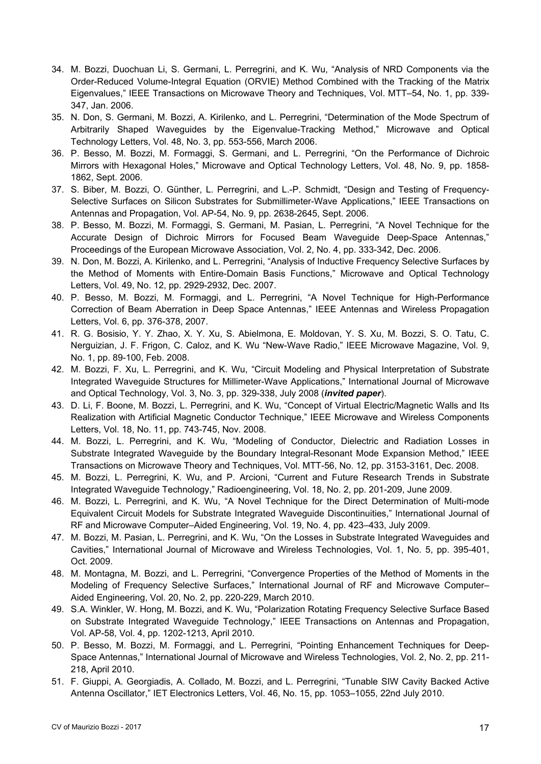- 34. M. Bozzi, Duochuan Li, S. Germani, L. Perregrini, and K. Wu, "Analysis of NRD Components via the Order-Reduced Volume-Integral Equation (ORVIE) Method Combined with the Tracking of the Matrix Eigenvalues," IEEE Transactions on Microwave Theory and Techniques, Vol. MTT–54, No. 1, pp. 339- 347, Jan. 2006.
- 35. N. Don, S. Germani, M. Bozzi, A. Kirilenko, and L. Perregrini, "Determination of the Mode Spectrum of Arbitrarily Shaped Waveguides by the Eigenvalue-Tracking Method," Microwave and Optical Technology Letters, Vol. 48, No. 3, pp. 553-556, March 2006.
- 36. P. Besso, M. Bozzi, M. Formaggi, S. Germani, and L. Perregrini, "On the Performance of Dichroic Mirrors with Hexagonal Holes," Microwave and Optical Technology Letters, Vol. 48, No. 9, pp. 1858- 1862, Sept. 2006.
- 37. S. Biber, M. Bozzi, O. Günther, L. Perregrini, and L.-P. Schmidt, "Design and Testing of Frequency-Selective Surfaces on Silicon Substrates for Submillimeter-Wave Applications," IEEE Transactions on Antennas and Propagation, Vol. AP-54, No. 9, pp. 2638-2645, Sept. 2006.
- 38. P. Besso, M. Bozzi, M. Formaggi, S. Germani, M. Pasian, L. Perregrini, "A Novel Technique for the Accurate Design of Dichroic Mirrors for Focused Beam Waveguide Deep-Space Antennas," Proceedings of the European Microwave Association, Vol. 2, No. 4, pp. 333-342, Dec. 2006.
- 39. N. Don, M. Bozzi, A. Kirilenko, and L. Perregrini, "Analysis of Inductive Frequency Selective Surfaces by the Method of Moments with Entire-Domain Basis Functions," Microwave and Optical Technology Letters, Vol. 49, No. 12, pp. 2929-2932, Dec. 2007.
- 40. P. Besso, M. Bozzi, M. Formaggi, and L. Perregrini, "A Novel Technique for High-Performance Correction of Beam Aberration in Deep Space Antennas," IEEE Antennas and Wireless Propagation Letters, Vol. 6, pp. 376-378, 2007.
- 41. R. G. Bosisio, Y. Y. Zhao, X. Y. Xu, S. Abielmona, E. Moldovan, Y. S. Xu, M. Bozzi, S. O. Tatu, C. Nerguizian, J. F. Frigon, C. Caloz, and K. Wu "New-Wave Radio," IEEE Microwave Magazine, Vol. 9, No. 1, pp. 89-100, Feb. 2008.
- 42. M. Bozzi, F. Xu, L. Perregrini, and K. Wu, "Circuit Modeling and Physical Interpretation of Substrate Integrated Waveguide Structures for Millimeter-Wave Applications," International Journal of Microwave and Optical Technology, Vol. 3, No. 3, pp. 329-338, July 2008 (*invited paper*).
- 43. D. Li, F. Boone, M. Bozzi, L. Perregrini, and K. Wu, "Concept of Virtual Electric/Magnetic Walls and Its Realization with Artificial Magnetic Conductor Technique," IEEE Microwave and Wireless Components Letters, Vol. 18, No. 11, pp. 743-745, Nov. 2008.
- 44. M. Bozzi, L. Perregrini, and K. Wu, "Modeling of Conductor, Dielectric and Radiation Losses in Substrate Integrated Waveguide by the Boundary Integral-Resonant Mode Expansion Method," IEEE Transactions on Microwave Theory and Techniques, Vol. MTT-56, No. 12, pp. 3153-3161, Dec. 2008.
- 45. M. Bozzi, L. Perregrini, K. Wu, and P. Arcioni, "Current and Future Research Trends in Substrate Integrated Waveguide Technology," Radioengineering, Vol. 18, No. 2, pp. 201-209, June 2009.
- 46. M. Bozzi, L. Perregrini, and K. Wu, "A Novel Technique for the Direct Determination of Multi-mode Equivalent Circuit Models for Substrate Integrated Waveguide Discontinuities," International Journal of RF and Microwave Computer–Aided Engineering, Vol. 19, No. 4, pp. 423–433, July 2009.
- 47. M. Bozzi, M. Pasian, L. Perregrini, and K. Wu, "On the Losses in Substrate Integrated Waveguides and Cavities," International Journal of Microwave and Wireless Technologies, Vol. 1, No. 5, pp. 395-401, Oct. 2009.
- 48. M. Montagna, M. Bozzi, and L. Perregrini, "Convergence Properties of the Method of Moments in the Modeling of Frequency Selective Surfaces," International Journal of RF and Microwave Computer– Aided Engineering, Vol. 20, No. 2, pp. 220-229, March 2010.
- 49. S.A. Winkler, W. Hong, M. Bozzi, and K. Wu, "Polarization Rotating Frequency Selective Surface Based on Substrate Integrated Waveguide Technology," IEEE Transactions on Antennas and Propagation, Vol. AP-58, Vol. 4, pp. 1202-1213, April 2010.
- 50. P. Besso, M. Bozzi, M. Formaggi, and L. Perregrini, "Pointing Enhancement Techniques for Deep-Space Antennas," International Journal of Microwave and Wireless Technologies, Vol. 2, No. 2, pp. 211- 218, April 2010.
- 51. F. Giuppi, A. Georgiadis, A. Collado, M. Bozzi, and L. Perregrini, "Tunable SIW Cavity Backed Active Antenna Oscillator," IET Electronics Letters, Vol. 46, No. 15, pp. 1053–1055, 22nd July 2010.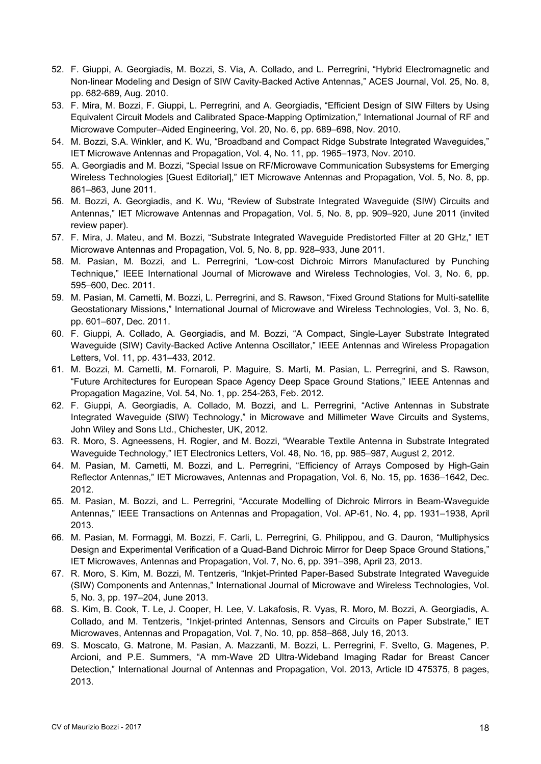- 52. F. Giuppi, A. Georgiadis, M. Bozzi, S. Via, A. Collado, and L. Perregrini, "Hybrid Electromagnetic and Non-linear Modeling and Design of SIW Cavity-Backed Active Antennas," ACES Journal, Vol. 25, No. 8, pp. 682-689, Aug. 2010.
- 53. F. Mira, M. Bozzi, F. Giuppi, L. Perregrini, and A. Georgiadis, "Efficient Design of SIW Filters by Using Equivalent Circuit Models and Calibrated Space-Mapping Optimization," International Journal of RF and Microwave Computer–Aided Engineering, Vol. 20, No. 6, pp. 689–698, Nov. 2010.
- 54. M. Bozzi, S.A. Winkler, and K. Wu, "Broadband and Compact Ridge Substrate Integrated Waveguides," IET Microwave Antennas and Propagation, Vol. 4, No. 11, pp. 1965–1973, Nov. 2010.
- 55. A. Georgiadis and M. Bozzi, "Special Issue on RF/Microwave Communication Subsystems for Emerging Wireless Technologies [Guest Editorial]," IET Microwave Antennas and Propagation, Vol. 5, No. 8, pp. 861–863, June 2011.
- 56. M. Bozzi, A. Georgiadis, and K. Wu, "Review of Substrate Integrated Waveguide (SIW) Circuits and Antennas," IET Microwave Antennas and Propagation, Vol. 5, No. 8, pp. 909–920, June 2011 (invited review paper).
- 57. F. Mira, J. Mateu, and M. Bozzi, "Substrate Integrated Waveguide Predistorted Filter at 20 GHz," IET Microwave Antennas and Propagation, Vol. 5, No. 8, pp. 928–933, June 2011.
- 58. M. Pasian, M. Bozzi, and L. Perregrini, "Low-cost Dichroic Mirrors Manufactured by Punching Technique," IEEE International Journal of Microwave and Wireless Technologies, Vol. 3, No. 6, pp. 595–600, Dec. 2011.
- 59. M. Pasian, M. Cametti, M. Bozzi, L. Perregrini, and S. Rawson, "Fixed Ground Stations for Multi-satellite Geostationary Missions," International Journal of Microwave and Wireless Technologies, Vol. 3, No. 6, pp. 601–607, Dec. 2011.
- 60. F. Giuppi, A. Collado, A. Georgiadis, and M. Bozzi, "A Compact, Single-Layer Substrate Integrated Waveguide (SIW) Cavity-Backed Active Antenna Oscillator," IEEE Antennas and Wireless Propagation Letters, Vol. 11, pp. 431–433, 2012.
- 61. M. Bozzi, M. Cametti, M. Fornaroli, P. Maguire, S. Marti, M. Pasian, L. Perregrini, and S. Rawson, "Future Architectures for European Space Agency Deep Space Ground Stations," IEEE Antennas and Propagation Magazine, Vol. 54, No. 1, pp. 254-263, Feb. 2012.
- 62. F. Giuppi, A. Georgiadis, A. Collado, M. Bozzi, and L. Perregrini, "Active Antennas in Substrate Integrated Waveguide (SIW) Technology," in Microwave and Millimeter Wave Circuits and Systems, John Wiley and Sons Ltd., Chichester, UK, 2012.
- 63. R. Moro, S. Agneessens, H. Rogier, and M. Bozzi, "Wearable Textile Antenna in Substrate Integrated Waveguide Technology," IET Electronics Letters, Vol. 48, No. 16, pp. 985–987, August 2, 2012.
- 64. M. Pasian, M. Cametti, M. Bozzi, and L. Perregrini, "Efficiency of Arrays Composed by High-Gain Reflector Antennas," IET Microwaves, Antennas and Propagation, Vol. 6, No. 15, pp. 1636–1642, Dec. 2012.
- 65. M. Pasian, M. Bozzi, and L. Perregrini, "Accurate Modelling of Dichroic Mirrors in Beam-Waveguide Antennas," IEEE Transactions on Antennas and Propagation, Vol. AP-61, No. 4, pp. 1931–1938, April 2013.
- 66. M. Pasian, M. Formaggi, M. Bozzi, F. Carli, L. Perregrini, G. Philippou, and G. Dauron, "Multiphysics Design and Experimental Verification of a Quad-Band Dichroic Mirror for Deep Space Ground Stations," IET Microwaves, Antennas and Propagation, Vol. 7, No. 6, pp. 391–398, April 23, 2013.
- 67. R. Moro, S. Kim, M. Bozzi, M. Tentzeris, "Inkjet-Printed Paper-Based Substrate Integrated Waveguide (SIW) Components and Antennas," International Journal of Microwave and Wireless Technologies, Vol. 5, No. 3, pp. 197–204, June 2013.
- 68. S. Kim, B. Cook, T. Le, J. Cooper, H. Lee, V. Lakafosis, R. Vyas, R. Moro, M. Bozzi, A. Georgiadis, A. Collado, and M. Tentzeris, "Inkjet-printed Antennas, Sensors and Circuits on Paper Substrate," IET Microwaves, Antennas and Propagation, Vol. 7, No. 10, pp. 858–868, July 16, 2013.
- 69. S. Moscato, G. Matrone, M. Pasian, A. Mazzanti, M. Bozzi, L. Perregrini, F. Svelto, G. Magenes, P. Arcioni, and P.E. Summers, "A mm-Wave 2D Ultra-Wideband Imaging Radar for Breast Cancer Detection," International Journal of Antennas and Propagation, Vol. 2013, Article ID 475375, 8 pages, 2013.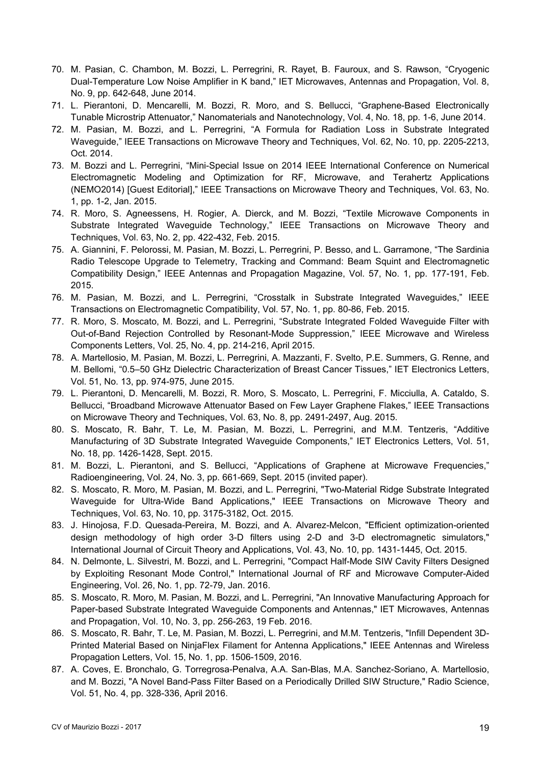- 70. M. Pasian, C. Chambon, M. Bozzi, L. Perregrini, R. Rayet, B. Fauroux, and S. Rawson, "Cryogenic Dual-Temperature Low Noise Amplifier in K band," IET Microwaves, Antennas and Propagation, Vol. 8, No. 9, pp. 642-648, June 2014.
- 71. L. Pierantoni, D. Mencarelli, M. Bozzi, R. Moro, and S. Bellucci, "Graphene-Based Electronically Tunable Microstrip Attenuator," Nanomaterials and Nanotechnology, Vol. 4, No. 18, pp. 1-6, June 2014.
- 72. M. Pasian, M. Bozzi, and L. Perregrini, "A Formula for Radiation Loss in Substrate Integrated Waveguide," IEEE Transactions on Microwave Theory and Techniques, Vol. 62, No. 10, pp. 2205-2213, Oct. 2014.
- 73. M. Bozzi and L. Perregrini, "Mini-Special Issue on 2014 IEEE International Conference on Numerical Electromagnetic Modeling and Optimization for RF, Microwave, and Terahertz Applications (NEMO2014) [Guest Editorial]," IEEE Transactions on Microwave Theory and Techniques, Vol. 63, No. 1, pp. 1-2, Jan. 2015.
- 74. R. Moro, S. Agneessens, H. Rogier, A. Dierck, and M. Bozzi, "Textile Microwave Components in Substrate Integrated Waveguide Technology," IEEE Transactions on Microwave Theory and Techniques, Vol. 63, No. 2, pp. 422-432, Feb. 2015.
- 75. A. Giannini, F. Pelorossi, M. Pasian, M. Bozzi, L. Perregrini, P. Besso, and L. Garramone, "The Sardinia Radio Telescope Upgrade to Telemetry, Tracking and Command: Beam Squint and Electromagnetic Compatibility Design," IEEE Antennas and Propagation Magazine, Vol. 57, No. 1, pp. 177-191, Feb. 2015.
- 76. M. Pasian, M. Bozzi, and L. Perregrini, "Crosstalk in Substrate Integrated Waveguides," IEEE Transactions on Electromagnetic Compatibility, Vol. 57, No. 1, pp. 80-86, Feb. 2015.
- 77. R. Moro, S. Moscato, M. Bozzi, and L. Perregrini, "Substrate Integrated Folded Waveguide Filter with Out-of-Band Rejection Controlled by Resonant-Mode Suppression," IEEE Microwave and Wireless Components Letters, Vol. 25, No. 4, pp. 214-216, April 2015.
- 78. A. Martellosio, M. Pasian, M. Bozzi, L. Perregrini, A. Mazzanti, F. Svelto, P.E. Summers, G. Renne, and M. Bellomi, "0.5–50 GHz Dielectric Characterization of Breast Cancer Tissues," IET Electronics Letters, Vol. 51, No. 13, pp. 974-975, June 2015.
- 79. L. Pierantoni, D. Mencarelli, M. Bozzi, R. Moro, S. Moscato, L. Perregrini, F. Micciulla, A. Cataldo, S. Bellucci, "Broadband Microwave Attenuator Based on Few Layer Graphene Flakes," IEEE Transactions on Microwave Theory and Techniques, Vol. 63, No. 8, pp. 2491-2497, Aug. 2015.
- 80. S. Moscato, R. Bahr, T. Le, M. Pasian, M. Bozzi, L. Perregrini, and M.M. Tentzeris, "Additive Manufacturing of 3D Substrate Integrated Waveguide Components," IET Electronics Letters, Vol. 51, No. 18, pp. 1426-1428, Sept. 2015.
- 81. M. Bozzi, L. Pierantoni, and S. Bellucci, "Applications of Graphene at Microwave Frequencies," Radioengineering, Vol. 24, No. 3, pp. 661-669, Sept. 2015 (invited paper).
- 82. S. Moscato, R. Moro, M. Pasian, M. Bozzi, and L. Perregrini, "Two-Material Ridge Substrate Integrated Waveguide for Ultra-Wide Band Applications," IEEE Transactions on Microwave Theory and Techniques, Vol. 63, No. 10, pp. 3175-3182, Oct. 2015.
- 83. J. Hinojosa, F.D. Quesada-Pereira, M. Bozzi, and A. Alvarez-Melcon, "Efficient optimization-oriented design methodology of high order 3-D filters using 2-D and 3-D electromagnetic simulators," International Journal of Circuit Theory and Applications, Vol. 43, No. 10, pp. 1431-1445, Oct. 2015.
- 84. N. Delmonte, L. Silvestri, M. Bozzi, and L. Perregrini, "Compact Half-Mode SIW Cavity Filters Designed by Exploiting Resonant Mode Control," International Journal of RF and Microwave Computer-Aided Engineering, Vol. 26, No. 1, pp. 72-79, Jan. 2016.
- 85. S. Moscato, R. Moro, M. Pasian, M. Bozzi, and L. Perregrini, "An Innovative Manufacturing Approach for Paper-based Substrate Integrated Waveguide Components and Antennas," IET Microwaves, Antennas and Propagation, Vol. 10, No. 3, pp. 256-263, 19 Feb. 2016.
- 86. S. Moscato, R. Bahr, T. Le, M. Pasian, M. Bozzi, L. Perregrini, and M.M. Tentzeris, "Infill Dependent 3D-Printed Material Based on NinjaFlex Filament for Antenna Applications," IEEE Antennas and Wireless Propagation Letters, Vol. 15, No. 1, pp. 1506-1509, 2016.
- 87. A. Coves, E. Bronchalo, G. Torregrosa-Penalva, A.A. San-Blas, M.A. Sanchez-Soriano, A. Martellosio, and M. Bozzi, "A Novel Band-Pass Filter Based on a Periodically Drilled SIW Structure," Radio Science, Vol. 51, No. 4, pp. 328-336, April 2016.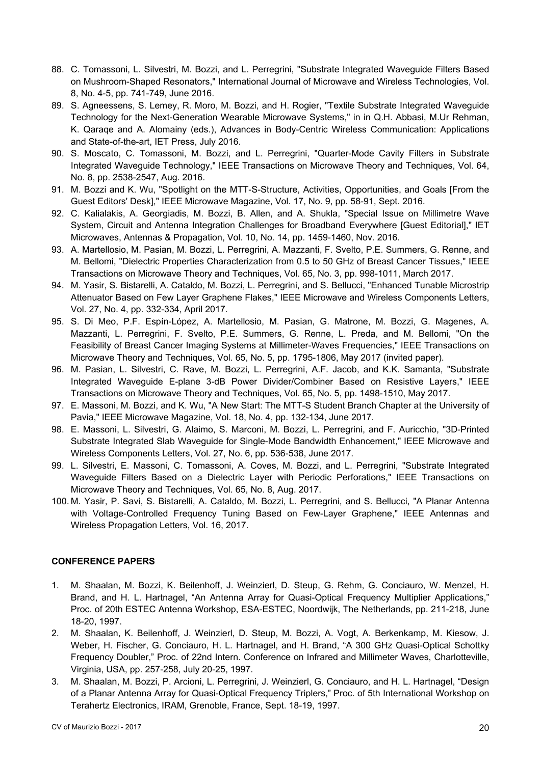- 88. C. Tomassoni, L. Silvestri, M. Bozzi, and L. Perregrini, "Substrate Integrated Waveguide Filters Based on Mushroom-Shaped Resonators," International Journal of Microwave and Wireless Technologies, Vol. 8, No. 4-5, pp. 741-749, June 2016.
- 89. S. Agneessens, S. Lemey, R. Moro, M. Bozzi, and H. Rogier, "Textile Substrate Integrated Waveguide Technology for the Next-Generation Wearable Microwave Systems," in in Q.H. Abbasi, M.Ur Rehman, K. Qaraqe and A. Alomainy (eds.), Advances in Body-Centric Wireless Communication: Applications and State-of-the-art, IET Press, July 2016.
- 90. S. Moscato, C. Tomassoni, M. Bozzi, and L. Perregrini, "Quarter-Mode Cavity Filters in Substrate Integrated Waveguide Technology," IEEE Transactions on Microwave Theory and Techniques, Vol. 64, No. 8, pp. 2538-2547, Aug. 2016.
- 91. M. Bozzi and K. Wu, "Spotlight on the MTT-S-Structure, Activities, Opportunities, and Goals [From the Guest Editors' Desk]," IEEE Microwave Magazine, Vol. 17, No. 9, pp. 58-91, Sept. 2016.
- 92. C. Kalialakis, A. Georgiadis, M. Bozzi, B. Allen, and A. Shukla, "Special Issue on Millimetre Wave System, Circuit and Antenna Integration Challenges for Broadband Everywhere [Guest Editorial]," IET Microwaves, Antennas & Propagation, Vol. 10, No. 14, pp. 1459-1460, Nov. 2016.
- 93. A. Martellosio, M. Pasian, M. Bozzi, L. Perregrini, A. Mazzanti, F. Svelto, P.E. Summers, G. Renne, and M. Bellomi, "Dielectric Properties Characterization from 0.5 to 50 GHz of Breast Cancer Tissues," IEEE Transactions on Microwave Theory and Techniques, Vol. 65, No. 3, pp. 998-1011, March 2017.
- 94. M. Yasir, S. Bistarelli, A. Cataldo, M. Bozzi, L. Perregrini, and S. Bellucci, "Enhanced Tunable Microstrip Attenuator Based on Few Layer Graphene Flakes," IEEE Microwave and Wireless Components Letters, Vol. 27, No. 4, pp. 332-334, April 2017.
- 95. S. Di Meo, P.F. Espín-López, A. Martellosio, M. Pasian, G. Matrone, M. Bozzi, G. Magenes, A. Mazzanti, L. Perregrini, F. Svelto, P.E. Summers, G. Renne, L. Preda, and M. Bellomi, "On the Feasibility of Breast Cancer Imaging Systems at Millimeter-Waves Frequencies," IEEE Transactions on Microwave Theory and Techniques, Vol. 65, No. 5, pp. 1795-1806, May 2017 (invited paper).
- 96. M. Pasian, L. Silvestri, C. Rave, M. Bozzi, L. Perregrini, A.F. Jacob, and K.K. Samanta, "Substrate Integrated Waveguide E-plane 3-dB Power Divider/Combiner Based on Resistive Layers," IEEE Transactions on Microwave Theory and Techniques, Vol. 65, No. 5, pp. 1498-1510, May 2017.
- 97. E. Massoni, M. Bozzi, and K. Wu, "A New Start: The MTT-S Student Branch Chapter at the University of Pavia," IEEE Microwave Magazine, Vol. 18, No. 4, pp. 132-134, June 2017.
- 98. E. Massoni, L. Silvestri, G. Alaimo, S. Marconi, M. Bozzi, L. Perregrini, and F. Auricchio, "3D-Printed Substrate Integrated Slab Waveguide for Single-Mode Bandwidth Enhancement," IEEE Microwave and Wireless Components Letters, Vol. 27, No. 6, pp. 536-538, June 2017.
- 99. L. Silvestri, E. Massoni, C. Tomassoni, A. Coves, M. Bozzi, and L. Perregrini, "Substrate Integrated Waveguide Filters Based on a Dielectric Layer with Periodic Perforations," IEEE Transactions on Microwave Theory and Techniques, Vol. 65, No. 8, Aug. 2017.
- 100. M. Yasir, P. Savi, S. Bistarelli, A. Cataldo, M. Bozzi, L. Perregrini, and S. Bellucci, "A Planar Antenna with Voltage-Controlled Frequency Tuning Based on Few-Layer Graphene," IEEE Antennas and Wireless Propagation Letters, Vol. 16, 2017.

# **CONFERENCE PAPERS**

- 1. M. Shaalan, M. Bozzi, K. Beilenhoff, J. Weinzierl, D. Steup, G. Rehm, G. Conciauro, W. Menzel, H. Brand, and H. L. Hartnagel, "An Antenna Array for Quasi-Optical Frequency Multiplier Applications," Proc. of 20th ESTEC Antenna Workshop, ESA-ESTEC, Noordwijk, The Netherlands, pp. 211-218, June 18-20, 1997.
- 2. M. Shaalan, K. Beilenhoff, J. Weinzierl, D. Steup, M. Bozzi, A. Vogt, A. Berkenkamp, M. Kiesow, J. Weber, H. Fischer, G. Conciauro, H. L. Hartnagel, and H. Brand, "A 300 GHz Quasi-Optical Schottky Frequency Doubler," Proc. of 22nd Intern. Conference on Infrared and Millimeter Waves, Charlotteville, Virginia, USA, pp. 257-258, July 20-25, 1997.
- 3. M. Shaalan, M. Bozzi, P. Arcioni, L. Perregrini, J. Weinzierl, G. Conciauro, and H. L. Hartnagel, "Design of a Planar Antenna Array for Quasi-Optical Frequency Triplers," Proc. of 5th International Workshop on Terahertz Electronics, IRAM, Grenoble, France, Sept. 18-19, 1997.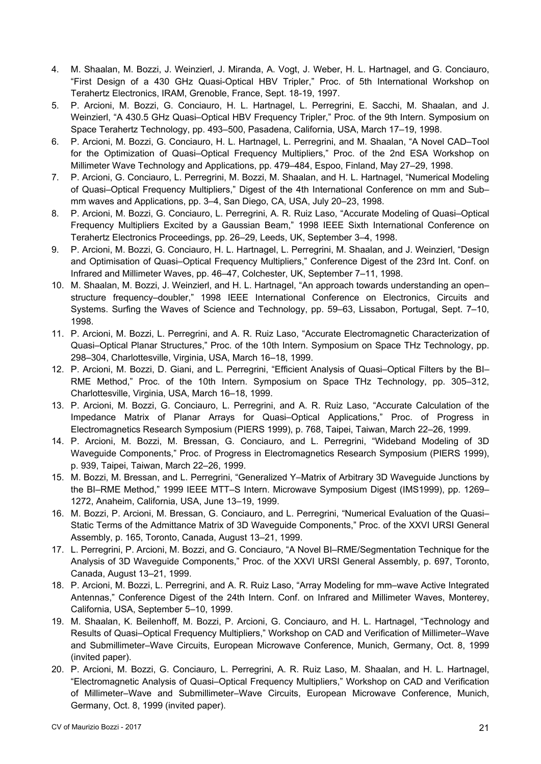- 4. M. Shaalan, M. Bozzi, J. Weinzierl, J. Miranda, A. Vogt, J. Weber, H. L. Hartnagel, and G. Conciauro, "First Design of a 430 GHz Quasi-Optical HBV Tripler," Proc. of 5th International Workshop on Terahertz Electronics, IRAM, Grenoble, France, Sept. 18-19, 1997.
- 5. P. Arcioni, M. Bozzi, G. Conciauro, H. L. Hartnagel, L. Perregrini, E. Sacchi, M. Shaalan, and J. Weinzierl, "A 430.5 GHz Quasi–Optical HBV Frequency Tripler," Proc. of the 9th Intern. Symposium on Space Terahertz Technology, pp. 493–500, Pasadena, California, USA, March 17–19, 1998.
- 6. P. Arcioni, M. Bozzi, G. Conciauro, H. L. Hartnagel, L. Perregrini, and M. Shaalan, "A Novel CAD–Tool for the Optimization of Quasi–Optical Frequency Multipliers," Proc. of the 2nd ESA Workshop on Millimeter Wave Technology and Applications, pp. 479–484, Espoo, Finland, May 27–29, 1998.
- 7. P. Arcioni, G. Conciauro, L. Perregrini, M. Bozzi, M. Shaalan, and H. L. Hartnagel, "Numerical Modeling of Quasi–Optical Frequency Multipliers," Digest of the 4th International Conference on mm and Sub– mm waves and Applications, pp. 3–4, San Diego, CA, USA, July 20–23, 1998.
- 8. P. Arcioni, M. Bozzi, G. Conciauro, L. Perregrini, A. R. Ruiz Laso, "Accurate Modeling of Quasi–Optical Frequency Multipliers Excited by a Gaussian Beam," 1998 IEEE Sixth International Conference on Terahertz Electronics Proceedings, pp. 26–29, Leeds, UK, September 3–4, 1998.
- 9. P. Arcioni, M. Bozzi, G. Conciauro, H. L. Hartnagel, L. Perregrini, M. Shaalan, and J. Weinzierl, "Design and Optimisation of Quasi–Optical Frequency Multipliers," Conference Digest of the 23rd Int. Conf. on Infrared and Millimeter Waves, pp. 46–47, Colchester, UK, September 7–11, 1998.
- 10. M. Shaalan, M. Bozzi, J. Weinzierl, and H. L. Hartnagel, "An approach towards understanding an open– structure frequency–doubler," 1998 IEEE International Conference on Electronics, Circuits and Systems. Surfing the Waves of Science and Technology, pp. 59–63, Lissabon, Portugal, Sept. 7–10, 1998.
- 11. P. Arcioni, M. Bozzi, L. Perregrini, and A. R. Ruiz Laso, "Accurate Electromagnetic Characterization of Quasi–Optical Planar Structures," Proc. of the 10th Intern. Symposium on Space THz Technology, pp. 298–304, Charlottesville, Virginia, USA, March 16–18, 1999.
- 12. P. Arcioni, M. Bozzi, D. Giani, and L. Perregrini, "Efficient Analysis of Quasi–Optical Filters by the BI– RME Method," Proc. of the 10th Intern. Symposium on Space THz Technology, pp. 305–312, Charlottesville, Virginia, USA, March 16–18, 1999.
- 13. P. Arcioni, M. Bozzi, G. Conciauro, L. Perregrini, and A. R. Ruiz Laso, "Accurate Calculation of the Impedance Matrix of Planar Arrays for Quasi–Optical Applications," Proc. of Progress in Electromagnetics Research Symposium (PIERS 1999), p. 768, Taipei, Taiwan, March 22–26, 1999.
- 14. P. Arcioni, M. Bozzi, M. Bressan, G. Conciauro, and L. Perregrini, "Wideband Modeling of 3D Waveguide Components," Proc. of Progress in Electromagnetics Research Symposium (PIERS 1999), p. 939, Taipei, Taiwan, March 22–26, 1999.
- 15. M. Bozzi, M. Bressan, and L. Perregrini, "Generalized Y–Matrix of Arbitrary 3D Waveguide Junctions by the BI–RME Method," 1999 IEEE MTT–S Intern. Microwave Symposium Digest (IMS1999), pp. 1269– 1272, Anaheim, California, USA, June 13–19, 1999.
- 16. M. Bozzi, P. Arcioni, M. Bressan, G. Conciauro, and L. Perregrini, "Numerical Evaluation of the Quasi– Static Terms of the Admittance Matrix of 3D Waveguide Components," Proc. of the XXVI URSI General Assembly, p. 165, Toronto, Canada, August 13–21, 1999.
- 17. L. Perregrini, P. Arcioni, M. Bozzi, and G. Conciauro, "A Novel BI–RME/Segmentation Technique for the Analysis of 3D Waveguide Components," Proc. of the XXVI URSI General Assembly, p. 697, Toronto, Canada, August 13–21, 1999.
- 18. P. Arcioni, M. Bozzi, L. Perregrini, and A. R. Ruiz Laso, "Array Modeling for mm–wave Active Integrated Antennas," Conference Digest of the 24th Intern. Conf. on Infrared and Millimeter Waves, Monterey, California, USA, September 5–10, 1999.
- 19. M. Shaalan, K. Beilenhoff, M. Bozzi, P. Arcioni, G. Conciauro, and H. L. Hartnagel, "Technology and Results of Quasi–Optical Frequency Multipliers," Workshop on CAD and Verification of Millimeter–Wave and Submillimeter–Wave Circuits, European Microwave Conference, Munich, Germany, Oct. 8, 1999 (invited paper).
- 20. P. Arcioni, M. Bozzi, G. Conciauro, L. Perregrini, A. R. Ruiz Laso, M. Shaalan, and H. L. Hartnagel, "Electromagnetic Analysis of Quasi–Optical Frequency Multipliers," Workshop on CAD and Verification of Millimeter–Wave and Submillimeter–Wave Circuits, European Microwave Conference, Munich, Germany, Oct. 8, 1999 (invited paper).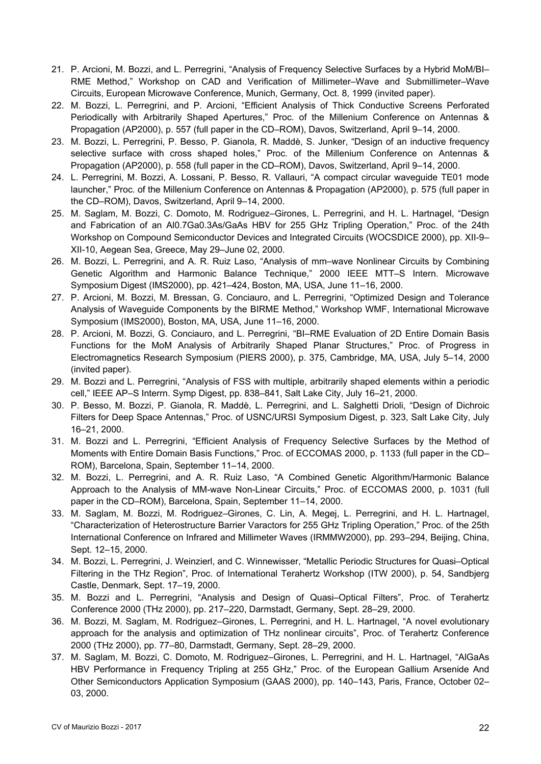- 21. P. Arcioni, M. Bozzi, and L. Perregrini, "Analysis of Frequency Selective Surfaces by a Hybrid MoM/BI– RME Method," Workshop on CAD and Verification of Millimeter–Wave and Submillimeter–Wave Circuits, European Microwave Conference, Munich, Germany, Oct. 8, 1999 (invited paper).
- 22. M. Bozzi, L. Perregrini, and P. Arcioni, "Efficient Analysis of Thick Conductive Screens Perforated Periodically with Arbitrarily Shaped Apertures," Proc. of the Millenium Conference on Antennas & Propagation (AP2000), p. 557 (full paper in the CD–ROM), Davos, Switzerland, April 9–14, 2000.
- 23. M. Bozzi, L. Perregrini, P. Besso, P. Gianola, R. Maddè, S. Junker, "Design of an inductive frequency selective surface with cross shaped holes," Proc. of the Millenium Conference on Antennas & Propagation (AP2000), p. 558 (full paper in the CD–ROM), Davos, Switzerland, April 9–14, 2000.
- 24. L. Perregrini, M. Bozzi, A. Lossani, P. Besso, R. Vallauri, "A compact circular waveguide TE01 mode launcher," Proc. of the Millenium Conference on Antennas & Propagation (AP2000), p. 575 (full paper in the CD–ROM), Davos, Switzerland, April 9–14, 2000.
- 25. M. Saglam, M. Bozzi, C. Domoto, M. Rodriguez–Girones, L. Perregrini, and H. L. Hartnagel, "Design and Fabrication of an Al0.7Ga0.3As/GaAs HBV for 255 GHz Tripling Operation," Proc. of the 24th Workshop on Compound Semiconductor Devices and Integrated Circuits (WOCSDICE 2000), pp. XII-9– XII-10, Aegean Sea, Greece, May 29–June 02, 2000.
- 26. M. Bozzi, L. Perregrini, and A. R. Ruiz Laso, "Analysis of mm–wave Nonlinear Circuits by Combining Genetic Algorithm and Harmonic Balance Technique," 2000 IEEE MTT–S Intern. Microwave Symposium Digest (IMS2000), pp. 421–424, Boston, MA, USA, June 11–16, 2000.
- 27. P. Arcioni, M. Bozzi, M. Bressan, G. Conciauro, and L. Perregrini, "Optimized Design and Tolerance Analysis of Waveguide Components by the BIRME Method," Workshop WMF, International Microwave Symposium (IMS2000), Boston, MA, USA, June 11–16, 2000.
- 28. P. Arcioni, M. Bozzi, G. Conciauro, and L. Perregrini, "BI–RME Evaluation of 2D Entire Domain Basis Functions for the MoM Analysis of Arbitrarily Shaped Planar Structures," Proc. of Progress in Electromagnetics Research Symposium (PIERS 2000), p. 375, Cambridge, MA, USA, July 5–14, 2000 (invited paper).
- 29. M. Bozzi and L. Perregrini, "Analysis of FSS with multiple, arbitrarily shaped elements within a periodic cell," IEEE AP–S Interrn. Symp Digest, pp. 838–841, Salt Lake City, July 16–21, 2000.
- 30. P. Besso, M. Bozzi, P. Gianola, R. Maddè, L. Perregrini, and L. Salghetti Drioli, "Design of Dichroic Filters for Deep Space Antennas," Proc. of USNC/URSI Symposium Digest, p. 323, Salt Lake City, July 16–21, 2000.
- 31. M. Bozzi and L. Perregrini, "Efficient Analysis of Frequency Selective Surfaces by the Method of Moments with Entire Domain Basis Functions," Proc. of ECCOMAS 2000, p. 1133 (full paper in the CD– ROM), Barcelona, Spain, September 11–14, 2000.
- 32. M. Bozzi, L. Perregrini, and A. R. Ruiz Laso, "A Combined Genetic Algorithm/Harmonic Balance Approach to the Analysis of MM-wave Non-Linear Circuits," Proc. of ECCOMAS 2000, p. 1031 (full paper in the CD–ROM), Barcelona, Spain, September 11–14, 2000.
- 33. M. Saglam, M. Bozzi, M. Rodriguez–Girones, C. Lin, A. Megej, L. Perregrini, and H. L. Hartnagel, "Characterization of Heterostructure Barrier Varactors for 255 GHz Tripling Operation," Proc. of the 25th International Conference on Infrared and Millimeter Waves (IRMMW2000), pp. 293–294, Beijing, China, Sept. 12–15, 2000.
- 34. M. Bozzi, L. Perregrini, J. Weinzierl, and C. Winnewisser, "Metallic Periodic Structures for Quasi–Optical Filtering in the THz Region", Proc. of International Terahertz Workshop (ITW 2000), p. 54, Sandbjerg Castle, Denmark, Sept. 17–19, 2000.
- 35. M. Bozzi and L. Perregrini, "Analysis and Design of Quasi–Optical Filters", Proc. of Terahertz Conference 2000 (THz 2000), pp. 217–220, Darmstadt, Germany, Sept. 28–29, 2000.
- 36. M. Bozzi, M. Saglam, M. Rodriguez–Girones, L. Perregrini, and H. L. Hartnagel, "A novel evolutionary approach for the analysis and optimization of THz nonlinear circuits", Proc. of Terahertz Conference 2000 (THz 2000), pp. 77–80, Darmstadt, Germany, Sept. 28–29, 2000.
- 37. M. Saglam, M. Bozzi, C. Domoto, M. Rodriguez–Girones, L. Perregrini, and H. L. Hartnagel, "AlGaAs HBV Performance in Frequency Tripling at 255 GHz," Proc. of the European Gallium Arsenide And Other Semiconductors Application Symposium (GAAS 2000), pp. 140–143, Paris, France, October 02– 03, 2000.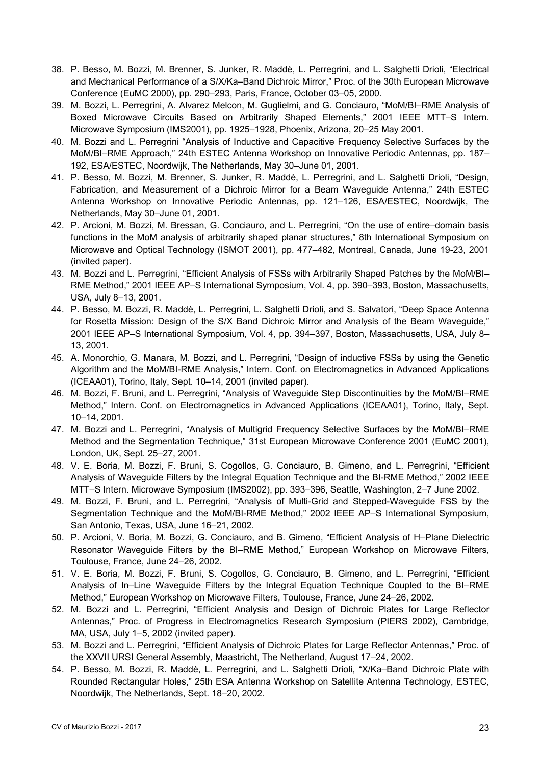- 38. P. Besso, M. Bozzi, M. Brenner, S. Junker, R. Maddè, L. Perregrini, and L. Salghetti Drioli, "Electrical and Mechanical Performance of a S/X/Ka–Band Dichroic Mirror," Proc. of the 30th European Microwave Conference (EuMC 2000), pp. 290–293, Paris, France, October 03–05, 2000.
- 39. M. Bozzi, L. Perregrini, A. Alvarez Melcon, M. Guglielmi, and G. Conciauro, "MoM/BI–RME Analysis of Boxed Microwave Circuits Based on Arbitrarily Shaped Elements," 2001 IEEE MTT–S Intern. Microwave Symposium (IMS2001), pp. 1925–1928, Phoenix, Arizona, 20–25 May 2001.
- 40. M. Bozzi and L. Perregrini "Analysis of Inductive and Capacitive Frequency Selective Surfaces by the MoM/BI–RME Approach," 24th ESTEC Antenna Workshop on Innovative Periodic Antennas, pp. 187– 192, ESA/ESTEC, Noordwijk, The Netherlands, May 30–June 01, 2001.
- 41. P. Besso, M. Bozzi, M. Brenner, S. Junker, R. Maddè, L. Perregrini, and L. Salghetti Drioli, "Design, Fabrication, and Measurement of a Dichroic Mirror for a Beam Waveguide Antenna," 24th ESTEC Antenna Workshop on Innovative Periodic Antennas, pp. 121–126, ESA/ESTEC, Noordwijk, The Netherlands, May 30–June 01, 2001.
- 42. P. Arcioni, M. Bozzi, M. Bressan, G. Conciauro, and L. Perregrini, "On the use of entire–domain basis functions in the MoM analysis of arbitrarily shaped planar structures," 8th International Symposium on Microwave and Optical Technology (ISMOT 2001), pp. 477–482, Montreal, Canada, June 19-23, 2001 (invited paper).
- 43. M. Bozzi and L. Perregrini, "Efficient Analysis of FSSs with Arbitrarily Shaped Patches by the MoM/BI– RME Method," 2001 IEEE AP–S International Symposium, Vol. 4, pp. 390–393, Boston, Massachusetts, USA, July 8–13, 2001.
- 44. P. Besso, M. Bozzi, R. Maddè, L. Perregrini, L. Salghetti Drioli, and S. Salvatori, "Deep Space Antenna for Rosetta Mission: Design of the S/X Band Dichroic Mirror and Analysis of the Beam Waveguide," 2001 IEEE AP–S International Symposium, Vol. 4, pp. 394–397, Boston, Massachusetts, USA, July 8– 13, 2001.
- 45. A. Monorchio, G. Manara, M. Bozzi, and L. Perregrini, "Design of inductive FSSs by using the Genetic Algorithm and the MoM/BI-RME Analysis," Intern. Conf. on Electromagnetics in Advanced Applications (ICEAA01), Torino, Italy, Sept. 10–14, 2001 (invited paper).
- 46. M. Bozzi, F. Bruni, and L. Perregrini, "Analysis of Waveguide Step Discontinuities by the MoM/BI–RME Method," Intern. Conf. on Electromagnetics in Advanced Applications (ICEAA01), Torino, Italy, Sept. 10–14, 2001.
- 47. M. Bozzi and L. Perregrini, "Analysis of Multigrid Frequency Selective Surfaces by the MoM/BI–RME Method and the Segmentation Technique," 31st European Microwave Conference 2001 (EuMC 2001), London, UK, Sept. 25–27, 2001.
- 48. V. E. Boria, M. Bozzi, F. Bruni, S. Cogollos, G. Conciauro, B. Gimeno, and L. Perregrini, "Efficient Analysis of Waveguide Filters by the Integral Equation Technique and the BI-RME Method," 2002 IEEE MTT–S Intern. Microwave Symposium (IMS2002), pp. 393–396, Seattle, Washington, 2–7 June 2002.
- 49. M. Bozzi, F. Bruni, and L. Perregrini, "Analysis of Multi-Grid and Stepped-Waveguide FSS by the Segmentation Technique and the MoM/BI-RME Method," 2002 IEEE AP–S International Symposium, San Antonio, Texas, USA, June 16–21, 2002.
- 50. P. Arcioni, V. Boria, M. Bozzi, G. Conciauro, and B. Gimeno, "Efficient Analysis of H–Plane Dielectric Resonator Waveguide Filters by the BI–RME Method," European Workshop on Microwave Filters, Toulouse, France, June 24–26, 2002.
- 51. V. E. Boria, M. Bozzi, F. Bruni, S. Cogollos, G. Conciauro, B. Gimeno, and L. Perregrini, "Efficient Analysis of In–Line Waveguide Filters by the Integral Equation Technique Coupled to the BI–RME Method," European Workshop on Microwave Filters, Toulouse, France, June 24–26, 2002.
- 52. M. Bozzi and L. Perregrini, "Efficient Analysis and Design of Dichroic Plates for Large Reflector Antennas," Proc. of Progress in Electromagnetics Research Symposium (PIERS 2002), Cambridge, MA, USA, July 1–5, 2002 (invited paper).
- 53. M. Bozzi and L. Perregrini, "Efficient Analysis of Dichroic Plates for Large Reflector Antennas," Proc. of the XXVII URSI General Assembly, Maastricht, The Netherland, August 17–24, 2002.
- 54. P. Besso, M. Bozzi, R. Maddè, L. Perregrini, and L. Salghetti Drioli, "X/Ka–Band Dichroic Plate with Rounded Rectangular Holes," 25th ESA Antenna Workshop on Satellite Antenna Technology, ESTEC, Noordwijk, The Netherlands, Sept. 18–20, 2002.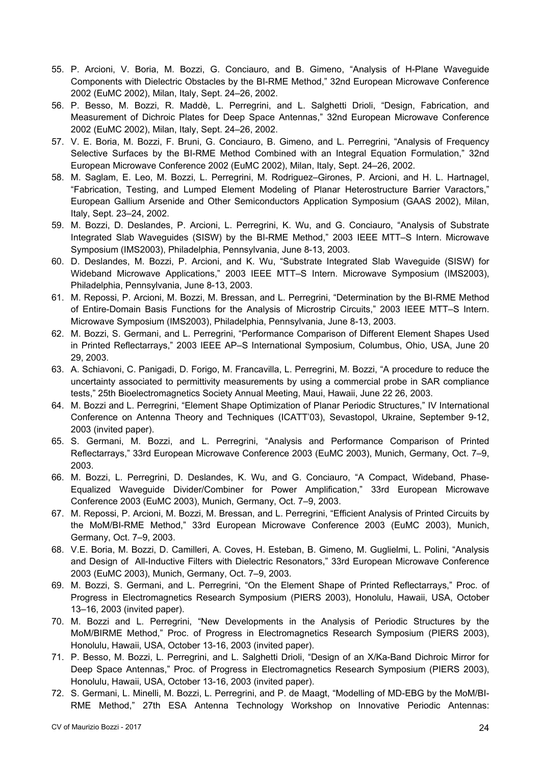- 55. P. Arcioni, V. Boria, M. Bozzi, G. Conciauro, and B. Gimeno, "Analysis of H-Plane Waveguide Components with Dielectric Obstacles by the BI-RME Method," 32nd European Microwave Conference 2002 (EuMC 2002), Milan, Italy, Sept. 24–26, 2002.
- 56. P. Besso, M. Bozzi, R. Maddè, L. Perregrini, and L. Salghetti Drioli, "Design, Fabrication, and Measurement of Dichroic Plates for Deep Space Antennas," 32nd European Microwave Conference 2002 (EuMC 2002), Milan, Italy, Sept. 24–26, 2002.
- 57. V. E. Boria, M. Bozzi, F. Bruni, G. Conciauro, B. Gimeno, and L. Perregrini, "Analysis of Frequency Selective Surfaces by the BI-RME Method Combined with an Integral Equation Formulation," 32nd European Microwave Conference 2002 (EuMC 2002), Milan, Italy, Sept. 24–26, 2002.
- 58. M. Saglam, E. Leo, M. Bozzi, L. Perregrini, M. Rodriguez–Girones, P. Arcioni, and H. L. Hartnagel, "Fabrication, Testing, and Lumped Element Modeling of Planar Heterostructure Barrier Varactors," European Gallium Arsenide and Other Semiconductors Application Symposium (GAAS 2002), Milan, Italy, Sept. 23–24, 2002.
- 59. M. Bozzi, D. Deslandes, P. Arcioni, L. Perregrini, K. Wu, and G. Conciauro, "Analysis of Substrate Integrated Slab Waveguides (SISW) by the BI-RME Method," 2003 IEEE MTT–S Intern. Microwave Symposium (IMS2003), Philadelphia, Pennsylvania, June 8-13, 2003.
- 60. D. Deslandes, M. Bozzi, P. Arcioni, and K. Wu, "Substrate Integrated Slab Waveguide (SISW) for Wideband Microwave Applications," 2003 IEEE MTT–S Intern. Microwave Symposium (IMS2003), Philadelphia, Pennsylvania, June 8-13, 2003.
- 61. M. Repossi, P. Arcioni, M. Bozzi, M. Bressan, and L. Perregrini, "Determination by the BI-RME Method of Entire-Domain Basis Functions for the Analysis of Microstrip Circuits," 2003 IEEE MTT–S Intern. Microwave Symposium (IMS2003), Philadelphia, Pennsylvania, June 8-13, 2003.
- 62. M. Bozzi, S. Germani, and L. Perregrini, "Performance Comparison of Different Element Shapes Used in Printed Reflectarrays," 2003 IEEE AP–S International Symposium, Columbus, Ohio, USA, June 20 29, 2003.
- 63. A. Schiavoni, C. Panigadi, D. Forigo, M. Francavilla, L. Perregrini, M. Bozzi, "A procedure to reduce the uncertainty associated to permittivity measurements by using a commercial probe in SAR compliance tests," 25th Bioelectromagnetics Society Annual Meeting, Maui, Hawaii, June 22 26, 2003.
- 64. M. Bozzi and L. Perregrini, "Element Shape Optimization of Planar Periodic Structures," IV International Conference on Antenna Theory and Techniques (ICATT'03), Sevastopol, Ukraine, September 9-12, 2003 (invited paper).
- 65. S. Germani, M. Bozzi, and L. Perregrini, "Analysis and Performance Comparison of Printed Reflectarrays," 33rd European Microwave Conference 2003 (EuMC 2003), Munich, Germany, Oct. 7–9, 2003.
- 66. M. Bozzi, L. Perregrini, D. Deslandes, K. Wu, and G. Conciauro, "A Compact, Wideband, Phase-Equalized Waveguide Divider/Combiner for Power Amplification," 33rd European Microwave Conference 2003 (EuMC 2003), Munich, Germany, Oct. 7–9, 2003.
- 67. M. Repossi, P. Arcioni, M. Bozzi, M. Bressan, and L. Perregrini, "Efficient Analysis of Printed Circuits by the MoM/BI-RME Method," 33rd European Microwave Conference 2003 (EuMC 2003), Munich, Germany, Oct. 7–9, 2003.
- 68. V.E. Boria, M. Bozzi, D. Camilleri, A. Coves, H. Esteban, B. Gimeno, M. Guglielmi, L. Polini, "Analysis and Design of All-Inductive Filters with Dielectric Resonators," 33rd European Microwave Conference 2003 (EuMC 2003), Munich, Germany, Oct. 7–9, 2003.
- 69. M. Bozzi, S. Germani, and L. Perregrini, "On the Element Shape of Printed Reflectarrays," Proc. of Progress in Electromagnetics Research Symposium (PIERS 2003), Honolulu, Hawaii, USA, October 13–16, 2003 (invited paper).
- 70. M. Bozzi and L. Perregrini, "New Developments in the Analysis of Periodic Structures by the MoM/BIRME Method," Proc. of Progress in Electromagnetics Research Symposium (PIERS 2003), Honolulu, Hawaii, USA, October 13-16, 2003 (invited paper).
- 71. P. Besso, M. Bozzi, L. Perregrini, and L. Salghetti Drioli, "Design of an X/Ka-Band Dichroic Mirror for Deep Space Antennas," Proc. of Progress in Electromagnetics Research Symposium (PIERS 2003), Honolulu, Hawaii, USA, October 13-16, 2003 (invited paper).
- 72. S. Germani, L. Minelli, M. Bozzi, L. Perregrini, and P. de Maagt, "Modelling of MD-EBG by the MoM/BI-RME Method," 27th ESA Antenna Technology Workshop on Innovative Periodic Antennas: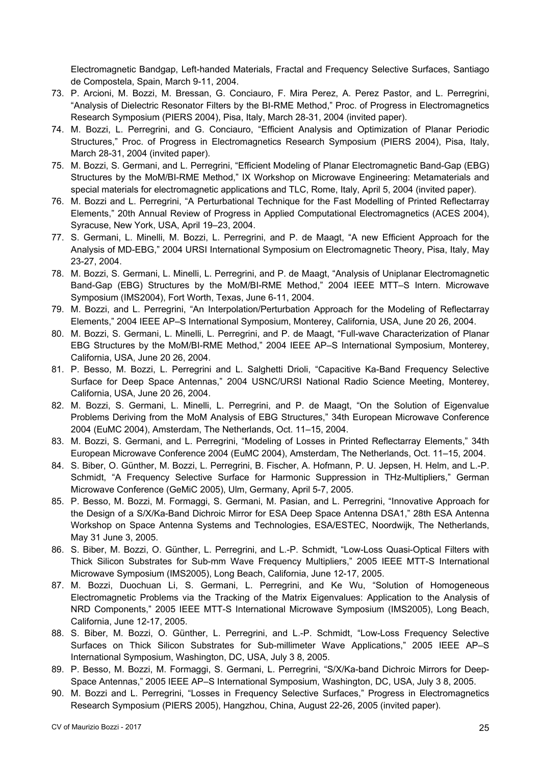Electromagnetic Bandgap, Left-handed Materials, Fractal and Frequency Selective Surfaces, Santiago de Compostela, Spain, March 9-11, 2004.

- 73. P. Arcioni, M. Bozzi, M. Bressan, G. Conciauro, F. Mira Perez, A. Perez Pastor, and L. Perregrini, "Analysis of Dielectric Resonator Filters by the BI-RME Method," Proc. of Progress in Electromagnetics Research Symposium (PIERS 2004), Pisa, Italy, March 28-31, 2004 (invited paper).
- 74. M. Bozzi, L. Perregrini, and G. Conciauro, "Efficient Analysis and Optimization of Planar Periodic Structures," Proc. of Progress in Electromagnetics Research Symposium (PIERS 2004), Pisa, Italy, March 28-31, 2004 (invited paper).
- 75. M. Bozzi, S. Germani, and L. Perregrini, "Efficient Modeling of Planar Electromagnetic Band-Gap (EBG) Structures by the MoM/BI-RME Method," IX Workshop on Microwave Engineering: Metamaterials and special materials for electromagnetic applications and TLC, Rome, Italy, April 5, 2004 (invited paper).
- 76. M. Bozzi and L. Perregrini, "A Perturbational Technique for the Fast Modelling of Printed Reflectarray Elements," 20th Annual Review of Progress in Applied Computational Electromagnetics (ACES 2004), Syracuse, New York, USA, April 19–23, 2004.
- 77. S. Germani, L. Minelli, M. Bozzi, L. Perregrini, and P. de Maagt, "A new Efficient Approach for the Analysis of MD-EBG," 2004 URSI International Symposium on Electromagnetic Theory, Pisa, Italy, May 23-27, 2004.
- 78. M. Bozzi, S. Germani, L. Minelli, L. Perregrini, and P. de Maagt, "Analysis of Uniplanar Electromagnetic Band-Gap (EBG) Structures by the MoM/BI-RME Method," 2004 IEEE MTT–S Intern. Microwave Symposium (IMS2004), Fort Worth, Texas, June 6-11, 2004.
- 79. M. Bozzi, and L. Perregrini, "An Interpolation/Perturbation Approach for the Modeling of Reflectarray Elements," 2004 IEEE AP–S International Symposium, Monterey, California, USA, June 20 26, 2004.
- 80. M. Bozzi, S. Germani, L. Minelli, L. Perregrini, and P. de Maagt, "Full-wave Characterization of Planar EBG Structures by the MoM/BI-RME Method," 2004 IEEE AP–S International Symposium, Monterey, California, USA, June 20 26, 2004.
- 81. P. Besso, M. Bozzi, L. Perregrini and L. Salghetti Drioli, "Capacitive Ka-Band Frequency Selective Surface for Deep Space Antennas," 2004 USNC/URSI National Radio Science Meeting, Monterey, California, USA, June 20 26, 2004.
- 82. M. Bozzi, S. Germani, L. Minelli, L. Perregrini, and P. de Maagt, "On the Solution of Eigenvalue Problems Deriving from the MoM Analysis of EBG Structures," 34th European Microwave Conference 2004 (EuMC 2004), Amsterdam, The Netherlands, Oct. 11–15, 2004.
- 83. M. Bozzi, S. Germani, and L. Perregrini, "Modeling of Losses in Printed Reflectarray Elements," 34th European Microwave Conference 2004 (EuMC 2004), Amsterdam, The Netherlands, Oct. 11–15, 2004.
- 84. S. Biber, O. Günther, M. Bozzi, L. Perregrini, B. Fischer, A. Hofmann, P. U. Jepsen, H. Helm, and L.-P. Schmidt, "A Frequency Selective Surface for Harmonic Suppression in THz-Multipliers," German Microwave Conference (GeMiC 2005), Ulm, Germany, April 5-7, 2005.
- 85. P. Besso, M. Bozzi, M. Formaggi, S. Germani, M. Pasian, and L. Perregrini, "Innovative Approach for the Design of a S/X/Ka-Band Dichroic Mirror for ESA Deep Space Antenna DSA1," 28th ESA Antenna Workshop on Space Antenna Systems and Technologies, ESA/ESTEC, Noordwijk, The Netherlands, May 31 June 3, 2005.
- 86. S. Biber, M. Bozzi, O. Günther, L. Perregrini, and L.-P. Schmidt, "Low-Loss Quasi-Optical Filters with Thick Silicon Substrates for Sub-mm Wave Frequency Multipliers," 2005 IEEE MTT-S International Microwave Symposium (IMS2005), Long Beach, California, June 12-17, 2005.
- 87. M. Bozzi, Duochuan Li, S. Germani, L. Perregrini, and Ke Wu, "Solution of Homogeneous Electromagnetic Problems via the Tracking of the Matrix Eigenvalues: Application to the Analysis of NRD Components," 2005 IEEE MTT-S International Microwave Symposium (IMS2005), Long Beach, California, June 12-17, 2005.
- 88. S. Biber, M. Bozzi, O. Günther, L. Perregrini, and L.-P. Schmidt, "Low-Loss Frequency Selective Surfaces on Thick Silicon Substrates for Sub-millimeter Wave Applications," 2005 IEEE AP–S International Symposium, Washington, DC, USA, July 3 8, 2005.
- 89. P. Besso, M. Bozzi, M. Formaggi, S. Germani, L. Perregrini, "S/X/Ka-band Dichroic Mirrors for Deep-Space Antennas," 2005 IEEE AP–S International Symposium, Washington, DC, USA, July 3 8, 2005.
- 90. M. Bozzi and L. Perregrini, "Losses in Frequency Selective Surfaces," Progress in Electromagnetics Research Symposium (PIERS 2005), Hangzhou, China, August 22-26, 2005 (invited paper).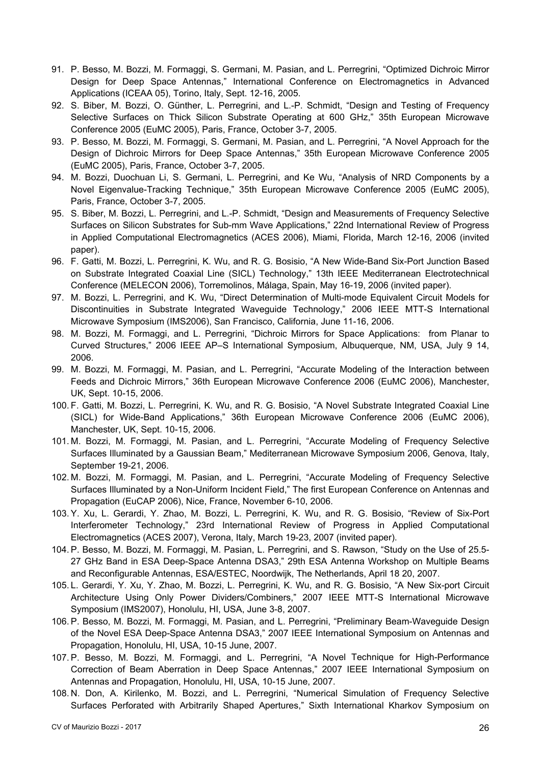- 91. P. Besso, M. Bozzi, M. Formaggi, S. Germani, M. Pasian, and L. Perregrini, "Optimized Dichroic Mirror Design for Deep Space Antennas," International Conference on Electromagnetics in Advanced Applications (ICEAA 05), Torino, Italy, Sept. 12-16, 2005.
- 92. S. Biber, M. Bozzi, O. Günther, L. Perregrini, and L.-P. Schmidt, "Design and Testing of Frequency Selective Surfaces on Thick Silicon Substrate Operating at 600 GHz," 35th European Microwave Conference 2005 (EuMC 2005), Paris, France, October 3-7, 2005.
- 93. P. Besso, M. Bozzi, M. Formaggi, S. Germani, M. Pasian, and L. Perregrini, "A Novel Approach for the Design of Dichroic Mirrors for Deep Space Antennas," 35th European Microwave Conference 2005 (EuMC 2005), Paris, France, October 3-7, 2005.
- 94. M. Bozzi, Duochuan Li, S. Germani, L. Perregrini, and Ke Wu, "Analysis of NRD Components by a Novel Eigenvalue-Tracking Technique," 35th European Microwave Conference 2005 (EuMC 2005), Paris, France, October 3-7, 2005.
- 95. S. Biber, M. Bozzi, L. Perregrini, and L.-P. Schmidt, "Design and Measurements of Frequency Selective Surfaces on Silicon Substrates for Sub-mm Wave Applications," 22nd International Review of Progress in Applied Computational Electromagnetics (ACES 2006), Miami, Florida, March 12-16, 2006 (invited paper).
- 96. F. Gatti, M. Bozzi, L. Perregrini, K. Wu, and R. G. Bosisio, "A New Wide-Band Six-Port Junction Based on Substrate Integrated Coaxial Line (SICL) Technology," 13th IEEE Mediterranean Electrotechnical Conference (MELECON 2006), Torremolinos, Málaga, Spain, May 16-19, 2006 (invited paper).
- 97. M. Bozzi, L. Perregrini, and K. Wu, "Direct Determination of Multi-mode Equivalent Circuit Models for Discontinuities in Substrate Integrated Waveguide Technology," 2006 IEEE MTT-S International Microwave Symposium (IMS2006), San Francisco, California, June 11-16, 2006.
- 98. M. Bozzi, M. Formaggi, and L. Perregrini, "Dichroic Mirrors for Space Applications: from Planar to Curved Structures," 2006 IEEE AP–S International Symposium, Albuquerque, NM, USA, July 9 14, 2006.
- 99. M. Bozzi, M. Formaggi, M. Pasian, and L. Perregrini, "Accurate Modeling of the Interaction between Feeds and Dichroic Mirrors," 36th European Microwave Conference 2006 (EuMC 2006), Manchester, UK, Sept. 10-15, 2006.
- 100. F. Gatti, M. Bozzi, L. Perregrini, K. Wu, and R. G. Bosisio, "A Novel Substrate Integrated Coaxial Line (SICL) for Wide-Band Applications," 36th European Microwave Conference 2006 (EuMC 2006), Manchester, UK, Sept. 10-15, 2006.
- 101. M. Bozzi, M. Formaggi, M. Pasian, and L. Perregrini, "Accurate Modeling of Frequency Selective Surfaces Illuminated by a Gaussian Beam," Mediterranean Microwave Symposium 2006, Genova, Italy, September 19-21, 2006.
- 102. M. Bozzi, M. Formaggi, M. Pasian, and L. Perregrini, "Accurate Modeling of Frequency Selective Surfaces Illuminated by a Non-Uniform Incident Field," The first European Conference on Antennas and Propagation (EuCAP 2006), Nice, France, November 6-10, 2006.
- 103. Y. Xu, L. Gerardi, Y. Zhao, M. Bozzi, L. Perregrini, K. Wu, and R. G. Bosisio, "Review of Six-Port Interferometer Technology," 23rd International Review of Progress in Applied Computational Electromagnetics (ACES 2007), Verona, Italy, March 19-23, 2007 (invited paper).
- 104. P. Besso, M. Bozzi, M. Formaggi, M. Pasian, L. Perregrini, and S. Rawson, "Study on the Use of 25.5- 27 GHz Band in ESA Deep-Space Antenna DSA3," 29th ESA Antenna Workshop on Multiple Beams and Reconfigurable Antennas, ESA/ESTEC, Noordwijk, The Netherlands, April 18 20, 2007.
- 105. L. Gerardi, Y. Xu, Y. Zhao, M. Bozzi, L. Perregrini, K. Wu, and R. G. Bosisio, "A New Six-port Circuit Architecture Using Only Power Dividers/Combiners," 2007 IEEE MTT-S International Microwave Symposium (IMS2007), Honolulu, HI, USA, June 3-8, 2007.
- 106. P. Besso, M. Bozzi, M. Formaggi, M. Pasian, and L. Perregrini, "Preliminary Beam-Waveguide Design of the Novel ESA Deep-Space Antenna DSA3," 2007 IEEE International Symposium on Antennas and Propagation, Honolulu, HI, USA, 10-15 June, 2007.
- 107. P. Besso, M. Bozzi, M. Formaggi, and L. Perregrini, "A Novel Technique for High-Performance Correction of Beam Aberration in Deep Space Antennas," 2007 IEEE International Symposium on Antennas and Propagation, Honolulu, HI, USA, 10-15 June, 2007.
- 108. N. Don, A. Kirilenko, M. Bozzi, and L. Perregrini, "Numerical Simulation of Frequency Selective Surfaces Perforated with Arbitrarily Shaped Apertures," Sixth International Kharkov Symposium on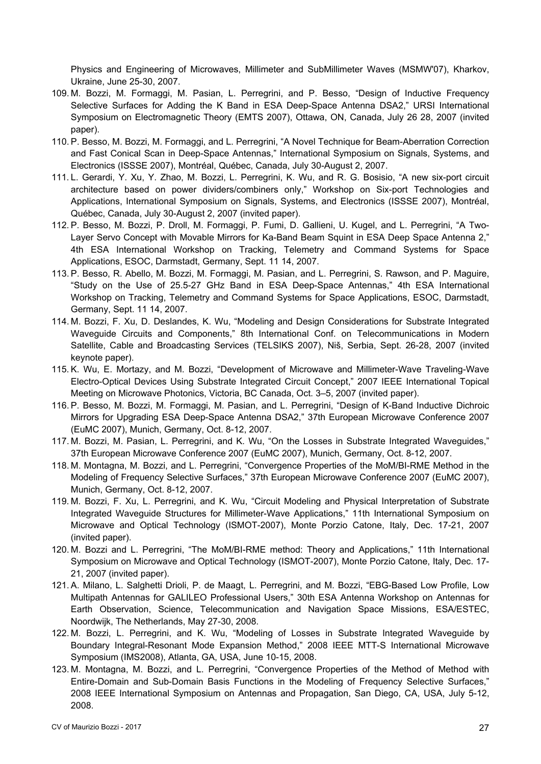Physics and Engineering of Microwaves, Millimeter and SubMillimeter Waves (MSMW'07), Kharkov, Ukraine, June 25-30, 2007.

- 109. M. Bozzi, M. Formaggi, M. Pasian, L. Perregrini, and P. Besso, "Design of Inductive Frequency Selective Surfaces for Adding the K Band in ESA Deep-Space Antenna DSA2," URSI International Symposium on Electromagnetic Theory (EMTS 2007), Ottawa, ON, Canada, July 26 28, 2007 (invited paper).
- 110. P. Besso, M. Bozzi, M. Formaggi, and L. Perregrini, "A Novel Technique for Beam-Aberration Correction and Fast Conical Scan in Deep-Space Antennas," International Symposium on Signals, Systems, and Electronics (ISSSE 2007), Montréal, Québec, Canada, July 30-August 2, 2007.
- 111. L. Gerardi, Y. Xu, Y. Zhao, M. Bozzi, L. Perregrini, K. Wu, and R. G. Bosisio, "A new six-port circuit architecture based on power dividers/combiners only," Workshop on Six-port Technologies and Applications, International Symposium on Signals, Systems, and Electronics (ISSSE 2007), Montréal, Québec, Canada, July 30-August 2, 2007 (invited paper).
- 112. P. Besso, M. Bozzi, P. Droll, M. Formaggi, P. Fumi, D. Gallieni, U. Kugel, and L. Perregrini, "A Two-Layer Servo Concept with Movable Mirrors for Ka-Band Beam Squint in ESA Deep Space Antenna 2," 4th ESA International Workshop on Tracking, Telemetry and Command Systems for Space Applications, ESOC, Darmstadt, Germany, Sept. 11 14, 2007.
- 113. P. Besso, R. Abello, M. Bozzi, M. Formaggi, M. Pasian, and L. Perregrini, S. Rawson, and P. Maguire, "Study on the Use of 25.5-27 GHz Band in ESA Deep-Space Antennas," 4th ESA International Workshop on Tracking, Telemetry and Command Systems for Space Applications, ESOC, Darmstadt, Germany, Sept. 11 14, 2007.
- 114. M. Bozzi, F. Xu, D. Deslandes, K. Wu, "Modeling and Design Considerations for Substrate Integrated Waveguide Circuits and Components," 8th International Conf. on Telecommunications in Modern Satellite, Cable and Broadcasting Services (TELSIKS 2007), Niš, Serbia, Sept. 26-28, 2007 (invited keynote paper).
- 115. K. Wu, E. Mortazy, and M. Bozzi, "Development of Microwave and Millimeter-Wave Traveling-Wave Electro-Optical Devices Using Substrate Integrated Circuit Concept," 2007 IEEE International Topical Meeting on Microwave Photonics, Victoria, BC Canada, Oct. 3–5, 2007 (invited paper).
- 116. P. Besso, M. Bozzi, M. Formaggi, M. Pasian, and L. Perregrini, "Design of K-Band Inductive Dichroic Mirrors for Upgrading ESA Deep-Space Antenna DSA2," 37th European Microwave Conference 2007 (EuMC 2007), Munich, Germany, Oct. 8-12, 2007.
- 117. M. Bozzi, M. Pasian, L. Perregrini, and K. Wu, "On the Losses in Substrate Integrated Waveguides," 37th European Microwave Conference 2007 (EuMC 2007), Munich, Germany, Oct. 8-12, 2007.
- 118. M. Montagna, M. Bozzi, and L. Perregrini, "Convergence Properties of the MoM/BI-RME Method in the Modeling of Frequency Selective Surfaces," 37th European Microwave Conference 2007 (EuMC 2007), Munich, Germany, Oct. 8-12, 2007.
- 119. M. Bozzi, F. Xu, L. Perregrini, and K. Wu, "Circuit Modeling and Physical Interpretation of Substrate Integrated Waveguide Structures for Millimeter-Wave Applications," 11th International Symposium on Microwave and Optical Technology (ISMOT-2007), Monte Porzio Catone, Italy, Dec. 17-21, 2007 (invited paper).
- 120. M. Bozzi and L. Perregrini, "The MoM/BI-RME method: Theory and Applications," 11th International Symposium on Microwave and Optical Technology (ISMOT-2007), Monte Porzio Catone, Italy, Dec. 17- 21, 2007 (invited paper).
- 121. A. Milano, L. Salghetti Drioli, P. de Maagt, L. Perregrini, and M. Bozzi, "EBG-Based Low Profile, Low Multipath Antennas for GALILEO Professional Users," 30th ESA Antenna Workshop on Antennas for Earth Observation, Science, Telecommunication and Navigation Space Missions, ESA/ESTEC, Noordwijk, The Netherlands, May 27-30, 2008.
- 122. M. Bozzi, L. Perregrini, and K. Wu, "Modeling of Losses in Substrate Integrated Waveguide by Boundary Integral-Resonant Mode Expansion Method," 2008 IEEE MTT-S International Microwave Symposium (IMS2008), Atlanta, GA, USA, June 10-15, 2008.
- 123. M. Montagna, M. Bozzi, and L. Perregrini, "Convergence Properties of the Method of Method with Entire-Domain and Sub-Domain Basis Functions in the Modeling of Frequency Selective Surfaces," 2008 IEEE International Symposium on Antennas and Propagation, San Diego, CA, USA, July 5-12, 2008.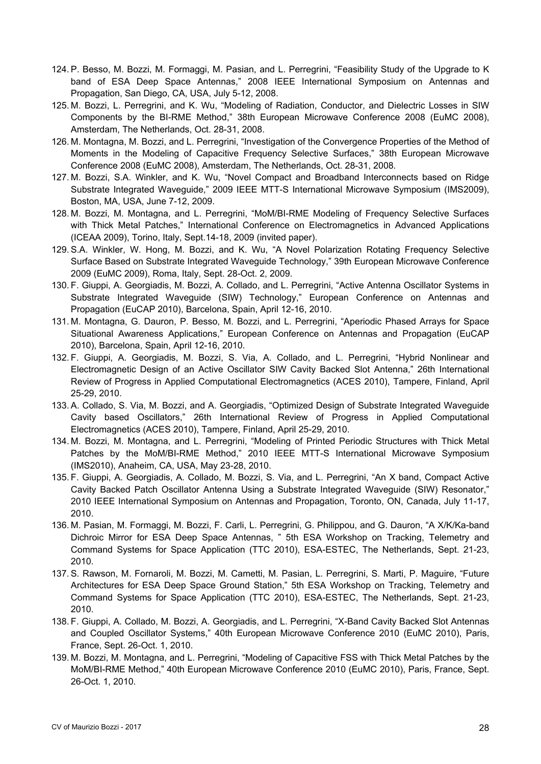- 124. P. Besso, M. Bozzi, M. Formaggi, M. Pasian, and L. Perregrini, "Feasibility Study of the Upgrade to K band of ESA Deep Space Antennas," 2008 IEEE International Symposium on Antennas and Propagation, San Diego, CA, USA, July 5-12, 2008.
- 125. M. Bozzi, L. Perregrini, and K. Wu, "Modeling of Radiation, Conductor, and Dielectric Losses in SIW Components by the BI-RME Method," 38th European Microwave Conference 2008 (EuMC 2008), Amsterdam, The Netherlands, Oct. 28-31, 2008.
- 126. M. Montagna, M. Bozzi, and L. Perregrini, "Investigation of the Convergence Properties of the Method of Moments in the Modeling of Capacitive Frequency Selective Surfaces," 38th European Microwave Conference 2008 (EuMC 2008), Amsterdam, The Netherlands, Oct. 28-31, 2008.
- 127. M. Bozzi, S.A. Winkler, and K. Wu, "Novel Compact and Broadband Interconnects based on Ridge Substrate Integrated Waveguide," 2009 IEEE MTT-S International Microwave Symposium (IMS2009), Boston, MA, USA, June 7-12, 2009.
- 128. M. Bozzi, M. Montagna, and L. Perregrini, "MoM/BI-RME Modeling of Frequency Selective Surfaces with Thick Metal Patches," International Conference on Electromagnetics in Advanced Applications (ICEAA 2009), Torino, Italy, Sept.14-18, 2009 (invited paper).
- 129. S.A. Winkler, W. Hong, M. Bozzi, and K. Wu, "A Novel Polarization Rotating Frequency Selective Surface Based on Substrate Integrated Waveguide Technology," 39th European Microwave Conference 2009 (EuMC 2009), Roma, Italy, Sept. 28-Oct. 2, 2009.
- 130. F. Giuppi, A. Georgiadis, M. Bozzi, A. Collado, and L. Perregrini, "Active Antenna Oscillator Systems in Substrate Integrated Waveguide (SIW) Technology," European Conference on Antennas and Propagation (EuCAP 2010), Barcelona, Spain, April 12-16, 2010.
- 131. M. Montagna, G. Dauron, P. Besso, M. Bozzi, and L. Perregrini, "Aperiodic Phased Arrays for Space Situational Awareness Applications," European Conference on Antennas and Propagation (EuCAP 2010), Barcelona, Spain, April 12-16, 2010.
- 132. F. Giuppi, A. Georgiadis, M. Bozzi, S. Via, A. Collado, and L. Perregrini, "Hybrid Nonlinear and Electromagnetic Design of an Active Oscillator SIW Cavity Backed Slot Antenna," 26th International Review of Progress in Applied Computational Electromagnetics (ACES 2010), Tampere, Finland, April 25-29, 2010.
- 133. A. Collado, S. Via, M. Bozzi, and A. Georgiadis, "Optimized Design of Substrate Integrated Waveguide Cavity based Oscillators," 26th International Review of Progress in Applied Computational Electromagnetics (ACES 2010), Tampere, Finland, April 25-29, 2010.
- 134. M. Bozzi, M. Montagna, and L. Perregrini, "Modeling of Printed Periodic Structures with Thick Metal Patches by the MoM/BI-RME Method," 2010 IEEE MTT-S International Microwave Symposium (IMS2010), Anaheim, CA, USA, May 23-28, 2010.
- 135. F. Giuppi, A. Georgiadis, A. Collado, M. Bozzi, S. Via, and L. Perregrini, "An X band, Compact Active Cavity Backed Patch Oscillator Antenna Using a Substrate Integrated Waveguide (SIW) Resonator," 2010 IEEE International Symposium on Antennas and Propagation, Toronto, ON, Canada, July 11-17, 2010.
- 136. M. Pasian, M. Formaggi, M. Bozzi, F. Carli, L. Perregrini, G. Philippou, and G. Dauron, "A X/K/Ka-band Dichroic Mirror for ESA Deep Space Antennas, " 5th ESA Workshop on Tracking, Telemetry and Command Systems for Space Application (TTC 2010), ESA-ESTEC, The Netherlands, Sept. 21-23, 2010.
- 137. S. Rawson, M. Fornaroli, M. Bozzi, M. Cametti, M. Pasian, L. Perregrini, S. Marti, P. Maguire, "Future Architectures for ESA Deep Space Ground Station," 5th ESA Workshop on Tracking, Telemetry and Command Systems for Space Application (TTC 2010), ESA-ESTEC, The Netherlands, Sept. 21-23, 2010.
- 138. F. Giuppi, A. Collado, M. Bozzi, A. Georgiadis, and L. Perregrini, "X-Band Cavity Backed Slot Antennas and Coupled Oscillator Systems," 40th European Microwave Conference 2010 (EuMC 2010), Paris, France, Sept. 26-Oct. 1, 2010.
- 139. M. Bozzi, M. Montagna, and L. Perregrini, "Modeling of Capacitive FSS with Thick Metal Patches by the MoM/BI-RME Method," 40th European Microwave Conference 2010 (EuMC 2010), Paris, France, Sept. 26-Oct. 1, 2010.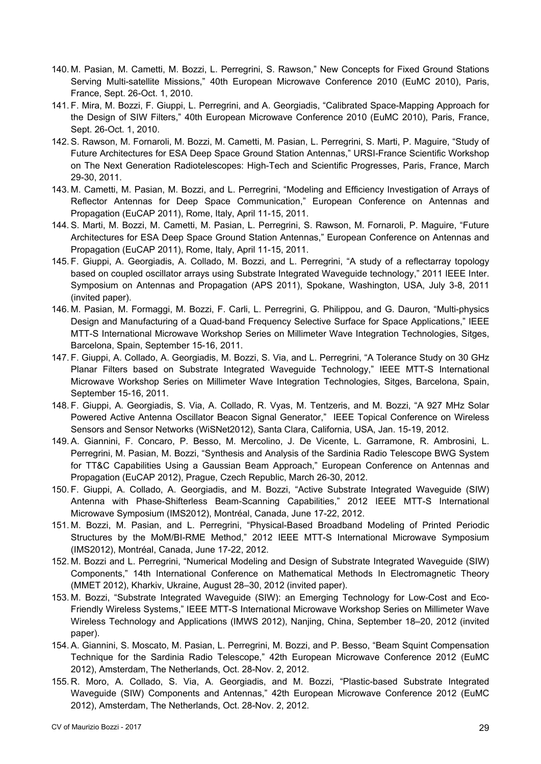- 140. M. Pasian, M. Cametti, M. Bozzi, L. Perregrini, S. Rawson," New Concepts for Fixed Ground Stations Serving Multi-satellite Missions," 40th European Microwave Conference 2010 (EuMC 2010), Paris, France, Sept. 26-Oct. 1, 2010.
- 141. F. Mira, M. Bozzi, F. Giuppi, L. Perregrini, and A. Georgiadis, "Calibrated Space-Mapping Approach for the Design of SIW Filters," 40th European Microwave Conference 2010 (EuMC 2010), Paris, France, Sept. 26-Oct. 1, 2010.
- 142. S. Rawson, M. Fornaroli, M. Bozzi, M. Cametti, M. Pasian, L. Perregrini, S. Marti, P. Maguire, "Study of Future Architectures for ESA Deep Space Ground Station Antennas," URSI-France Scientific Workshop on The Next Generation Radiotelescopes: High-Tech and Scientific Progresses, Paris, France, March 29-30, 2011.
- 143. M. Cametti, M. Pasian, M. Bozzi, and L. Perregrini, "Modeling and Efficiency Investigation of Arrays of Reflector Antennas for Deep Space Communication," European Conference on Antennas and Propagation (EuCAP 2011), Rome, Italy, April 11-15, 2011.
- 144. S. Marti, M. Bozzi, M. Cametti, M. Pasian, L. Perregrini, S. Rawson, M. Fornaroli, P. Maguire, "Future Architectures for ESA Deep Space Ground Station Antennas," European Conference on Antennas and Propagation (EuCAP 2011), Rome, Italy, April 11-15, 2011.
- 145. F. Giuppi, A. Georgiadis, A. Collado, M. Bozzi, and L. Perregrini, "A study of a reflectarray topology based on coupled oscillator arrays using Substrate Integrated Waveguide technology," 2011 IEEE Inter. Symposium on Antennas and Propagation (APS 2011), Spokane, Washington, USA, July 3-8, 2011 (invited paper).
- 146. M. Pasian, M. Formaggi, M. Bozzi, F. Carli, L. Perregrini, G. Philippou, and G. Dauron, "Multi-physics Design and Manufacturing of a Quad-band Frequency Selective Surface for Space Applications," IEEE MTT-S International Microwave Workshop Series on Millimeter Wave Integration Technologies, Sitges, Barcelona, Spain, September 15-16, 2011.
- 147. F. Giuppi, A. Collado, A. Georgiadis, M. Bozzi, S. Via, and L. Perregrini, "A Tolerance Study on 30 GHz Planar Filters based on Substrate Integrated Waveguide Technology," IEEE MTT-S International Microwave Workshop Series on Millimeter Wave Integration Technologies, Sitges, Barcelona, Spain, September 15-16, 2011.
- 148. F. Giuppi, A. Georgiadis, S. Via, A. Collado, R. Vyas, M. Tentzeris, and M. Bozzi, "A 927 MHz Solar Powered Active Antenna Oscillator Beacon Signal Generator," IEEE Topical Conference on Wireless Sensors and Sensor Networks (WiSNet2012), Santa Clara, California, USA, Jan. 15-19, 2012.
- 149. A. Giannini, F. Concaro, P. Besso, M. Mercolino, J. De Vicente, L. Garramone, R. Ambrosini, L. Perregrini, M. Pasian, M. Bozzi, "Synthesis and Analysis of the Sardinia Radio Telescope BWG System for TT&C Capabilities Using a Gaussian Beam Approach," European Conference on Antennas and Propagation (EuCAP 2012), Prague, Czech Republic, March 26-30, 2012.
- 150. F. Giuppi, A. Collado, A. Georgiadis, and M. Bozzi, "Active Substrate Integrated Waveguide (SIW) Antenna with Phase-Shifterless Beam-Scanning Capabilities," 2012 IEEE MTT-S International Microwave Symposium (IMS2012), Montréal, Canada, June 17-22, 2012.
- 151. M. Bozzi, M. Pasian, and L. Perregrini, "Physical-Based Broadband Modeling of Printed Periodic Structures by the MoM/BI-RME Method," 2012 IEEE MTT-S International Microwave Symposium (IMS2012), Montréal, Canada, June 17-22, 2012.
- 152. M. Bozzi and L. Perregrini, "Numerical Modeling and Design of Substrate Integrated Waveguide (SIW) Components," 14th International Conference on Mathematical Methods In Electromagnetic Theory (MMET 2012), Kharkiv, Ukraine, August 28–30, 2012 (invited paper).
- 153. M. Bozzi, "Substrate Integrated Waveguide (SIW): an Emerging Technology for Low-Cost and Eco-Friendly Wireless Systems," IEEE MTT-S International Microwave Workshop Series on Millimeter Wave Wireless Technology and Applications (IMWS 2012), Nanjing, China, September 18–20, 2012 (invited paper).
- 154. A. Giannini, S. Moscato, M. Pasian, L. Perregrini, M. Bozzi, and P. Besso, "Beam Squint Compensation Technique for the Sardinia Radio Telescope," 42th European Microwave Conference 2012 (EuMC 2012), Amsterdam, The Netherlands, Oct. 28-Nov. 2, 2012.
- 155. R. Moro, A. Collado, S. Via, A. Georgiadis, and M. Bozzi, "Plastic-based Substrate Integrated Waveguide (SIW) Components and Antennas," 42th European Microwave Conference 2012 (EuMC 2012), Amsterdam, The Netherlands, Oct. 28-Nov. 2, 2012.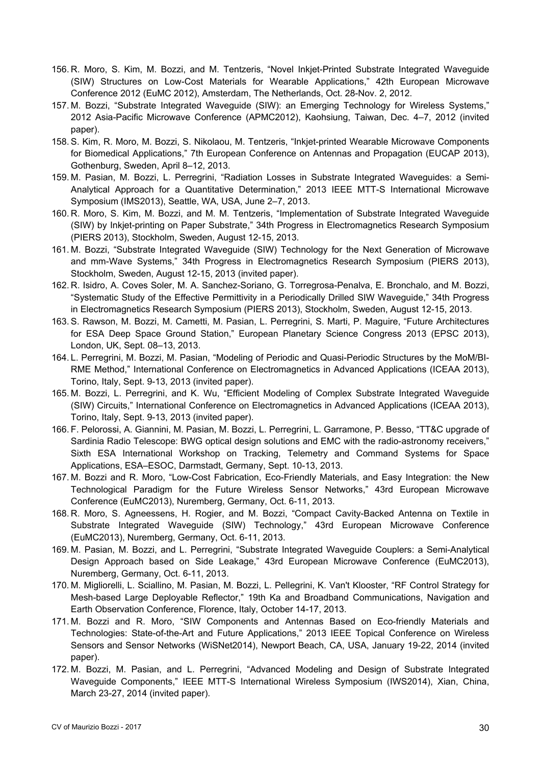- 156. R. Moro, S. Kim, M. Bozzi, and M. Tentzeris, "Novel Inkjet-Printed Substrate Integrated Waveguide (SIW) Structures on Low-Cost Materials for Wearable Applications," 42th European Microwave Conference 2012 (EuMC 2012), Amsterdam, The Netherlands, Oct. 28-Nov. 2, 2012.
- 157. M. Bozzi, "Substrate Integrated Waveguide (SIW): an Emerging Technology for Wireless Systems," 2012 Asia-Pacific Microwave Conference (APMC2012), Kaohsiung, Taiwan, Dec. 4–7, 2012 (invited paper).
- 158. S. Kim, R. Moro, M. Bozzi, S. Nikolaou, M. Tentzeris, "Inkjet-printed Wearable Microwave Components for Biomedical Applications," 7th European Conference on Antennas and Propagation (EUCAP 2013), Gothenburg, Sweden, April 8–12, 2013.
- 159. M. Pasian, M. Bozzi, L. Perregrini, "Radiation Losses in Substrate Integrated Waveguides: a Semi-Analytical Approach for a Quantitative Determination," 2013 IEEE MTT-S International Microwave Symposium (IMS2013), Seattle, WA, USA, June 2–7, 2013.
- 160. R. Moro, S. Kim, M. Bozzi, and M. M. Tentzeris, "Implementation of Substrate Integrated Waveguide (SIW) by Inkjet-printing on Paper Substrate," 34th Progress in Electromagnetics Research Symposium (PIERS 2013), Stockholm, Sweden, August 12-15, 2013.
- 161. M. Bozzi, "Substrate Integrated Waveguide (SIW) Technology for the Next Generation of Microwave and mm-Wave Systems," 34th Progress in Electromagnetics Research Symposium (PIERS 2013), Stockholm, Sweden, August 12-15, 2013 (invited paper).
- 162. R. Isidro, A. Coves Soler, M. A. Sanchez-Soriano, G. Torregrosa-Penalva, E. Bronchalo, and M. Bozzi, "Systematic Study of the Effective Permittivity in a Periodically Drilled SIW Waveguide," 34th Progress in Electromagnetics Research Symposium (PIERS 2013), Stockholm, Sweden, August 12-15, 2013.
- 163. S. Rawson, M. Bozzi, M. Cametti, M. Pasian, L. Perregrini, S. Marti, P. Maguire, "Future Architectures for ESA Deep Space Ground Station," European Planetary Science Congress 2013 (EPSC 2013), London, UK, Sept. 08–13, 2013.
- 164. L. Perregrini, M. Bozzi, M. Pasian, "Modeling of Periodic and Quasi-Periodic Structures by the MoM/BI-RME Method," International Conference on Electromagnetics in Advanced Applications (ICEAA 2013), Torino, Italy, Sept. 9-13, 2013 (invited paper).
- 165. M. Bozzi, L. Perregrini, and K. Wu, "Efficient Modeling of Complex Substrate Integrated Waveguide (SIW) Circuits," International Conference on Electromagnetics in Advanced Applications (ICEAA 2013), Torino, Italy, Sept. 9-13, 2013 (invited paper).
- 166. F. Pelorossi, A. Giannini, M. Pasian, M. Bozzi, L. Perregrini, L. Garramone, P. Besso, "TT&C upgrade of Sardinia Radio Telescope: BWG optical design solutions and EMC with the radio-astronomy receivers," Sixth ESA International Workshop on Tracking, Telemetry and Command Systems for Space Applications, ESA–ESOC, Darmstadt, Germany, Sept. 10-13, 2013.
- 167. M. Bozzi and R. Moro, "Low-Cost Fabrication, Eco-Friendly Materials, and Easy Integration: the New Technological Paradigm for the Future Wireless Sensor Networks," 43rd European Microwave Conference (EuMC2013), Nuremberg, Germany, Oct. 6-11, 2013.
- 168. R. Moro, S. Agneessens, H. Rogier, and M. Bozzi, "Compact Cavity-Backed Antenna on Textile in Substrate Integrated Waveguide (SIW) Technology," 43rd European Microwave Conference (EuMC2013), Nuremberg, Germany, Oct. 6-11, 2013.
- 169. M. Pasian, M. Bozzi, and L. Perregrini, "Substrate Integrated Waveguide Couplers: a Semi-Analytical Design Approach based on Side Leakage," 43rd European Microwave Conference (EuMC2013), Nuremberg, Germany, Oct. 6-11, 2013.
- 170. M. Migliorelli, L. Sciallino, M. Pasian, M. Bozzi, L. Pellegrini, K. Van't Klooster, "RF Control Strategy for Mesh-based Large Deployable Reflector," 19th Ka and Broadband Communications, Navigation and Earth Observation Conference, Florence, Italy, October 14-17, 2013.
- 171. M. Bozzi and R. Moro, "SIW Components and Antennas Based on Eco-friendly Materials and Technologies: State-of-the-Art and Future Applications," 2013 IEEE Topical Conference on Wireless Sensors and Sensor Networks (WiSNet2014), Newport Beach, CA, USA, January 19-22, 2014 (invited paper).
- 172. M. Bozzi, M. Pasian, and L. Perregrini, "Advanced Modeling and Design of Substrate Integrated Waveguide Components," IEEE MTT-S International Wireless Symposium (IWS2014), Xian, China, March 23-27, 2014 (invited paper).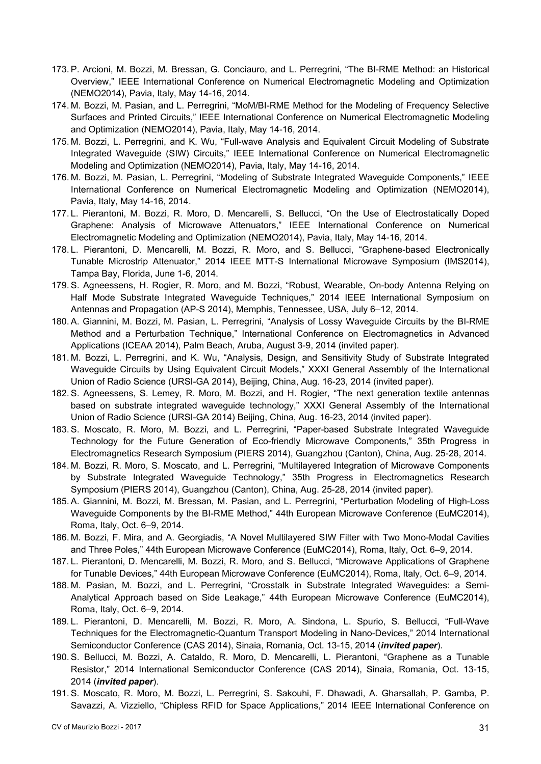- 173. P. Arcioni, M. Bozzi, M. Bressan, G. Conciauro, and L. Perregrini, "The BI-RME Method: an Historical Overview," IEEE International Conference on Numerical Electromagnetic Modeling and Optimization (NEMO2014), Pavia, Italy, May 14-16, 2014.
- 174. M. Bozzi, M. Pasian, and L. Perregrini, "MoM/BI-RME Method for the Modeling of Frequency Selective Surfaces and Printed Circuits," IEEE International Conference on Numerical Electromagnetic Modeling and Optimization (NEMO2014), Pavia, Italy, May 14-16, 2014.
- 175. M. Bozzi, L. Perregrini, and K. Wu, "Full-wave Analysis and Equivalent Circuit Modeling of Substrate Integrated Waveguide (SIW) Circuits," IEEE International Conference on Numerical Electromagnetic Modeling and Optimization (NEMO2014), Pavia, Italy, May 14-16, 2014.
- 176. M. Bozzi, M. Pasian, L. Perregrini, "Modeling of Substrate Integrated Waveguide Components," IEEE International Conference on Numerical Electromagnetic Modeling and Optimization (NEMO2014), Pavia, Italy, May 14-16, 2014.
- 177. L. Pierantoni, M. Bozzi, R. Moro, D. Mencarelli, S. Bellucci, "On the Use of Electrostatically Doped Graphene: Analysis of Microwave Attenuators," IEEE International Conference on Numerical Electromagnetic Modeling and Optimization (NEMO2014), Pavia, Italy, May 14-16, 2014.
- 178. L. Pierantoni, D. Mencarelli, M. Bozzi, R. Moro, and S. Bellucci, "Graphene-based Electronically Tunable Microstrip Attenuator," 2014 IEEE MTT-S International Microwave Symposium (IMS2014), Tampa Bay, Florida, June 1-6, 2014.
- 179. S. Agneessens, H. Rogier, R. Moro, and M. Bozzi, "Robust, Wearable, On-body Antenna Relying on Half Mode Substrate Integrated Waveguide Techniques," 2014 IEEE International Symposium on Antennas and Propagation (AP-S 2014), Memphis, Tennessee, USA, July 6–12, 2014.
- 180. A. Giannini, M. Bozzi, M. Pasian, L. Perregrini, "Analysis of Lossy Waveguide Circuits by the BI-RME Method and a Perturbation Technique," International Conference on Electromagnetics in Advanced Applications (ICEAA 2014), Palm Beach, Aruba, August 3-9, 2014 (invited paper).
- 181. M. Bozzi, L. Perregrini, and K. Wu, "Analysis, Design, and Sensitivity Study of Substrate Integrated Waveguide Circuits by Using Equivalent Circuit Models," XXXI General Assembly of the International Union of Radio Science (URSI-GA 2014), Beijing, China, Aug. 16-23, 2014 (invited paper).
- 182. S. Agneessens, S. Lemey, R. Moro, M. Bozzi, and H. Rogier, "The next generation textile antennas based on substrate integrated waveguide technology," XXXI General Assembly of the International Union of Radio Science (URSI-GA 2014) Beijing, China, Aug. 16-23, 2014 (invited paper).
- 183. S. Moscato, R. Moro, M. Bozzi, and L. Perregrini, "Paper-based Substrate Integrated Waveguide Technology for the Future Generation of Eco-friendly Microwave Components," 35th Progress in Electromagnetics Research Symposium (PIERS 2014), Guangzhou (Canton), China, Aug. 25-28, 2014.
- 184. M. Bozzi, R. Moro, S. Moscato, and L. Perregrini, "Multilayered Integration of Microwave Components by Substrate Integrated Waveguide Technology," 35th Progress in Electromagnetics Research Symposium (PIERS 2014), Guangzhou (Canton), China, Aug. 25-28, 2014 (invited paper).
- 185. A. Giannini, M. Bozzi, M. Bressan, M. Pasian, and L. Perregrini, "Perturbation Modeling of High-Loss Waveguide Components by the BI-RME Method," 44th European Microwave Conference (EuMC2014), Roma, Italy, Oct. 6–9, 2014.
- 186. M. Bozzi, F. Mira, and A. Georgiadis, "A Novel Multilayered SIW Filter with Two Mono-Modal Cavities and Three Poles," 44th European Microwave Conference (EuMC2014), Roma, Italy, Oct. 6–9, 2014.
- 187. L. Pierantoni, D. Mencarelli, M. Bozzi, R. Moro, and S. Bellucci, "Microwave Applications of Graphene for Tunable Devices," 44th European Microwave Conference (EuMC2014), Roma, Italy, Oct. 6–9, 2014.
- 188. M. Pasian, M. Bozzi, and L. Perregrini, "Crosstalk in Substrate Integrated Waveguides: a Semi-Analytical Approach based on Side Leakage," 44th European Microwave Conference (EuMC2014), Roma, Italy, Oct. 6–9, 2014.
- 189. L. Pierantoni, D. Mencarelli, M. Bozzi, R. Moro, A. Sindona, L. Spurio, S. Bellucci, "Full-Wave Techniques for the Electromagnetic-Quantum Transport Modeling in Nano-Devices," 2014 International Semiconductor Conference (CAS 2014), Sinaia, Romania, Oct. 13-15, 2014 (*invited paper*).
- 190. S. Bellucci, M. Bozzi, A. Cataldo, R. Moro, D. Mencarelli, L. Pierantoni, "Graphene as a Tunable Resistor," 2014 International Semiconductor Conference (CAS 2014), Sinaia, Romania, Oct. 13-15, 2014 (*invited paper*).
- 191. S. Moscato, R. Moro, M. Bozzi, L. Perregrini, S. Sakouhi, F. Dhawadi, A. Gharsallah, P. Gamba, P. Savazzi, A. Vizziello, "Chipless RFID for Space Applications," 2014 IEEE International Conference on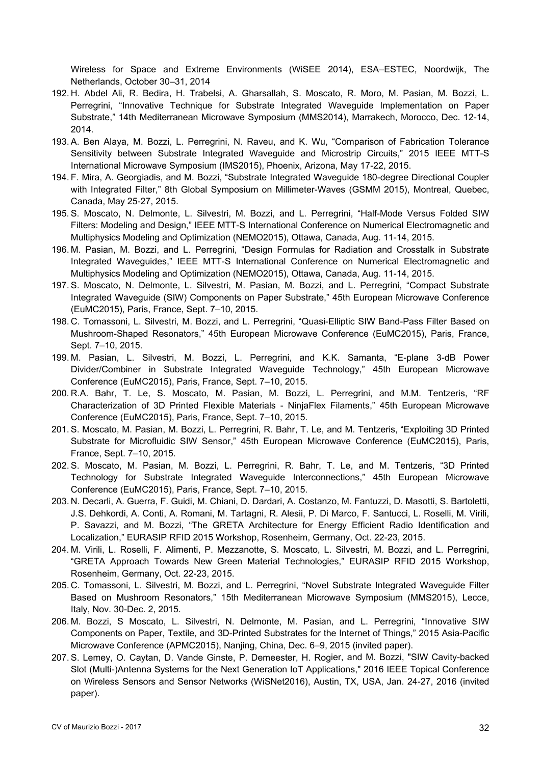Wireless for Space and Extreme Environments (WiSEE 2014), ESA–ESTEC, Noordwijk, The Netherlands, October 30–31, 2014

- 192. H. Abdel Ali, R. Bedira, H. Trabelsi, A. Gharsallah, S. Moscato, R. Moro, M. Pasian, M. Bozzi, L. Perregrini, "Innovative Technique for Substrate Integrated Waveguide Implementation on Paper Substrate," 14th Mediterranean Microwave Symposium (MMS2014), Marrakech, Morocco, Dec. 12-14, 2014.
- 193. A. Ben Alaya, M. Bozzi, L. Perregrini, N. Raveu, and K. Wu, "Comparison of Fabrication Tolerance Sensitivity between Substrate Integrated Waveguide and Microstrip Circuits," 2015 IEEE MTT-S International Microwave Symposium (IMS2015), Phoenix, Arizona, May 17-22, 2015.
- 194. F. Mira, A. Georgiadis, and M. Bozzi, "Substrate Integrated Waveguide 180-degree Directional Coupler with Integrated Filter," 8th Global Symposium on Millimeter-Waves (GSMM 2015), Montreal, Quebec, Canada, May 25-27, 2015.
- 195. S. Moscato, N. Delmonte, L. Silvestri, M. Bozzi, and L. Perregrini, "Half-Mode Versus Folded SIW Filters: Modeling and Design," IEEE MTT-S International Conference on Numerical Electromagnetic and Multiphysics Modeling and Optimization (NEMO2015), Ottawa, Canada, Aug. 11-14, 2015.
- 196. M. Pasian, M. Bozzi, and L. Perregrini, "Design Formulas for Radiation and Crosstalk in Substrate Integrated Waveguides," IEEE MTT-S International Conference on Numerical Electromagnetic and Multiphysics Modeling and Optimization (NEMO2015), Ottawa, Canada, Aug. 11-14, 2015.
- 197. S. Moscato, N. Delmonte, L. Silvestri, M. Pasian, M. Bozzi, and L. Perregrini, "Compact Substrate Integrated Waveguide (SIW) Components on Paper Substrate," 45th European Microwave Conference (EuMC2015), Paris, France, Sept. 7–10, 2015.
- 198. C. Tomassoni, L. Silvestri, M. Bozzi, and L. Perregrini, "Quasi-Elliptic SIW Band-Pass Filter Based on Mushroom-Shaped Resonators," 45th European Microwave Conference (EuMC2015), Paris, France, Sept. 7–10, 2015.
- 199. M. Pasian, L. Silvestri, M. Bozzi, L. Perregrini, and K.K. Samanta, "E-plane 3-dB Power Divider/Combiner in Substrate Integrated Waveguide Technology," 45th European Microwave Conference (EuMC2015), Paris, France, Sept. 7–10, 2015.
- 200. R.A. Bahr, T. Le, S. Moscato, M. Pasian, M. Bozzi, L. Perregrini, and M.M. Tentzeris, "RF Characterization of 3D Printed Flexible Materials - NinjaFlex Filaments," 45th European Microwave Conference (EuMC2015), Paris, France, Sept. 7–10, 2015.
- 201. S. Moscato, M. Pasian, M. Bozzi, L. Perregrini, R. Bahr, T. Le, and M. Tentzeris, "Exploiting 3D Printed Substrate for Microfluidic SIW Sensor," 45th European Microwave Conference (EuMC2015), Paris, France, Sept. 7–10, 2015.
- 202. S. Moscato, M. Pasian, M. Bozzi, L. Perregrini, R. Bahr, T. Le, and M. Tentzeris, "3D Printed Technology for Substrate Integrated Waveguide Interconnections," 45th European Microwave Conference (EuMC2015), Paris, France, Sept. 7–10, 2015.
- 203. N. Decarli, A. Guerra, F. Guidi, M. Chiani, D. Dardari, A. Costanzo, M. Fantuzzi, D. Masotti, S. Bartoletti, J.S. Dehkordi, A. Conti, A. Romani, M. Tartagni, R. Alesii, P. Di Marco, F. Santucci, L. Roselli, M. Virili, P. Savazzi, and M. Bozzi, "The GRETA Architecture for Energy Efficient Radio Identification and Localization," EURASIP RFID 2015 Workshop, Rosenheim, Germany, Oct. 22-23, 2015.
- 204. M. Virili, L. Roselli, F. Alimenti, P. Mezzanotte, S. Moscato, L. Silvestri, M. Bozzi, and L. Perregrini, "GRETA Approach Towards New Green Material Technologies," EURASIP RFID 2015 Workshop, Rosenheim, Germany, Oct. 22-23, 2015.
- 205. C. Tomassoni, L. Silvestri, M. Bozzi, and L. Perregrini, "Novel Substrate Integrated Waveguide Filter Based on Mushroom Resonators," 15th Mediterranean Microwave Symposium (MMS2015), Lecce, Italy, Nov. 30-Dec. 2, 2015.
- 206. M. Bozzi, S Moscato, L. Silvestri, N. Delmonte, M. Pasian, and L. Perregrini, "Innovative SIW Components on Paper, Textile, and 3D-Printed Substrates for the Internet of Things," 2015 Asia-Pacific Microwave Conference (APMC2015), Nanjing, China, Dec. 6–9, 2015 (invited paper).
- 207. S. Lemey, O. Caytan, D. Vande Ginste, P. Demeester, H. Rogier, and M. Bozzi, "SIW Cavity-backed Slot (Multi-)Antenna Systems for the Next Generation IoT Applications," 2016 IEEE Topical Conference on Wireless Sensors and Sensor Networks (WiSNet2016), Austin, TX, USA, Jan. 24-27, 2016 (invited paper).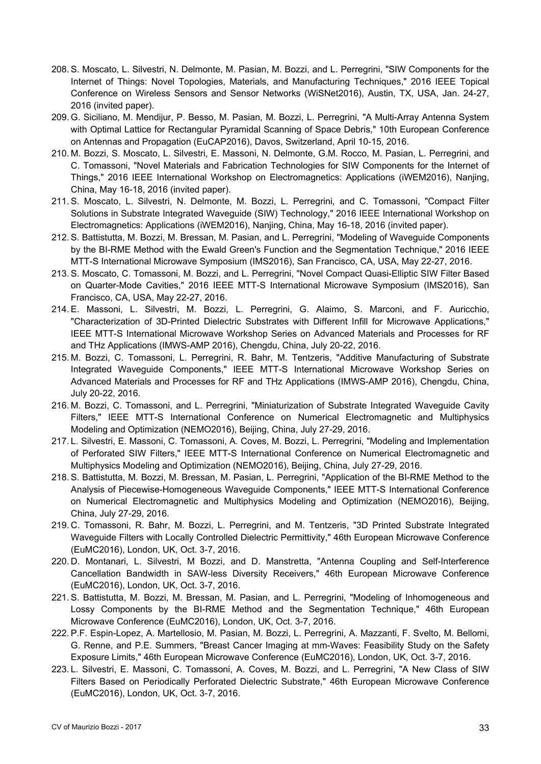- 208. S. Moscato, L. Silvestri, N. Delmonte, M. Pasian, M. Bozzi, and L. Perregrini, "SIW Components for the Internet of Things: Novel Topologies, Materials, and Manufacturing Techniques," 2016 IEEE Topical Conference on Wireless Sensors and Sensor Networks (WiSNet2016), Austin, TX, USA, Jan. 24-27, 2016 (invited paper).
- 209. G. Siciliano, M. Mendijur, P. Besso, M. Pasian, M. Bozzi, L. Perregrini, "A Multi-Array Antenna System with Optimal Lattice for Rectangular Pyramidal Scanning of Space Debris," 10th European Conference on Antennas and Propagation (EuCAP2016), Davos, Switzerland, April 10-15, 2016.
- 210. M. Bozzi, S. Moscato, L. Silvestri, E. Massoni, N. Delmonte, G.M. Rocco, M. Pasian, L. Perregrini, and C. Tomassoni, "Novel Materials and Fabrication Technologies for SIW Components for the Internet of Things," 2016 IEEE International Workshop on Electromagnetics: Applications (iWEM2016), Nanjing, China, May 16-18, 2016 (invited paper).
- 211. S. Moscato, L. Silvestri, N. Delmonte, M. Bozzi, L. Perregrini, and C. Tomassoni, "Compact Filter Solutions in Substrate Integrated Waveguide (SIW) Technology," 2016 IEEE International Workshop on Electromagnetics: Applications (iWEM2016), Nanjing, China, May 16-18, 2016 (invited paper).
- 212. S. Battistutta, M. Bozzi, M. Bressan, M. Pasian, and L. Perregrini, "Modeling of Waveguide Components by the BI-RME Method with the Ewald Green's Function and the Segmentation Technique," 2016 IEEE MTT-S International Microwave Symposium (IMS2016), San Francisco, CA, USA, May 22-27, 2016.
- 213. S. Moscato, C. Tomassoni, M. Bozzi, and L. Perregrini, "Novel Compact Quasi-Elliptic SIW Filter Based on Quarter-Mode Cavities," 2016 IEEE MTT-S International Microwave Symposium (IMS2016), San Francisco, CA, USA, May 22-27, 2016.
- 214. E. Massoni, L. Silvestri, M. Bozzi, L. Perregrini, G. Alaimo, S. Marconi, and F. Auricchio, "Characterization of 3D-Printed Dielectric Substrates with Different Infill for Microwave Applications," IEEE MTT-S International Microwave Workshop Series on Advanced Materials and Processes for RF and THz Applications (IMWS-AMP 2016), Chengdu, China, July 20-22, 2016.
- 215. M. Bozzi, C. Tomassoni, L. Perregrini, R. Bahr, M. Tentzeris, "Additive Manufacturing of Substrate Integrated Waveguide Components," IEEE MTT-S International Microwave Workshop Series on Advanced Materials and Processes for RF and THz Applications (IMWS-AMP 2016), Chengdu, China, July 20-22, 2016.
- 216. M. Bozzi, C. Tomassoni, and L. Perregrini, "Miniaturization of Substrate Integrated Waveguide Cavity Filters," IEEE MTT-S International Conference on Numerical Electromagnetic and Multiphysics Modeling and Optimization (NEMO2016), Beijing, China, July 27-29, 2016.
- 217. L. Silvestri, E. Massoni, C. Tomassoni, A. Coves, M. Bozzi, L. Perregrini, "Modeling and Implementation of Perforated SIW Filters," IEEE MTT-S International Conference on Numerical Electromagnetic and Multiphysics Modeling and Optimization (NEMO2016), Beijing, China, July 27-29, 2016.
- 218. S. Battistutta, M. Bozzi, M. Bressan, M. Pasian, L. Perregrini, "Application of the BI-RME Method to the Analysis of Piecewise-Homogeneous Waveguide Components," IEEE MTT-S International Conference on Numerical Electromagnetic and Multiphysics Modeling and Optimization (NEMO2016), Beijing, China, July 27-29, 2016.
- 219. C. Tomassoni, R. Bahr, M. Bozzi, L. Perregrini, and M. Tentzeris, "3D Printed Substrate Integrated Waveguide Filters with Locally Controlled Dielectric Permittivity," 46th European Microwave Conference (EuMC2016), London, UK, Oct. 3-7, 2016.
- 220. D. Montanari, L. Silvestri, M Bozzi, and D. Manstretta, "Antenna Coupling and Self-Interference Cancellation Bandwidth in SAW-less Diversity Receivers," 46th European Microwave Conference (EuMC2016), London, UK, Oct. 3-7, 2016.
- 221. S. Battistutta, M. Bozzi, M. Bressan, M. Pasian, and L. Perregrini, "Modeling of Inhomogeneous and Lossy Components by the BI-RME Method and the Segmentation Technique," 46th European Microwave Conference (EuMC2016), London, UK, Oct. 3-7, 2016.
- 222. P.F. Espin-Lopez, A. Martellosio, M. Pasian, M. Bozzi, L. Perregrini, A. Mazzanti, F. Svelto, M. Bellomi, G. Renne, and P.E. Summers, "Breast Cancer Imaging at mm-Waves: Feasibility Study on the Safety Exposure Limits," 46th European Microwave Conference (EuMC2016), London, UK, Oct. 3-7, 2016.
- 223. L. Silvestri, E. Massoni, C. Tomassoni, A. Coves, M. Bozzi, and L. Perregrini, "A New Class of SIW Filters Based on Periodically Perforated Dielectric Substrate," 46th European Microwave Conference (EuMC2016), London, UK, Oct. 3-7, 2016.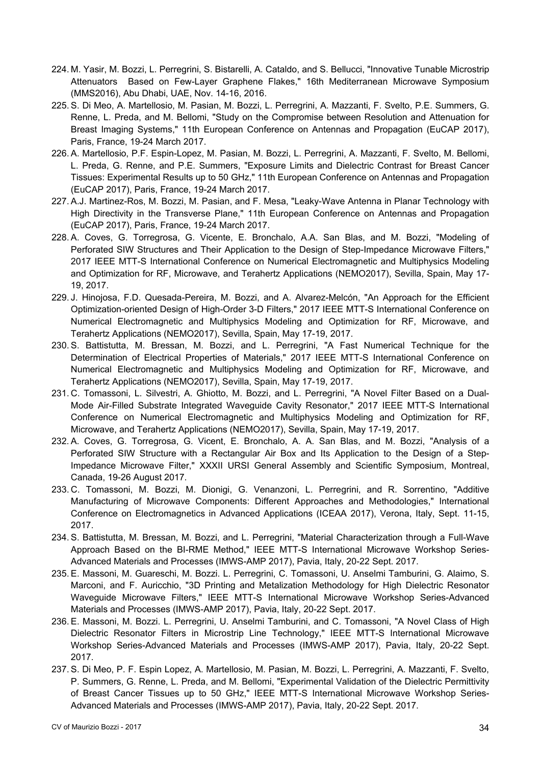- 224. M. Yasir, M. Bozzi, L. Perregrini, S. Bistarelli, A. Cataldo, and S. Bellucci, "Innovative Tunable Microstrip Attenuators Based on Few-Layer Graphene Flakes," 16th Mediterranean Microwave Symposium (MMS2016), Abu Dhabi, UAE, Nov. 14-16, 2016.
- 225. S. Di Meo, A. Martellosio, M. Pasian, M. Bozzi, L. Perregrini, A. Mazzanti, F. Svelto, P.E. Summers, G. Renne, L. Preda, and M. Bellomi, "Study on the Compromise between Resolution and Attenuation for Breast Imaging Systems," 11th European Conference on Antennas and Propagation (EuCAP 2017), Paris, France, 19-24 March 2017.
- 226. A. Martellosio, P.F. Espin-Lopez, M. Pasian, M. Bozzi, L. Perregrini, A. Mazzanti, F. Svelto, M. Bellomi, L. Preda, G. Renne, and P.E. Summers, "Exposure Limits and Dielectric Contrast for Breast Cancer Tissues: Experimental Results up to 50 GHz," 11th European Conference on Antennas and Propagation (EuCAP 2017), Paris, France, 19-24 March 2017.
- 227. A.J. Martinez-Ros, M. Bozzi, M. Pasian, and F. Mesa, "Leaky-Wave Antenna in Planar Technology with High Directivity in the Transverse Plane," 11th European Conference on Antennas and Propagation (EuCAP 2017), Paris, France, 19-24 March 2017.
- 228. A. Coves, G. Torregrosa, G. Vicente, E. Bronchalo, A.A. San Blas, and M. Bozzi, "Modeling of Perforated SIW Structures and Their Application to the Design of Step-Impedance Microwave Filters," 2017 IEEE MTT-S International Conference on Numerical Electromagnetic and Multiphysics Modeling and Optimization for RF, Microwave, and Terahertz Applications (NEMO2017), Sevilla, Spain, May 17- 19, 2017.
- 229. J. Hinojosa, F.D. Quesada-Pereira, M. Bozzi, and A. Alvarez-Melcón, "An Approach for the Efficient Optimization-oriented Design of High-Order 3-D Filters," 2017 IEEE MTT-S International Conference on Numerical Electromagnetic and Multiphysics Modeling and Optimization for RF, Microwave, and Terahertz Applications (NEMO2017), Sevilla, Spain, May 17-19, 2017.
- 230. S. Battistutta, M. Bressan, M. Bozzi, and L. Perregrini, "A Fast Numerical Technique for the Determination of Electrical Properties of Materials," 2017 IEEE MTT-S International Conference on Numerical Electromagnetic and Multiphysics Modeling and Optimization for RF, Microwave, and Terahertz Applications (NEMO2017), Sevilla, Spain, May 17-19, 2017.
- 231. C. Tomassoni, L. Silvestri, A. Ghiotto, M. Bozzi, and L. Perregrini, "A Novel Filter Based on a Dual-Mode Air-Filled Substrate Integrated Waveguide Cavity Resonator," 2017 IEEE MTT-S International Conference on Numerical Electromagnetic and Multiphysics Modeling and Optimization for RF, Microwave, and Terahertz Applications (NEMO2017), Sevilla, Spain, May 17-19, 2017.
- 232. A. Coves, G. Torregrosa, G. Vicent, E. Bronchalo, A. A. San Blas, and M. Bozzi, "Analysis of a Perforated SIW Structure with a Rectangular Air Box and Its Application to the Design of a Step-Impedance Microwave Filter," XXXII URSI General Assembly and Scientific Symposium, Montreal, Canada, 19-26 August 2017.
- 233. C. Tomassoni, M. Bozzi, M. Dionigi, G. Venanzoni, L. Perregrini, and R. Sorrentino, "Additive Manufacturing of Microwave Components: Different Approaches and Methodologies," International Conference on Electromagnetics in Advanced Applications (ICEAA 2017), Verona, Italy, Sept. 11-15, 2017.
- 234. S. Battistutta, M. Bressan, M. Bozzi, and L. Perregrini, "Material Characterization through a Full-Wave Approach Based on the BI-RME Method," IEEE MTT-S International Microwave Workshop Series-Advanced Materials and Processes (IMWS-AMP 2017), Pavia, Italy, 20-22 Sept. 2017.
- 235. E. Massoni, M. Guareschi, M. Bozzi. L. Perregrini, C. Tomassoni, U. Anselmi Tamburini, G. Alaimo, S. Marconi, and F. Auricchio, "3D Printing and Metalization Methodology for High Dielectric Resonator Waveguide Microwave Filters," IEEE MTT-S International Microwave Workshop Series-Advanced Materials and Processes (IMWS-AMP 2017), Pavia, Italy, 20-22 Sept. 2017.
- 236. E. Massoni, M. Bozzi. L. Perregrini, U. Anselmi Tamburini, and C. Tomassoni, "A Novel Class of High Dielectric Resonator Filters in Microstrip Line Technology," IEEE MTT-S International Microwave Workshop Series-Advanced Materials and Processes (IMWS-AMP 2017), Pavia, Italy, 20-22 Sept. 2017.
- 237. S. Di Meo, P. F. Espin Lopez, A. Martellosio, M. Pasian, M. Bozzi, L. Perregrini, A. Mazzanti, F. Svelto, P. Summers, G. Renne, L. Preda, and M. Bellomi, "Experimental Validation of the Dielectric Permittivity of Breast Cancer Tissues up to 50 GHz," IEEE MTT-S International Microwave Workshop Series-Advanced Materials and Processes (IMWS-AMP 2017), Pavia, Italy, 20-22 Sept. 2017.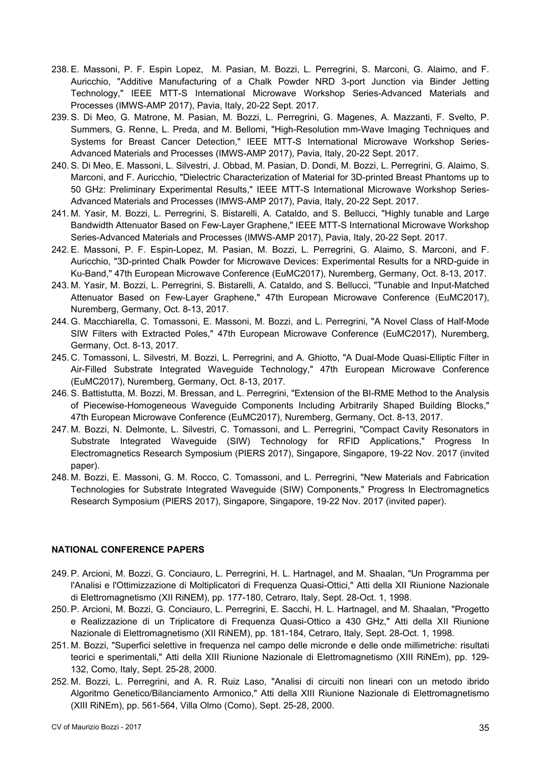- 238. E. Massoni, P. F. Espin Lopez, M. Pasian, M. Bozzi, L. Perregrini, S. Marconi, G. Alaimo, and F. Auricchio, "Additive Manufacturing of a Chalk Powder NRD 3-port Junction via Binder Jetting Technology," IEEE MTT-S International Microwave Workshop Series-Advanced Materials and Processes (IMWS-AMP 2017), Pavia, Italy, 20-22 Sept. 2017.
- 239. S. Di Meo, G. Matrone, M. Pasian, M. Bozzi, L. Perregrini, G. Magenes, A. Mazzanti, F. Svelto, P. Summers, G. Renne, L. Preda, and M. Bellomi, "High-Resolution mm-Wave Imaging Techniques and Systems for Breast Cancer Detection," IEEE MTT-S International Microwave Workshop Series-Advanced Materials and Processes (IMWS-AMP 2017), Pavia, Italy, 20-22 Sept. 2017.
- 240. S. Di Meo, E. Massoni, L. Silvestri, J. Obbad, M. Pasian, D. Dondi, M. Bozzi, L. Perregrini, G. Alaimo, S. Marconi, and F. Auricchio, "Dielectric Characterization of Material for 3D-printed Breast Phantoms up to 50 GHz: Preliminary Experimental Results," IEEE MTT-S International Microwave Workshop Series-Advanced Materials and Processes (IMWS-AMP 2017), Pavia, Italy, 20-22 Sept. 2017.
- 241. M. Yasir, M. Bozzi, L. Perregrini, S. Bistarelli, A. Cataldo, and S. Bellucci, "Highly tunable and Large Bandwidth Attenuator Based on Few-Layer Graphene," IEEE MTT-S International Microwave Workshop Series-Advanced Materials and Processes (IMWS-AMP 2017), Pavia, Italy, 20-22 Sept. 2017.
- 242. E. Massoni, P. F. Espin-Lopez, M. Pasian, M. Bozzi, L. Perregrini, G. Alaimo, S. Marconi, and F. Auricchio, "3D-printed Chalk Powder for Microwave Devices: Experimental Results for a NRD-guide in Ku-Band," 47th European Microwave Conference (EuMC2017), Nuremberg, Germany, Oct. 8-13, 2017.
- 243. M. Yasir, M. Bozzi, L. Perregrini, S. Bistarelli, A. Cataldo, and S. Bellucci, "Tunable and Input-Matched Attenuator Based on Few-Layer Graphene," 47th European Microwave Conference (EuMC2017), Nuremberg, Germany, Oct. 8-13, 2017.
- 244. G. Macchiarella, C. Tomassoni, E. Massoni, M. Bozzi, and L. Perregrini, "A Novel Class of Half-Mode SIW Filters with Extracted Poles," 47th European Microwave Conference (EuMC2017), Nuremberg, Germany, Oct. 8-13, 2017.
- 245. C. Tomassoni, L. Silvestri, M. Bozzi, L. Perregrini, and A. Ghiotto, "A Dual-Mode Quasi-Elliptic Filter in Air-Filled Substrate Integrated Waveguide Technology," 47th European Microwave Conference (EuMC2017), Nuremberg, Germany, Oct. 8-13, 2017.
- 246. S. Battistutta, M. Bozzi, M. Bressan, and L. Perregrini, "Extension of the BI-RME Method to the Analysis of Piecewise-Homogeneous Waveguide Components Including Arbitrarily Shaped Building Blocks," 47th European Microwave Conference (EuMC2017), Nuremberg, Germany, Oct. 8-13, 2017.
- 247. M. Bozzi, N. Delmonte, L. Silvestri, C. Tomassoni, and L. Perregrini, "Compact Cavity Resonators in Substrate Integrated Waveguide (SIW) Technology for RFID Applications," Progress In Electromagnetics Research Symposium (PIERS 2017), Singapore, Singapore, 19-22 Nov. 2017 (invited paper).
- 248. M. Bozzi, E. Massoni, G. M. Rocco, C. Tomassoni, and L. Perregrini, "New Materials and Fabrication Technologies for Substrate Integrated Waveguide (SIW) Components," Progress In Electromagnetics Research Symposium (PIERS 2017), Singapore, Singapore, 19-22 Nov. 2017 (invited paper).

#### **NATIONAL CONFERENCE PAPERS**

- 249. P. Arcioni, M. Bozzi, G. Conciauro, L. Perregrini, H. L. Hartnagel, and M. Shaalan, "Un Programma per l'Analisi e l'Ottimizzazione di Moltiplicatori di Frequenza Quasi-Ottici," Atti della XII Riunione Nazionale di Elettromagnetismo (XII RiNEM), pp. 177-180, Cetraro, Italy, Sept. 28-Oct. 1, 1998.
- 250. P. Arcioni, M. Bozzi, G. Conciauro, L. Perregrini, E. Sacchi, H. L. Hartnagel, and M. Shaalan, "Progetto e Realizzazione di un Triplicatore di Frequenza Quasi-Ottico a 430 GHz," Atti della XII Riunione Nazionale di Elettromagnetismo (XII RiNEM), pp. 181-184, Cetraro, Italy, Sept. 28-Oct. 1, 1998.
- 251. M. Bozzi, "Superfici selettive in frequenza nel campo delle micronde e delle onde millimetriche: risultati teorici e sperimentali," Atti della XIII Riunione Nazionale di Elettromagnetismo (XIII RiNEm), pp. 129- 132, Como, Italy, Sept. 25-28, 2000.
- 252. M. Bozzi, L. Perregrini, and A. R. Ruiz Laso, "Analisi di circuiti non lineari con un metodo ibrido Algoritmo Genetico/Bilanciamento Armonico," Atti della XIII Riunione Nazionale di Elettromagnetismo (XIII RiNEm), pp. 561-564, Villa Olmo (Como), Sept. 25-28, 2000.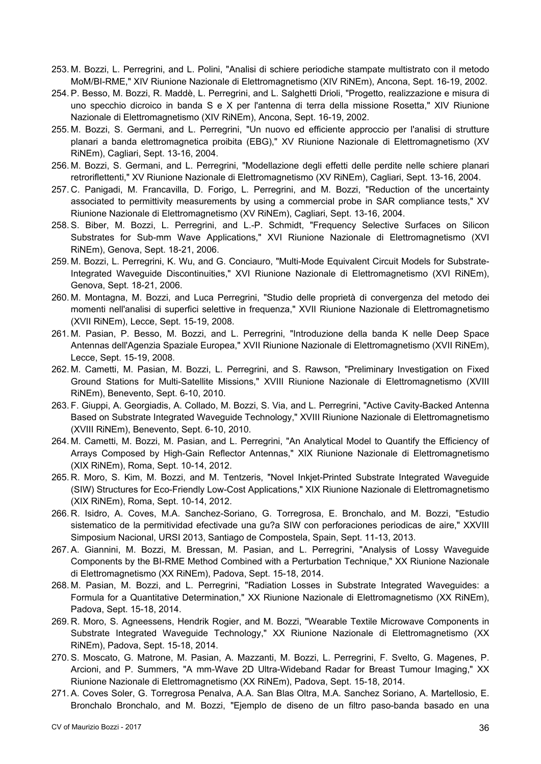- 253. M. Bozzi, L. Perregrini, and L. Polini, "Analisi di schiere periodiche stampate multistrato con il metodo MoM/BI-RME," XIV Riunione Nazionale di Elettromagnetismo (XIV RiNEm), Ancona, Sept. 16-19, 2002.
- 254. P. Besso, M. Bozzi, R. Maddè, L. Perregrini, and L. Salghetti Drioli, "Progetto, realizzazione e misura di uno specchio dicroico in banda S e X per l'antenna di terra della missione Rosetta," XIV Riunione Nazionale di Elettromagnetismo (XIV RiNEm), Ancona, Sept. 16-19, 2002.
- 255. M. Bozzi, S. Germani, and L. Perregrini, "Un nuovo ed efficiente approccio per l'analisi di strutture planari a banda elettromagnetica proibita (EBG)," XV Riunione Nazionale di Elettromagnetismo (XV RiNEm), Cagliari, Sept. 13-16, 2004.
- 256. M. Bozzi, S. Germani, and L. Perregrini, "Modellazione degli effetti delle perdite nelle schiere planari retroriflettenti," XV Riunione Nazionale di Elettromagnetismo (XV RiNEm), Cagliari, Sept. 13-16, 2004.
- 257. C. Panigadi, M. Francavilla, D. Forigo, L. Perregrini, and M. Bozzi, "Reduction of the uncertainty associated to permittivity measurements by using a commercial probe in SAR compliance tests," XV Riunione Nazionale di Elettromagnetismo (XV RiNEm), Cagliari, Sept. 13-16, 2004.
- 258. S. Biber, M. Bozzi, L. Perregrini, and L.-P. Schmidt, "Frequency Selective Surfaces on Silicon Substrates for Sub-mm Wave Applications," XVI Riunione Nazionale di Elettromagnetismo (XVI RiNEm), Genova, Sept. 18-21, 2006.
- 259. M. Bozzi, L. Perregrini, K. Wu, and G. Conciauro, "Multi-Mode Equivalent Circuit Models for Substrate-Integrated Waveguide Discontinuities," XVI Riunione Nazionale di Elettromagnetismo (XVI RiNEm), Genova, Sept. 18-21, 2006.
- 260. M. Montagna, M. Bozzi, and Luca Perregrini, "Studio delle proprietà di convergenza del metodo dei momenti nell'analisi di superfici selettive in frequenza," XVII Riunione Nazionale di Elettromagnetismo (XVII RiNEm), Lecce, Sept. 15-19, 2008.
- 261. M. Pasian, P. Besso, M. Bozzi, and L. Perregrini, "Introduzione della banda K nelle Deep Space Antennas dell'Agenzia Spaziale Europea," XVII Riunione Nazionale di Elettromagnetismo (XVII RiNEm), Lecce, Sept. 15-19, 2008.
- 262. M. Cametti, M. Pasian, M. Bozzi, L. Perregrini, and S. Rawson, "Preliminary Investigation on Fixed Ground Stations for Multi-Satellite Missions," XVIII Riunione Nazionale di Elettromagnetismo (XVIII RiNEm), Benevento, Sept. 6-10, 2010.
- 263. F. Giuppi, A. Georgiadis, A. Collado, M. Bozzi, S. Via, and L. Perregrini, "Active Cavity-Backed Antenna Based on Substrate Integrated Waveguide Technology," XVIII Riunione Nazionale di Elettromagnetismo (XVIII RiNEm), Benevento, Sept. 6-10, 2010.
- 264. M. Cametti, M. Bozzi, M. Pasian, and L. Perregrini, "An Analytical Model to Quantify the Efficiency of Arrays Composed by High-Gain Reflector Antennas," XIX Riunione Nazionale di Elettromagnetismo (XIX RiNEm), Roma, Sept. 10-14, 2012.
- 265. R. Moro, S. Kim, M. Bozzi, and M. Tentzeris, "Novel Inkjet-Printed Substrate Integrated Waveguide (SIW) Structures for Eco-Friendly Low-Cost Applications," XIX Riunione Nazionale di Elettromagnetismo (XIX RiNEm), Roma, Sept. 10-14, 2012.
- 266. R. Isidro, A. Coves, M.A. Sanchez-Soriano, G. Torregrosa, E. Bronchalo, and M. Bozzi, "Estudio sistematico de la permitividad efectivade una gu?a SIW con perforaciones periodicas de aire," XXVIII Simposium Nacional, URSI 2013, Santiago de Compostela, Spain, Sept. 11-13, 2013.
- 267. A. Giannini, M. Bozzi, M. Bressan, M. Pasian, and L. Perregrini, "Analysis of Lossy Waveguide Components by the BI-RME Method Combined with a Perturbation Technique," XX Riunione Nazionale di Elettromagnetismo (XX RiNEm), Padova, Sept. 15-18, 2014.
- 268. M. Pasian, M. Bozzi, and L. Perregrini, "Radiation Losses in Substrate Integrated Waveguides: a Formula for a Quantitative Determination," XX Riunione Nazionale di Elettromagnetismo (XX RiNEm), Padova, Sept. 15-18, 2014.
- 269. R. Moro, S. Agneessens, Hendrik Rogier, and M. Bozzi, "Wearable Textile Microwave Components in Substrate Integrated Waveguide Technology," XX Riunione Nazionale di Elettromagnetismo (XX RiNEm), Padova, Sept. 15-18, 2014.
- 270. S. Moscato, G. Matrone, M. Pasian, A. Mazzanti, M. Bozzi, L. Perregrini, F. Svelto, G. Magenes, P. Arcioni, and P. Summers, "A mm-Wave 2D Ultra-Wideband Radar for Breast Tumour Imaging," XX Riunione Nazionale di Elettromagnetismo (XX RiNEm), Padova, Sept. 15-18, 2014.
- 271. A. Coves Soler, G. Torregrosa Penalva, A.A. San Blas Oltra, M.A. Sanchez Soriano, A. Martellosio, E. Bronchalo Bronchalo, and M. Bozzi, "Ejemplo de diseno de un filtro paso-banda basado en una